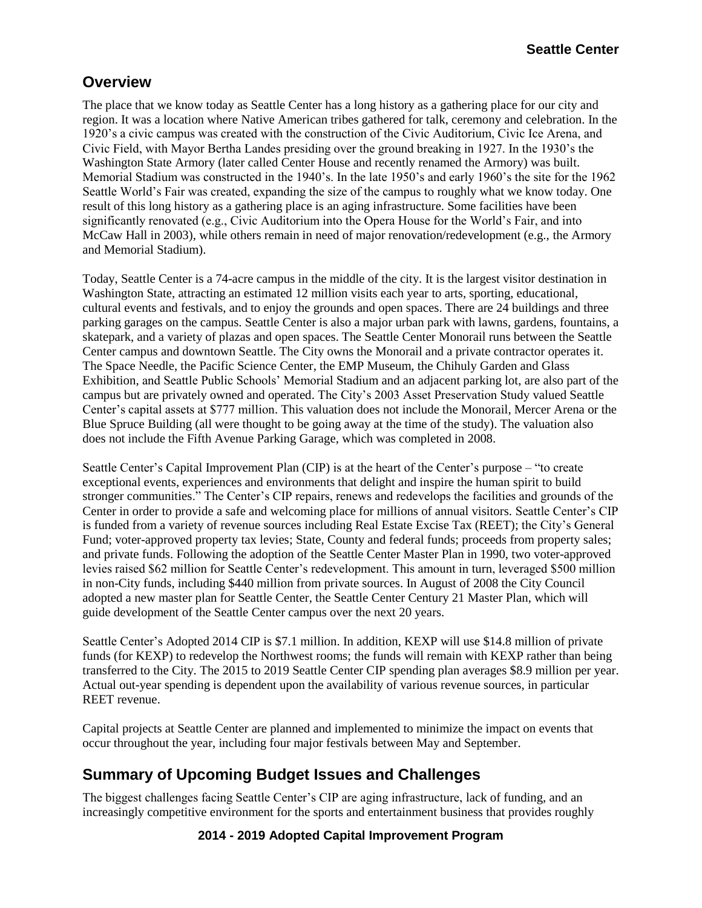#### **Overview**

The place that we know today as Seattle Center has a long history as a gathering place for our city and region. It was a location where Native American tribes gathered for talk, ceremony and celebration. In the 1920's a civic campus was created with the construction of the Civic Auditorium, Civic Ice Arena, and Civic Field, with Mayor Bertha Landes presiding over the ground breaking in 1927. In the 1930's the Washington State Armory (later called Center House and recently renamed the Armory) was built. Memorial Stadium was constructed in the 1940's. In the late 1950's and early 1960's the site for the 1962 Seattle World's Fair was created, expanding the size of the campus to roughly what we know today. One result of this long history as a gathering place is an aging infrastructure. Some facilities have been significantly renovated (e.g., Civic Auditorium into the Opera House for the World's Fair, and into McCaw Hall in 2003), while others remain in need of major renovation/redevelopment (e.g., the Armory and Memorial Stadium).

Today, Seattle Center is a 74-acre campus in the middle of the city. It is the largest visitor destination in Washington State, attracting an estimated 12 million visits each year to arts, sporting, educational, cultural events and festivals, and to enjoy the grounds and open spaces. There are 24 buildings and three parking garages on the campus. Seattle Center is also a major urban park with lawns, gardens, fountains, a skatepark, and a variety of plazas and open spaces. The Seattle Center Monorail runs between the Seattle Center campus and downtown Seattle. The City owns the Monorail and a private contractor operates it. The Space Needle, the Pacific Science Center, the EMP Museum, the Chihuly Garden and Glass Exhibition, and Seattle Public Schools' Memorial Stadium and an adjacent parking lot, are also part of the campus but are privately owned and operated. The City's 2003 Asset Preservation Study valued Seattle Center's capital assets at \$777 million. This valuation does not include the Monorail, Mercer Arena or the Blue Spruce Building (all were thought to be going away at the time of the study). The valuation also does not include the Fifth Avenue Parking Garage, which was completed in 2008.

Seattle Center's Capital Improvement Plan (CIP) is at the heart of the Center's purpose – "to create exceptional events, experiences and environments that delight and inspire the human spirit to build stronger communities." The Center's CIP repairs, renews and redevelops the facilities and grounds of the Center in order to provide a safe and welcoming place for millions of annual visitors. Seattle Center's CIP is funded from a variety of revenue sources including Real Estate Excise Tax (REET); the City's General Fund; voter-approved property tax levies; State, County and federal funds; proceeds from property sales; and private funds. Following the adoption of the Seattle Center Master Plan in 1990, two voter-approved levies raised \$62 million for Seattle Center's redevelopment. This amount in turn, leveraged \$500 million in non-City funds, including \$440 million from private sources. In August of 2008 the City Council adopted a new master plan for Seattle Center, the Seattle Center Century 21 Master Plan, which will guide development of the Seattle Center campus over the next 20 years.

Seattle Center's Adopted 2014 CIP is \$7.1 million. In addition, KEXP will use \$14.8 million of private funds (for KEXP) to redevelop the Northwest rooms; the funds will remain with KEXP rather than being transferred to the City. The 2015 to 2019 Seattle Center CIP spending plan averages \$8.9 million per year. Actual out-year spending is dependent upon the availability of various revenue sources, in particular REET revenue.

Capital projects at Seattle Center are planned and implemented to minimize the impact on events that occur throughout the year, including four major festivals between May and September.

## **Summary of Upcoming Budget Issues and Challenges**

The biggest challenges facing Seattle Center's CIP are aging infrastructure, lack of funding, and an increasingly competitive environment for the sports and entertainment business that provides roughly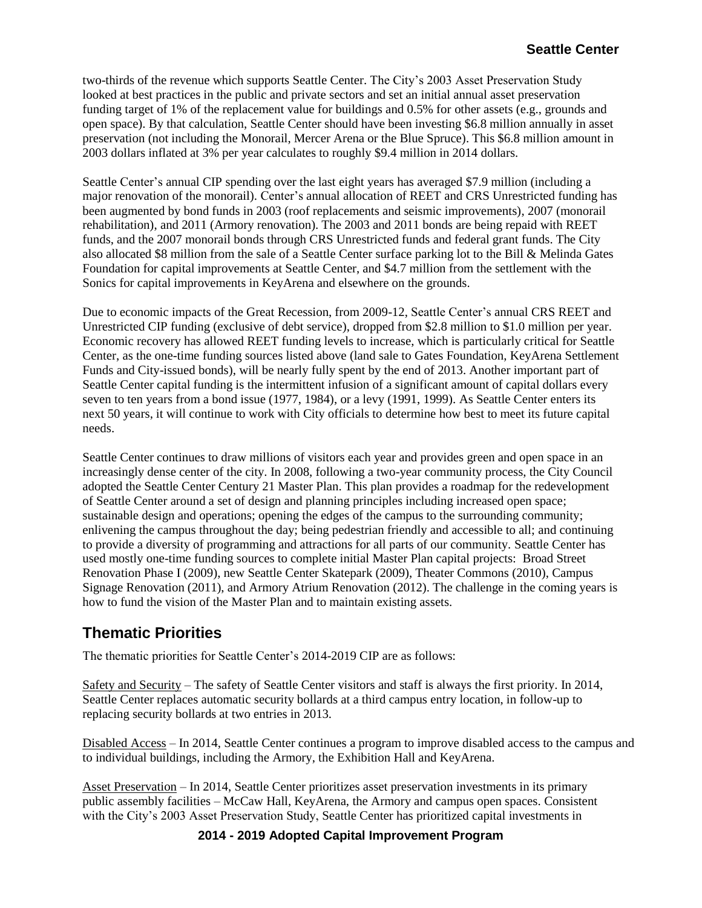two-thirds of the revenue which supports Seattle Center. The City's 2003 Asset Preservation Study looked at best practices in the public and private sectors and set an initial annual asset preservation funding target of 1% of the replacement value for buildings and 0.5% for other assets (e.g., grounds and open space). By that calculation, Seattle Center should have been investing \$6.8 million annually in asset preservation (not including the Monorail, Mercer Arena or the Blue Spruce). This \$6.8 million amount in 2003 dollars inflated at 3% per year calculates to roughly \$9.4 million in 2014 dollars.

Seattle Center's annual CIP spending over the last eight years has averaged \$7.9 million (including a major renovation of the monorail). Center's annual allocation of REET and CRS Unrestricted funding has been augmented by bond funds in 2003 (roof replacements and seismic improvements), 2007 (monorail rehabilitation), and 2011 (Armory renovation). The 2003 and 2011 bonds are being repaid with REET funds, and the 2007 monorail bonds through CRS Unrestricted funds and federal grant funds. The City also allocated \$8 million from the sale of a Seattle Center surface parking lot to the Bill & Melinda Gates Foundation for capital improvements at Seattle Center, and \$4.7 million from the settlement with the Sonics for capital improvements in KeyArena and elsewhere on the grounds.

Due to economic impacts of the Great Recession, from 2009-12, Seattle Center's annual CRS REET and Unrestricted CIP funding (exclusive of debt service), dropped from \$2.8 million to \$1.0 million per year. Economic recovery has allowed REET funding levels to increase, which is particularly critical for Seattle Center, as the one-time funding sources listed above (land sale to Gates Foundation, KeyArena Settlement Funds and City-issued bonds), will be nearly fully spent by the end of 2013. Another important part of Seattle Center capital funding is the intermittent infusion of a significant amount of capital dollars every seven to ten years from a bond issue (1977, 1984), or a levy (1991, 1999). As Seattle Center enters its next 50 years, it will continue to work with City officials to determine how best to meet its future capital needs.

Seattle Center continues to draw millions of visitors each year and provides green and open space in an increasingly dense center of the city. In 2008, following a two-year community process, the City Council adopted the Seattle Center Century 21 Master Plan. This plan provides a roadmap for the redevelopment of Seattle Center around a set of design and planning principles including increased open space; sustainable design and operations; opening the edges of the campus to the surrounding community; enlivening the campus throughout the day; being pedestrian friendly and accessible to all; and continuing to provide a diversity of programming and attractions for all parts of our community. Seattle Center has used mostly one-time funding sources to complete initial Master Plan capital projects: Broad Street Renovation Phase I (2009), new Seattle Center Skatepark (2009), Theater Commons (2010), Campus Signage Renovation (2011), and Armory Atrium Renovation (2012). The challenge in the coming years is how to fund the vision of the Master Plan and to maintain existing assets.

## **Thematic Priorities**

The thematic priorities for Seattle Center's 2014-2019 CIP are as follows:

Safety and Security – The safety of Seattle Center visitors and staff is always the first priority. In 2014, Seattle Center replaces automatic security bollards at a third campus entry location, in follow-up to replacing security bollards at two entries in 2013.

Disabled Access – In 2014, Seattle Center continues a program to improve disabled access to the campus and to individual buildings, including the Armory, the Exhibition Hall and KeyArena.

Asset Preservation – In 2014, Seattle Center prioritizes asset preservation investments in its primary public assembly facilities – McCaw Hall, KeyArena, the Armory and campus open spaces. Consistent with the City's 2003 Asset Preservation Study, Seattle Center has prioritized capital investments in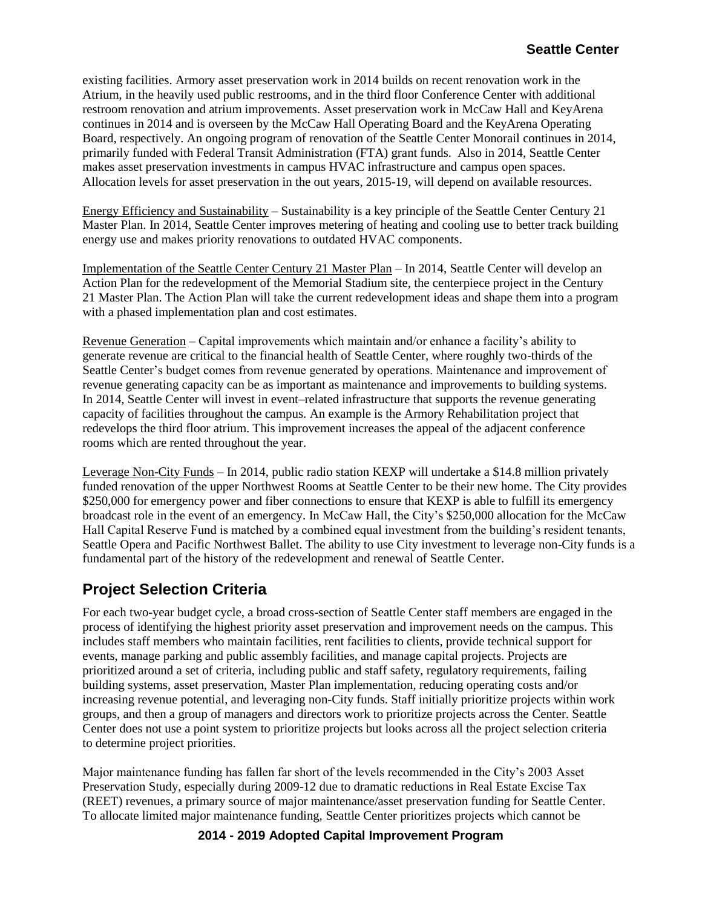existing facilities. Armory asset preservation work in 2014 builds on recent renovation work in the Atrium, in the heavily used public restrooms, and in the third floor Conference Center with additional restroom renovation and atrium improvements. Asset preservation work in McCaw Hall and KeyArena continues in 2014 and is overseen by the McCaw Hall Operating Board and the KeyArena Operating Board, respectively. An ongoing program of renovation of the Seattle Center Monorail continues in 2014, primarily funded with Federal Transit Administration (FTA) grant funds. Also in 2014, Seattle Center makes asset preservation investments in campus HVAC infrastructure and campus open spaces. Allocation levels for asset preservation in the out years, 2015-19, will depend on available resources.

Energy Efficiency and Sustainability – Sustainability is a key principle of the Seattle Center Century 21 Master Plan. In 2014, Seattle Center improves metering of heating and cooling use to better track building energy use and makes priority renovations to outdated HVAC components.

Implementation of the Seattle Center Century 21 Master Plan – In 2014, Seattle Center will develop an Action Plan for the redevelopment of the Memorial Stadium site, the centerpiece project in the Century 21 Master Plan. The Action Plan will take the current redevelopment ideas and shape them into a program with a phased implementation plan and cost estimates.

Revenue Generation – Capital improvements which maintain and/or enhance a facility's ability to generate revenue are critical to the financial health of Seattle Center, where roughly two-thirds of the Seattle Center's budget comes from revenue generated by operations. Maintenance and improvement of revenue generating capacity can be as important as maintenance and improvements to building systems. In 2014, Seattle Center will invest in event–related infrastructure that supports the revenue generating capacity of facilities throughout the campus. An example is the Armory Rehabilitation project that redevelops the third floor atrium. This improvement increases the appeal of the adjacent conference rooms which are rented throughout the year.

Leverage Non-City Funds – In 2014, public radio station KEXP will undertake a \$14.8 million privately funded renovation of the upper Northwest Rooms at Seattle Center to be their new home. The City provides \$250,000 for emergency power and fiber connections to ensure that KEXP is able to fulfill its emergency broadcast role in the event of an emergency. In McCaw Hall, the City's \$250,000 allocation for the McCaw Hall Capital Reserve Fund is matched by a combined equal investment from the building's resident tenants, Seattle Opera and Pacific Northwest Ballet. The ability to use City investment to leverage non-City funds is a fundamental part of the history of the redevelopment and renewal of Seattle Center.

## **Project Selection Criteria**

For each two-year budget cycle, a broad cross-section of Seattle Center staff members are engaged in the process of identifying the highest priority asset preservation and improvement needs on the campus. This includes staff members who maintain facilities, rent facilities to clients, provide technical support for events, manage parking and public assembly facilities, and manage capital projects. Projects are prioritized around a set of criteria, including public and staff safety, regulatory requirements, failing building systems, asset preservation, Master Plan implementation, reducing operating costs and/or increasing revenue potential, and leveraging non-City funds. Staff initially prioritize projects within work groups, and then a group of managers and directors work to prioritize projects across the Center. Seattle Center does not use a point system to prioritize projects but looks across all the project selection criteria to determine project priorities.

Major maintenance funding has fallen far short of the levels recommended in the City's 2003 Asset Preservation Study, especially during 2009-12 due to dramatic reductions in Real Estate Excise Tax (REET) revenues, a primary source of major maintenance/asset preservation funding for Seattle Center. To allocate limited major maintenance funding, Seattle Center prioritizes projects which cannot be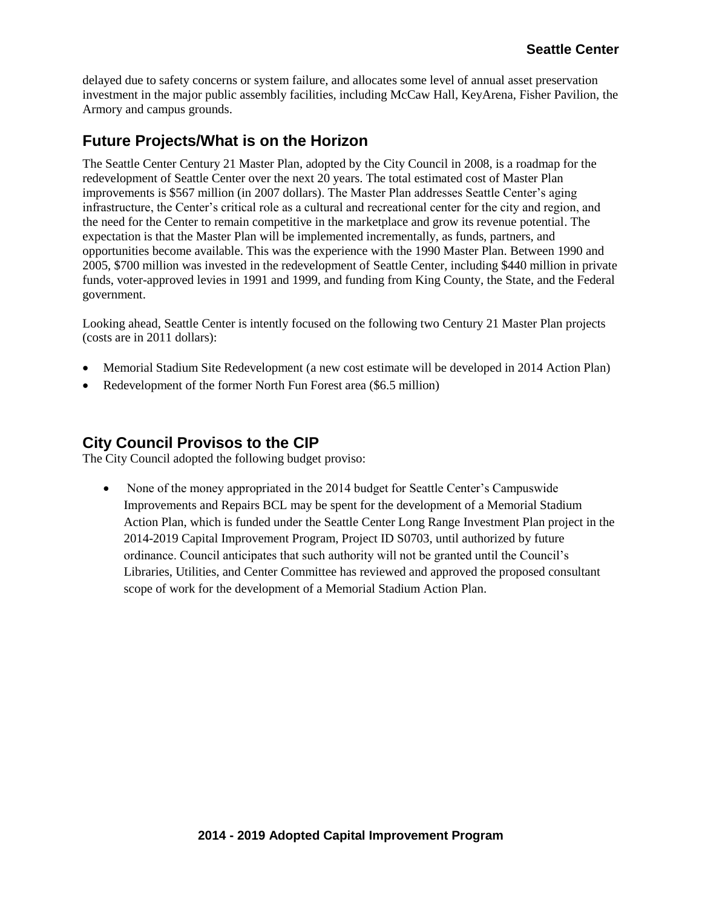delayed due to safety concerns or system failure, and allocates some level of annual asset preservation investment in the major public assembly facilities, including McCaw Hall, KeyArena, Fisher Pavilion, the Armory and campus grounds.

## **Future Projects/What is on the Horizon**

The Seattle Center Century 21 Master Plan, adopted by the City Council in 2008, is a roadmap for the redevelopment of Seattle Center over the next 20 years. The total estimated cost of Master Plan improvements is \$567 million (in 2007 dollars). The Master Plan addresses Seattle Center's aging infrastructure, the Center's critical role as a cultural and recreational center for the city and region, and the need for the Center to remain competitive in the marketplace and grow its revenue potential. The expectation is that the Master Plan will be implemented incrementally, as funds, partners, and opportunities become available. This was the experience with the 1990 Master Plan. Between 1990 and 2005, \$700 million was invested in the redevelopment of Seattle Center, including \$440 million in private funds, voter-approved levies in 1991 and 1999, and funding from King County, the State, and the Federal government.

Looking ahead, Seattle Center is intently focused on the following two Century 21 Master Plan projects (costs are in 2011 dollars):

- Memorial Stadium Site Redevelopment (a new cost estimate will be developed in 2014 Action Plan)
- Redevelopment of the former North Fun Forest area (\$6.5 million)

#### **City Council Provisos to the CIP**

The City Council adopted the following budget proviso:

• None of the money appropriated in the 2014 budget for Seattle Center's Campuswide Improvements and Repairs BCL may be spent for the development of a Memorial Stadium Action Plan, which is funded under the Seattle Center Long Range Investment Plan project in the 2014-2019 Capital Improvement Program, Project ID S0703, until authorized by future ordinance. Council anticipates that such authority will not be granted until the Council's Libraries, Utilities, and Center Committee has reviewed and approved the proposed consultant scope of work for the development of a Memorial Stadium Action Plan.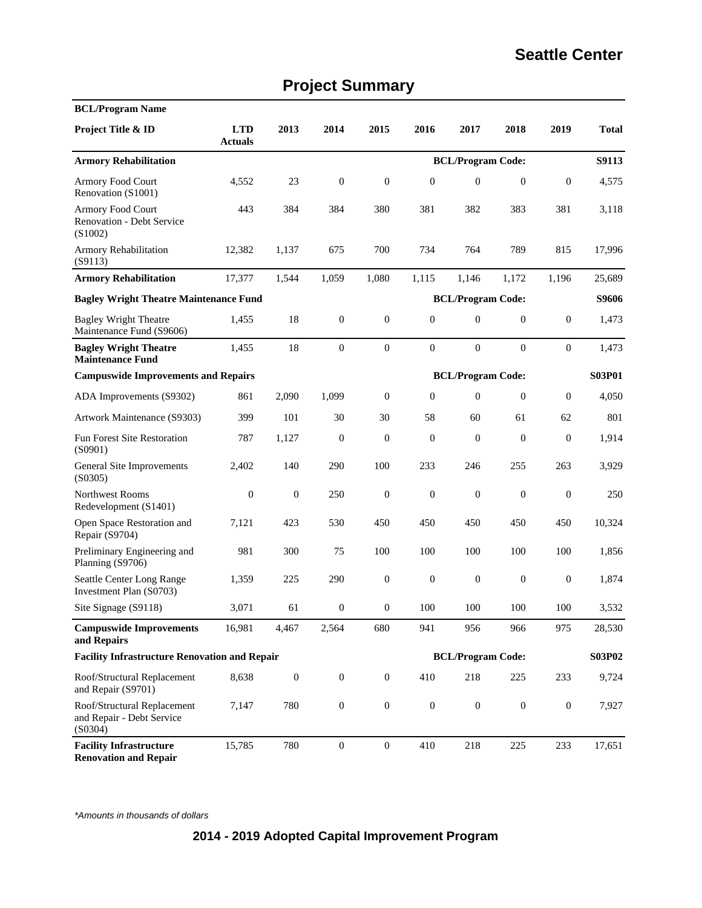|  | <b>Project Summary</b> |
|--|------------------------|
|--|------------------------|

| <b>BCL/Program Name</b>                                                |                              |                  |                  |                  |                  |                          |                  |                  |              |
|------------------------------------------------------------------------|------------------------------|------------------|------------------|------------------|------------------|--------------------------|------------------|------------------|--------------|
| Project Title & ID                                                     | <b>LTD</b><br><b>Actuals</b> | 2013             | 2014             | 2015             | 2016             | 2017                     | 2018             | 2019             | <b>Total</b> |
| <b>Armory Rehabilitation</b>                                           |                              |                  |                  |                  |                  | <b>BCL/Program Code:</b> |                  |                  | S9113        |
| Armory Food Court<br>Renovation (S1001)                                | 4,552                        | 23               | $\boldsymbol{0}$ | $\boldsymbol{0}$ | $\boldsymbol{0}$ | $\mathbf{0}$             | $\mathbf{0}$     | $\boldsymbol{0}$ | 4,575        |
| Armory Food Court<br><b>Renovation - Debt Service</b><br>(S1002)       | 443                          | 384              | 384              | 380              | 381              | 382                      | 383              | 381              | 3,118        |
| <b>Armory Rehabilitation</b><br>(S9113)                                | 12,382                       | 1,137            | 675              | 700              | 734              | 764                      | 789              | 815              | 17,996       |
| <b>Armory Rehabilitation</b>                                           | 17,377                       | 1,544            | 1,059            | 1,080            | 1,115            | 1,146                    | 1,172            | 1,196            | 25,689       |
| <b>Bagley Wright Theatre Maintenance Fund</b>                          |                              |                  |                  |                  |                  | <b>BCL/Program Code:</b> |                  |                  | S9606        |
| <b>Bagley Wright Theatre</b><br>Maintenance Fund (S9606)               | 1,455                        | 18               | $\boldsymbol{0}$ | $\boldsymbol{0}$ | $\boldsymbol{0}$ | $\mathbf{0}$             | $\overline{0}$   | $\mathbf{0}$     | 1,473        |
| <b>Bagley Wright Theatre</b><br><b>Maintenance Fund</b>                | 1,455                        | 18               | $\boldsymbol{0}$ | $\mathbf{0}$     | $\boldsymbol{0}$ | $\mathbf{0}$             | $\mathbf{0}$     | $\boldsymbol{0}$ | 1,473        |
| <b>BCL/Program Code:</b><br><b>Campuswide Improvements and Repairs</b> |                              |                  |                  |                  |                  |                          |                  | S03P01           |              |
| ADA Improvements (S9302)                                               | 861                          | 2,090            | 1,099            | $\theta$         | $\mathbf{0}$     | $\mathbf{0}$             | $\overline{0}$   | $\mathbf{0}$     | 4.050        |
| Artwork Maintenance (S9303)                                            | 399                          | 101              | 30               | 30               | 58               | 60                       | 61               | 62               | 801          |
| <b>Fun Forest Site Restoration</b><br>(S0901)                          | 787                          | 1,127            | $\boldsymbol{0}$ | $\theta$         | $\mathbf{0}$     | $\mathbf{0}$             | $\mathbf{0}$     | $\mathbf{0}$     | 1,914        |
| General Site Improvements<br>(S0305)                                   | 2,402                        | 140              | 290              | 100              | 233              | 246                      | 255              | 263              | 3,929        |
| Northwest Rooms<br>Redevelopment (S1401)                               | $\boldsymbol{0}$             | $\boldsymbol{0}$ | 250              | $\boldsymbol{0}$ | $\boldsymbol{0}$ | $\boldsymbol{0}$         | $\boldsymbol{0}$ | $\boldsymbol{0}$ | 250          |
| Open Space Restoration and<br>Repair (S9704)                           | 7,121                        | 423              | 530              | 450              | 450              | 450                      | 450              | 450              | 10,324       |
| Preliminary Engineering and<br>Planning (S9706)                        | 981                          | 300              | 75               | 100              | 100              | 100                      | 100              | 100              | 1,856        |
| Seattle Center Long Range<br>Investment Plan (S0703)                   | 1,359                        | 225              | 290              | $\boldsymbol{0}$ | $\boldsymbol{0}$ | $\boldsymbol{0}$         | $\boldsymbol{0}$ | $\boldsymbol{0}$ | 1,874        |
| Site Signage (S9118)                                                   | 3,071                        | 61               | $\boldsymbol{0}$ | $\boldsymbol{0}$ | 100              | 100                      | 100              | 100              | 3,532        |
| <b>Campuswide Improvements</b><br>and Repairs                          | 16,981                       | 4,467            | 2,564            | 680              | 941              | 956                      | 966              | 975              | 28,530       |
| <b>Facility Infrastructure Renovation and Repair</b>                   |                              |                  |                  |                  |                  | <b>BCL/Program Code:</b> |                  |                  | S03P02       |
| Roof/Structural Replacement<br>and Repair (S9701)                      | 8,638                        | $\boldsymbol{0}$ | $\boldsymbol{0}$ | $\boldsymbol{0}$ | 410              | 218                      | 225              | 233              | 9,724        |
| Roof/Structural Replacement<br>and Repair - Debt Service<br>(S0304)    | 7,147                        | 780              | $\boldsymbol{0}$ | $\boldsymbol{0}$ | $\boldsymbol{0}$ | $\boldsymbol{0}$         | $\boldsymbol{0}$ | $\boldsymbol{0}$ | 7,927        |
| <b>Facility Infrastructure</b><br><b>Renovation and Repair</b>         | 15,785                       | 780              | $\boldsymbol{0}$ | $\boldsymbol{0}$ | 410              | 218                      | 225              | 233              | 17,651       |

\*Amounts in thousands of dollars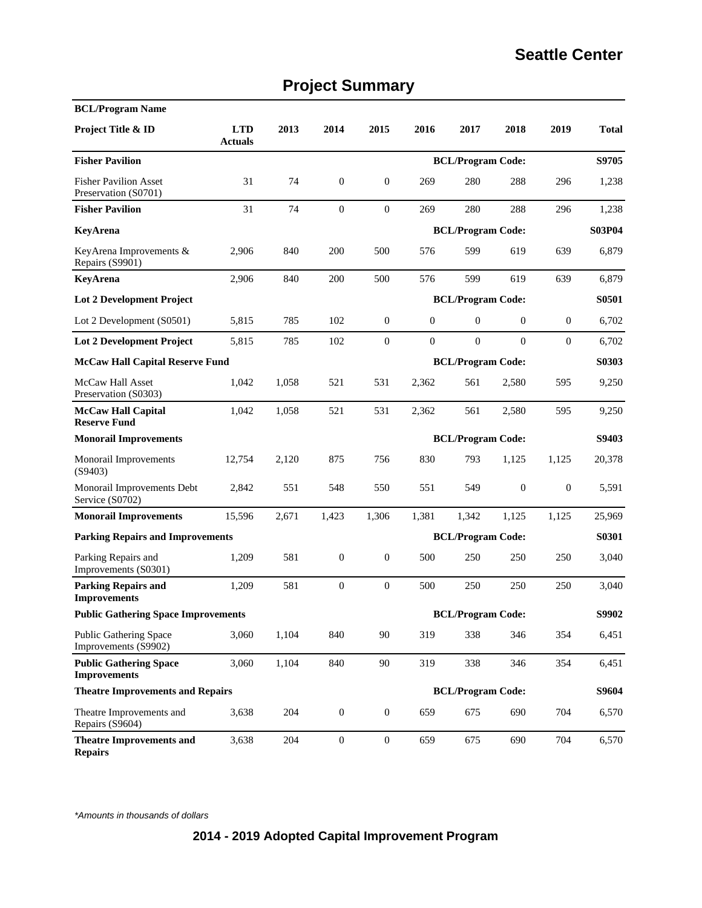|  | <b>Project Summary</b> |
|--|------------------------|
|--|------------------------|

| <b>BCL/Program Name</b>                               |                              |       |                          |                  |                          |                          |                          |              |              |  |
|-------------------------------------------------------|------------------------------|-------|--------------------------|------------------|--------------------------|--------------------------|--------------------------|--------------|--------------|--|
| Project Title & ID                                    | <b>LTD</b><br><b>Actuals</b> | 2013  | 2014                     | 2015             | 2016                     | 2017                     | 2018                     | 2019         | <b>Total</b> |  |
| <b>Fisher Pavilion</b>                                |                              |       |                          |                  |                          | <b>BCL/Program Code:</b> |                          |              | S9705        |  |
| <b>Fisher Pavilion Asset</b><br>Preservation (S0701)  | 31                           | 74    | $\mathbf{0}$             | $\boldsymbol{0}$ | 269                      | 280                      | 288                      | 296          | 1,238        |  |
| <b>Fisher Pavilion</b>                                | 31                           | 74    | $\mathbf{0}$             | $\boldsymbol{0}$ | 269                      | 280                      | 288                      | 296          | 1,238        |  |
| KeyArena                                              |                              |       |                          |                  |                          |                          | <b>BCL/Program Code:</b> |              |              |  |
| KeyArena Improvements &<br>Repairs (S9901)            | 2,906                        | 840   | 200                      | 500              | 576                      | 599                      | 619                      | 639          | 6,879        |  |
| KeyArena                                              | 2,906                        | 840   | 200                      | 500              | 576                      | 599                      | 619                      | 639          | 6,879        |  |
| <b>Lot 2 Development Project</b>                      |                              |       |                          |                  | <b>BCL/Program Code:</b> |                          | S0501                    |              |              |  |
| Lot 2 Development (S0501)                             | 5,815                        | 785   | 102                      | $\mathbf{0}$     | $\boldsymbol{0}$         | $\overline{0}$           | $\mathbf{0}$             | $\mathbf{0}$ | 6,702        |  |
| <b>Lot 2 Development Project</b>                      | 5.815                        | 785   | 102                      | $\mathbf{0}$     | $\mathbf{0}$             | $\boldsymbol{0}$         | $\overline{0}$           | $\mathbf{0}$ | 6,702        |  |
| <b>McCaw Hall Capital Reserve Fund</b>                |                              |       | <b>BCL/Program Code:</b> |                  |                          |                          |                          |              | S0303        |  |
| McCaw Hall Asset<br>Preservation (S0303)              | 1.042                        | 1,058 | 521                      | 531              | 2,362                    | 561                      | 2,580                    | 595          | 9,250        |  |
| <b>McCaw Hall Capital</b><br><b>Reserve Fund</b>      | 1,042                        | 1,058 | 521                      | 531              | 2,362                    | 561                      | 2,580                    | 595          | 9,250        |  |
| <b>Monorail Improvements</b>                          |                              |       |                          |                  |                          | <b>BCL/Program Code:</b> |                          | S9403        |              |  |
| Monorail Improvements<br>(S9403)                      | 12,754                       | 2,120 | 875                      | 756              | 830                      | 793                      | 1,125                    | 1,125        | 20,378       |  |
| Monorail Improvements Debt<br>Service (S0702)         | 2,842                        | 551   | 548                      | 550              | 551                      | 549                      | $\mathbf{0}$             | $\mathbf{0}$ | 5,591        |  |
| <b>Monorail Improvements</b>                          | 15,596                       | 2,671 | 1,423                    | 1,306            | 1,381                    | 1,342                    | 1,125                    | 1,125        | 25,969       |  |
| <b>Parking Repairs and Improvements</b>               |                              |       |                          |                  |                          | <b>BCL/Program Code:</b> |                          |              | S0301        |  |
| Parking Repairs and<br>Improvements (S0301)           | 1,209                        | 581   | $\boldsymbol{0}$         | $\boldsymbol{0}$ | 500                      | 250                      | 250                      | 250          | 3,040        |  |
| <b>Parking Repairs and</b><br><b>Improvements</b>     | 1,209                        | 581   | $\boldsymbol{0}$         | $\boldsymbol{0}$ | 500                      | 250                      | 250                      | 250          | 3,040        |  |
| <b>Public Gathering Space Improvements</b>            |                              |       |                          |                  |                          | <b>BCL/Program Code:</b> |                          |              | S9902        |  |
| <b>Public Gathering Space</b><br>Improvements (S9902) | 3,060                        | 1,104 | 840                      | 90               | 319                      | 338                      | 346                      | 354          | 6,451        |  |
| <b>Public Gathering Space</b><br><b>Improvements</b>  | 3,060                        | 1,104 | 840                      | 90               | 319                      | 338                      | 346                      | 354          | 6,451        |  |
| <b>Theatre Improvements and Repairs</b>               |                              |       |                          |                  |                          | <b>BCL/Program Code:</b> |                          |              | S9604        |  |
| Theatre Improvements and<br>Repairs (S9604)           | 3,638                        | 204   | $\boldsymbol{0}$         | $\boldsymbol{0}$ | 659                      | 675                      | 690                      | 704          | 6,570        |  |
| <b>Theatre Improvements and</b><br><b>Repairs</b>     | 3,638                        | 204   | $\boldsymbol{0}$         | $\boldsymbol{0}$ | 659                      | 675                      | 690                      | 704          | 6,570        |  |

\*Amounts in thousands of dollars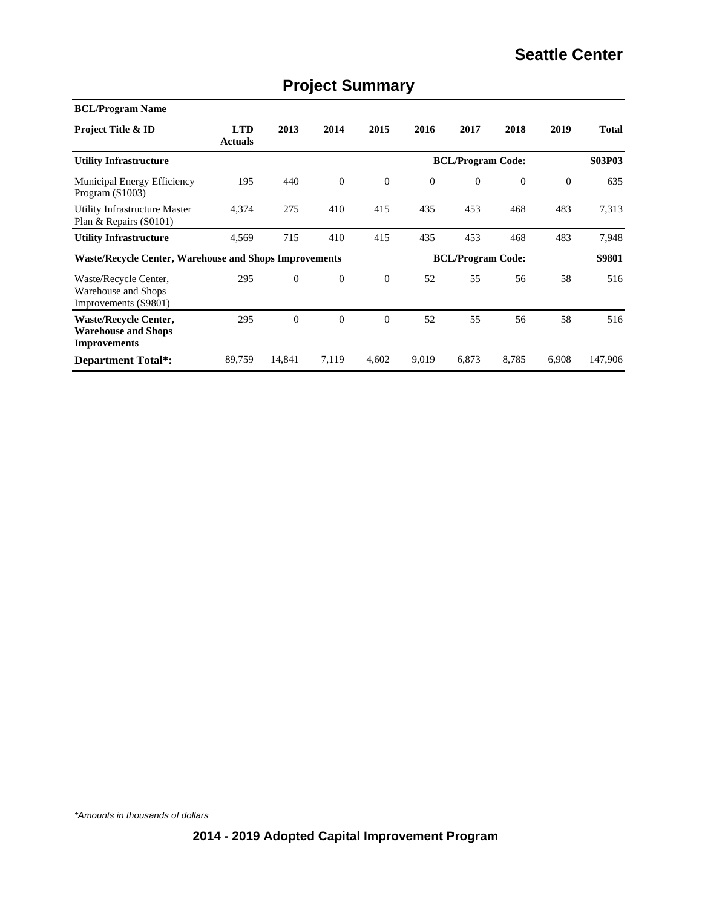| <b>BCL/Program Name</b>                                                           |                              |              |                  |                |                          |                          |                |          |               |  |  |  |
|-----------------------------------------------------------------------------------|------------------------------|--------------|------------------|----------------|--------------------------|--------------------------|----------------|----------|---------------|--|--|--|
| <b>Project Title &amp; ID</b>                                                     | <b>LTD</b><br><b>Actuals</b> | 2013         | 2014             | 2015           | 2016                     | 2017                     | 2018           | 2019     | <b>Total</b>  |  |  |  |
| <b>Utility Infrastructure</b>                                                     |                              |              |                  |                | <b>BCL/Program Code:</b> |                          |                |          | <b>S03P03</b> |  |  |  |
| Municipal Energy Efficiency<br>Program $(S1003)$                                  | 195                          | 440          | $\mathbf{0}$     | $\mathbf{0}$   | $\mathbf{0}$             | $\overline{0}$           | $\overline{0}$ | $\theta$ | 635           |  |  |  |
| Utility Infrastructure Master<br>Plan & Repairs (S0101)                           | 4,374                        | 275          | 410              | 415            | 435                      | 453                      | 468            | 483      | 7,313         |  |  |  |
| <b>Utility Infrastructure</b>                                                     | 4,569                        | 715          | 410              | 415            | 435                      | 453                      | 468            | 483      | 7,948         |  |  |  |
| <b>Waste/Recycle Center, Warehouse and Shops Improvements</b>                     |                              |              |                  |                |                          | <b>BCL/Program Code:</b> |                |          | S9801         |  |  |  |
| Waste/Recycle Center,<br>Warehouse and Shops<br>Improvements (S9801)              | 295                          | $\mathbf{0}$ | $\boldsymbol{0}$ | $\theta$       | 52                       | 55                       | 56             | 58       | 516           |  |  |  |
| <b>Waste/Recycle Center,</b><br><b>Warehouse and Shops</b><br><b>Improvements</b> | 295                          | $\theta$     | $\overline{0}$   | $\overline{0}$ | 52                       | 55                       | 56             | 58       | 516           |  |  |  |
| <b>Department Total*:</b>                                                         | 89,759                       | 14,841       | 7,119            | 4,602          | 9,019                    | 6,873                    | 8.785          | 6,908    | 147,906       |  |  |  |

# **Project Summary**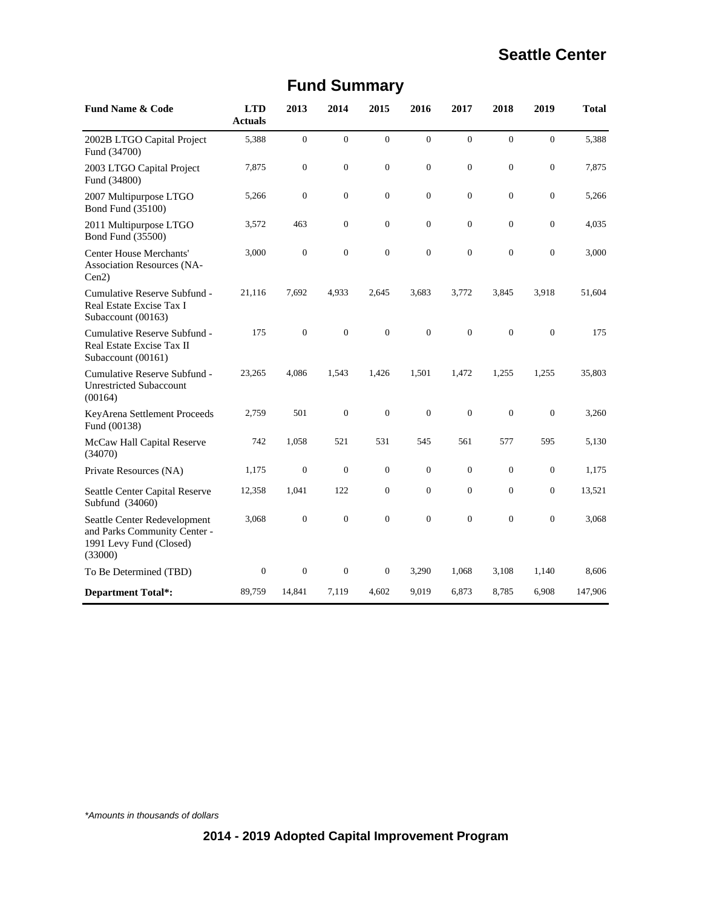| <b>Fund Name &amp; Code</b>                                                                        | <b>LTD</b><br><b>Actuals</b> | 2013             | 2014             | 2015             | 2016             | 2017         | 2018             | 2019             | Total   |
|----------------------------------------------------------------------------------------------------|------------------------------|------------------|------------------|------------------|------------------|--------------|------------------|------------------|---------|
| 2002B LTGO Capital Project<br>Fund (34700)                                                         | 5,388                        | $\overline{0}$   | $\mathbf{0}$     | $\overline{0}$   | $\overline{0}$   | $\mathbf{0}$ | $\overline{0}$   | $\overline{0}$   | 5,388   |
| 2003 LTGO Capital Project<br>Fund (34800)                                                          | 7,875                        | $\boldsymbol{0}$ | $\mathbf{0}$     | $\boldsymbol{0}$ | $\boldsymbol{0}$ | $\theta$     | $\boldsymbol{0}$ | $\boldsymbol{0}$ | 7,875   |
| 2007 Multipurpose LTGO<br>Bond Fund (35100)                                                        | 5,266                        | $\overline{0}$   | $\mathbf{0}$     | $\overline{0}$   | $\overline{0}$   | $\theta$     | $\overline{0}$   | $\overline{0}$   | 5,266   |
| 2011 Multipurpose LTGO<br>Bond Fund (35500)                                                        | 3,572                        | 463              | $\theta$         | $\overline{0}$   | $\overline{0}$   | $\theta$     | $\boldsymbol{0}$ | $\boldsymbol{0}$ | 4,035   |
| <b>Center House Merchants'</b><br><b>Association Resources (NA-</b><br>Cen2                        | 3,000                        | $\overline{0}$   | $\mathbf{0}$     | $\overline{0}$   | $\overline{0}$   | $\theta$     | $\mathbf{0}$     | $\overline{0}$   | 3,000   |
| Cumulative Reserve Subfund -<br>Real Estate Excise Tax I<br>Subaccount (00163)                     | 21,116                       | 7,692            | 4,933            | 2,645            | 3,683            | 3,772        | 3,845            | 3,918            | 51,604  |
| Cumulative Reserve Subfund -<br>Real Estate Excise Tax II<br>Subaccount (00161)                    | 175                          | $\overline{0}$   | $\mathbf{0}$     | $\overline{0}$   | $\overline{0}$   | $\mathbf{0}$ | $\overline{0}$   | $\mathbf{0}$     | 175     |
| Cumulative Reserve Subfund -<br><b>Unrestricted Subaccount</b><br>(00164)                          | 23,265                       | 4,086            | 1,543            | 1,426            | 1,501            | 1,472        | 1,255            | 1,255            | 35,803  |
| KeyArena Settlement Proceeds<br>Fund (00138)                                                       | 2,759                        | 501              | $\mathbf{0}$     | $\boldsymbol{0}$ | $\mathbf{0}$     | $\mathbf{0}$ | $\boldsymbol{0}$ | $\mathbf{0}$     | 3,260   |
| McCaw Hall Capital Reserve<br>(34070)                                                              | 742                          | 1,058            | 521              | 531              | 545              | 561          | 577              | 595              | 5,130   |
| Private Resources (NA)                                                                             | 1,175                        | $\boldsymbol{0}$ | $\boldsymbol{0}$ | $\boldsymbol{0}$ | $\overline{0}$   | $\mathbf{0}$ | $\overline{0}$   | $\boldsymbol{0}$ | 1,175   |
| Seattle Center Capital Reserve<br>Subfund (34060)                                                  | 12,358                       | 1,041            | 122              | $\overline{0}$   | $\overline{0}$   | $\theta$     | $\mathbf{0}$     | $\boldsymbol{0}$ | 13,521  |
| Seattle Center Redevelopment<br>and Parks Community Center -<br>1991 Levy Fund (Closed)<br>(33000) | 3,068                        | $\boldsymbol{0}$ | $\boldsymbol{0}$ | $\overline{0}$   | $\overline{0}$   | $\theta$     | $\overline{0}$   | $\boldsymbol{0}$ | 3,068   |
| To Be Determined (TBD)                                                                             | $\boldsymbol{0}$             | $\boldsymbol{0}$ | $\boldsymbol{0}$ | $\boldsymbol{0}$ | 3,290            | 1,068        | 3,108            | 1,140            | 8,606   |
| <b>Department Total*:</b>                                                                          | 89,759                       | 14,841           | 7,119            | 4,602            | 9,019            | 6,873        | 8,785            | 6,908            | 147,906 |

# **Fund Summary**

\*Amounts in thousands of dollars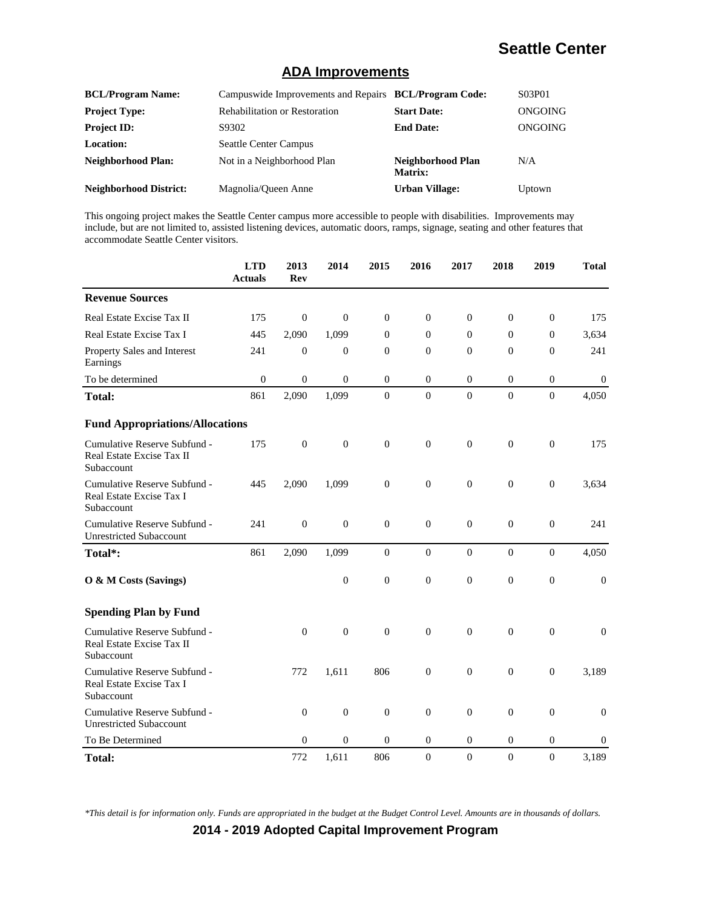#### **ADA Improvements**

| <b>BCL/Program Name:</b>      | Campus wide Improvements and Repairs BCL/Program Code: |                                     | S03P01  |
|-------------------------------|--------------------------------------------------------|-------------------------------------|---------|
| <b>Project Type:</b>          | <b>Rehabilitation or Restoration</b>                   | <b>Start Date:</b>                  | ONGOING |
| <b>Project ID:</b>            | S9302                                                  | <b>End Date:</b>                    | ONGOING |
| Location:                     | <b>Seattle Center Campus</b>                           |                                     |         |
| <b>Neighborhood Plan:</b>     | Not in a Neighborhood Plan                             | Neighborhood Plan<br><b>Matrix:</b> | N/A     |
| <b>Neighborhood District:</b> | Magnolia/Oueen Anne                                    | <b>Urban Village:</b>               | Uptown  |

This ongoing project makes the Seattle Center campus more accessible to people with disabilities. Improvements may include, but are not limited to, assisted listening devices, automatic doors, ramps, signage, seating and other features that accommodate Seattle Center visitors.

|                                                                         | <b>LTD</b><br><b>Actuals</b> | 2013<br><b>Rev</b> | 2014             | 2015             | 2016             | 2017             | 2018             | 2019             | <b>Total</b>     |
|-------------------------------------------------------------------------|------------------------------|--------------------|------------------|------------------|------------------|------------------|------------------|------------------|------------------|
| <b>Revenue Sources</b>                                                  |                              |                    |                  |                  |                  |                  |                  |                  |                  |
| Real Estate Excise Tax II                                               | 175                          | $\boldsymbol{0}$   | $\boldsymbol{0}$ | $\boldsymbol{0}$ | $\boldsymbol{0}$ | $\mathbf{0}$     | $\boldsymbol{0}$ | $\boldsymbol{0}$ | 175              |
| Real Estate Excise Tax I                                                | 445                          | 2,090              | 1,099            | $\mathbf{0}$     | $\mathbf{0}$     | $\mathbf{0}$     | $\mathbf{0}$     | $\overline{0}$   | 3,634            |
| Property Sales and Interest<br>Earnings                                 | 241                          | $\mathbf{0}$       | $\boldsymbol{0}$ | $\mathbf{0}$     | $\mathbf{0}$     | $\overline{0}$   | $\mathbf{0}$     | $\overline{0}$   | 241              |
| To be determined                                                        | $\boldsymbol{0}$             | $\boldsymbol{0}$   | $\boldsymbol{0}$ | $\overline{0}$   | $\mathbf{0}$     | $\mathbf{0}$     | $\mathbf{0}$     | $\boldsymbol{0}$ | $\boldsymbol{0}$ |
| <b>Total:</b>                                                           | 861                          | 2,090              | 1,099            | $\boldsymbol{0}$ | $\boldsymbol{0}$ | $\boldsymbol{0}$ | $\boldsymbol{0}$ | $\boldsymbol{0}$ | 4,050            |
| <b>Fund Appropriations/Allocations</b>                                  |                              |                    |                  |                  |                  |                  |                  |                  |                  |
| Cumulative Reserve Subfund -<br>Real Estate Excise Tax II<br>Subaccount | 175                          | $\boldsymbol{0}$   | $\boldsymbol{0}$ | $\mathbf{0}$     | $\boldsymbol{0}$ | $\overline{0}$   | $\boldsymbol{0}$ | $\boldsymbol{0}$ | 175              |
| Cumulative Reserve Subfund -<br>Real Estate Excise Tax I<br>Subaccount  | 445                          | 2,090              | 1,099            | $\boldsymbol{0}$ | $\overline{0}$   | $\overline{0}$   | $\mathbf{0}$     | $\boldsymbol{0}$ | 3,634            |
| Cumulative Reserve Subfund -<br><b>Unrestricted Subaccount</b>          | 241                          | $\boldsymbol{0}$   | $\boldsymbol{0}$ | $\boldsymbol{0}$ | $\overline{0}$   | $\mathbf{0}$     | $\theta$         | $\boldsymbol{0}$ | 241              |
| Total*:                                                                 | 861                          | 2,090              | 1,099            | $\mathbf{0}$     | $\mathbf{0}$     | $\overline{0}$   | $\mathbf{0}$     | $\mathbf{0}$     | 4,050            |
| O & M Costs (Savings)                                                   |                              |                    | $\boldsymbol{0}$ | $\boldsymbol{0}$ | $\mathbf{0}$     | $\boldsymbol{0}$ | $\boldsymbol{0}$ | $\boldsymbol{0}$ | $\boldsymbol{0}$ |
| <b>Spending Plan by Fund</b>                                            |                              |                    |                  |                  |                  |                  |                  |                  |                  |
| Cumulative Reserve Subfund -<br>Real Estate Excise Tax II<br>Subaccount |                              | $\theta$           | $\overline{0}$   | $\overline{0}$   | $\overline{0}$   | $\overline{0}$   | $\mathbf{0}$     | $\mathbf{0}$     | $\mathbf{0}$     |
| Cumulative Reserve Subfund -<br>Real Estate Excise Tax I<br>Subaccount  |                              | 772                | 1,611            | 806              | $\boldsymbol{0}$ | $\overline{0}$   | $\mathbf{0}$     | $\boldsymbol{0}$ | 3,189            |
| Cumulative Reserve Subfund -<br><b>Unrestricted Subaccount</b>          |                              | $\mathbf{0}$       | $\boldsymbol{0}$ | $\boldsymbol{0}$ | $\overline{0}$   | $\overline{0}$   | $\mathbf{0}$     | $\boldsymbol{0}$ | $\boldsymbol{0}$ |
| To Be Determined                                                        |                              | $\theta$           | $\theta$         | $\theta$         | $\Omega$         | $\Omega$         | $\mathbf{0}$     | $\theta$         | $\Omega$         |
| <b>Total:</b>                                                           |                              | 772                | 1,611            | 806              | $\boldsymbol{0}$ | $\boldsymbol{0}$ | $\boldsymbol{0}$ | $\boldsymbol{0}$ | 3,189            |

*\*This detail is for information only. Funds are appropriated in the budget at the Budget Control Level. Amounts are in thousands of dollars.*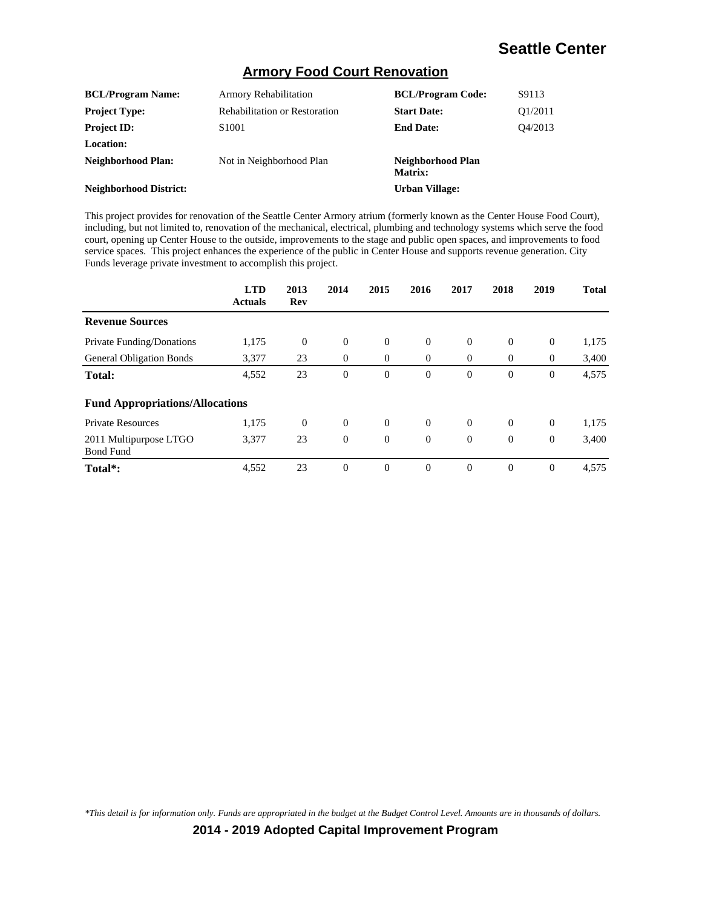#### **Armory Food Court Renovation**

| <b>BCL/Program Name:</b>      | <b>Armory Rehabilitation</b>         | <b>BCL/Program Code:</b>     | S9113                            |
|-------------------------------|--------------------------------------|------------------------------|----------------------------------|
| <b>Project Type:</b>          | <b>Rehabilitation or Restoration</b> | <b>Start Date:</b>           | O <sub>1</sub> /20 <sub>11</sub> |
| <b>Project ID:</b>            | S <sub>1001</sub>                    | <b>End Date:</b>             | O4/2013                          |
| Location:                     |                                      |                              |                                  |
| Neighborhood Plan:            | Not in Neighborhood Plan             | Neighborhood Plan<br>Matrix: |                                  |
| <b>Neighborhood District:</b> |                                      | <b>Urban Village:</b>        |                                  |

This project provides for renovation of the Seattle Center Armory atrium (formerly known as the Center House Food Court), including, but not limited to, renovation of the mechanical, electrical, plumbing and technology systems which serve the food court, opening up Center House to the outside, improvements to the stage and public open spaces, and improvements to food service spaces. This project enhances the experience of the public in Center House and supports revenue generation. City Funds leverage private investment to accomplish this project.

|                                            | <b>LTD</b><br><b>Actuals</b> | 2013<br>Rev | 2014     | 2015         | 2016     | 2017           | 2018         | 2019           | <b>Total</b> |
|--------------------------------------------|------------------------------|-------------|----------|--------------|----------|----------------|--------------|----------------|--------------|
| <b>Revenue Sources</b>                     |                              |             |          |              |          |                |              |                |              |
| <b>Private Funding/Donations</b>           | 1,175                        | $\theta$    | $\theta$ | $\theta$     | $\theta$ | $\overline{0}$ | $\theta$     | $\mathbf{0}$   | 1,175        |
| <b>General Obligation Bonds</b>            | 3,377                        | 23          | $\theta$ | $\mathbf{0}$ | $\theta$ | $\theta$       | $\theta$     | $\theta$       | 3,400        |
| <b>Total:</b>                              | 4,552                        | 23          | $\theta$ | $\mathbf{0}$ | $\theta$ | $\overline{0}$ | $\mathbf{0}$ | $\overline{0}$ | 4,575        |
| <b>Fund Appropriations/Allocations</b>     |                              |             |          |              |          |                |              |                |              |
| <b>Private Resources</b>                   | 1,175                        | $\theta$    | $\theta$ | $\theta$     | $\theta$ | $\theta$       | $\Omega$     | $\theta$       | 1,175        |
| 2011 Multipurpose LTGO<br><b>Bond Fund</b> | 3,377                        | 23          | $\theta$ | $\theta$     | $\theta$ | $\theta$       | $\Omega$     | $\mathbf{0}$   | 3,400        |
| Total*:                                    | 4,552                        | 23          | $\Omega$ | $\theta$     | $\theta$ | $\Omega$       | $\Omega$     | $\overline{0}$ | 4,575        |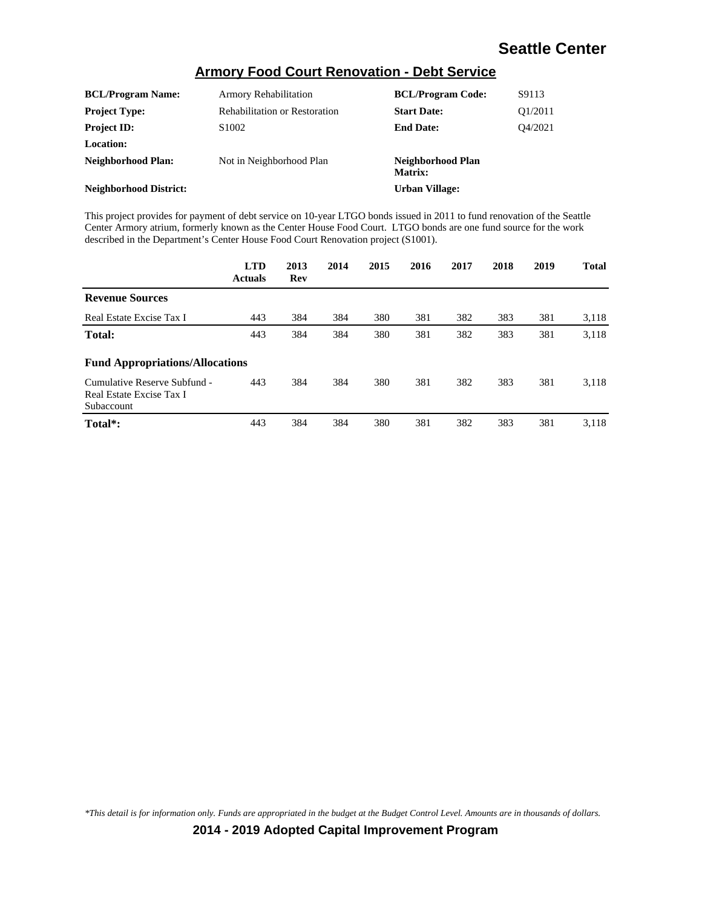#### **Armory Food Court Renovation - Debt Service**

| <b>BCL/Program Name:</b>      | <b>Armory Rehabilitation</b>         | <b>BCL/Program Code:</b>     | S9113                            |
|-------------------------------|--------------------------------------|------------------------------|----------------------------------|
| <b>Project Type:</b>          | <b>Rehabilitation or Restoration</b> | <b>Start Date:</b>           | O <sub>1</sub> /20 <sub>11</sub> |
| <b>Project ID:</b>            | S <sub>1002</sub>                    | <b>End Date:</b>             | O4/2021                          |
| <b>Location:</b>              |                                      |                              |                                  |
| Neighborhood Plan:            | Not in Neighborhood Plan             | Neighborhood Plan<br>Matrix: |                                  |
| <b>Neighborhood District:</b> |                                      | Urban Village:               |                                  |

This project provides for payment of debt service on 10-year LTGO bonds issued in 2011 to fund renovation of the Seattle Center Armory atrium, formerly known as the Center House Food Court. LTGO bonds are one fund source for the work described in the Department's Center House Food Court Renovation project (S1001).

|                                                                        | <b>LTD</b><br><b>Actuals</b> | 2013<br>Rev | 2014 | 2015 | 2016 | 2017 | 2018 | 2019 | <b>Total</b> |
|------------------------------------------------------------------------|------------------------------|-------------|------|------|------|------|------|------|--------------|
| <b>Revenue Sources</b>                                                 |                              |             |      |      |      |      |      |      |              |
| Real Estate Excise Tax I                                               | 443                          | 384         | 384  | 380  | 381  | 382  | 383  | 381  | 3,118        |
| <b>Total:</b>                                                          | 443                          | 384         | 384  | 380  | 381  | 382  | 383  | 381  | 3,118        |
| <b>Fund Appropriations/Allocations</b>                                 |                              |             |      |      |      |      |      |      |              |
| Cumulative Reserve Subfund -<br>Real Estate Excise Tax I<br>Subaccount | 443                          | 384         | 384  | 380  | 381  | 382  | 383  | 381  | 3,118        |
| Total <sup>*</sup> :                                                   | 443                          | 384         | 384  | 380  | 381  | 382  | 383  | 381  | 3.118        |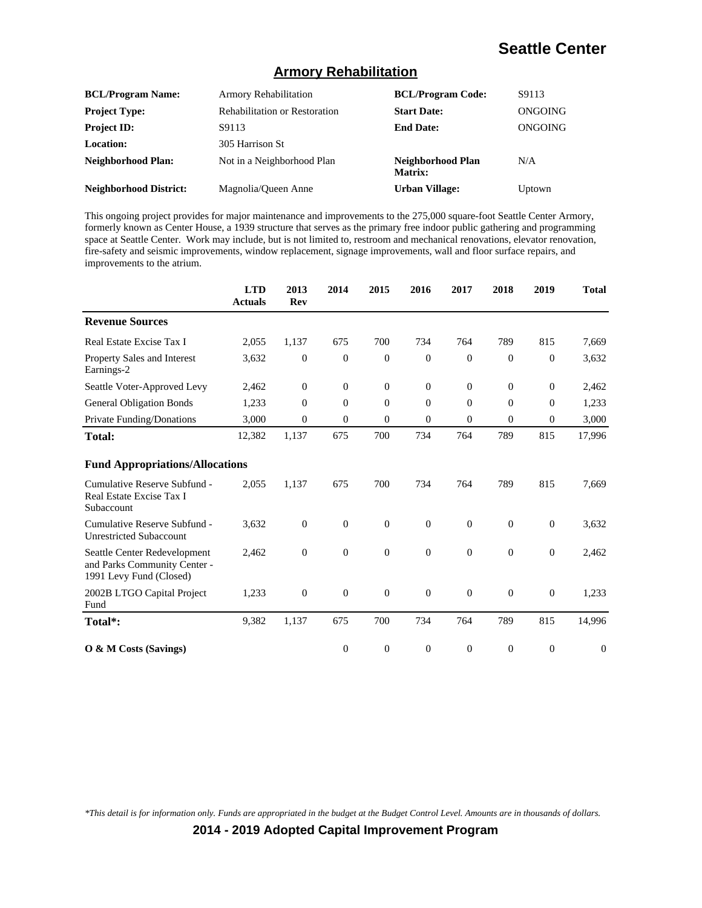#### **Armory Rehabilitation**

| <b>BCL/Program Name:</b>      | <b>Armory Rehabilitation</b>         | <b>BCL/Program Code:</b>     | S9113   |
|-------------------------------|--------------------------------------|------------------------------|---------|
| <b>Project Type:</b>          | <b>Rehabilitation or Restoration</b> | <b>Start Date:</b>           | ONGOING |
| <b>Project ID:</b>            | S9113                                | <b>End Date:</b>             | ONGOING |
| <b>Location:</b>              | 305 Harrison St                      |                              |         |
| <b>Neighborhood Plan:</b>     | Not in a Neighborhood Plan           | Neighborhood Plan<br>Matrix: | N/A     |
| <b>Neighborhood District:</b> | Magnolia/Queen Anne                  | <b>Urban Village:</b>        | Uptown  |

This ongoing project provides for major maintenance and improvements to the 275,000 square-foot Seattle Center Armory, formerly known as Center House, a 1939 structure that serves as the primary free indoor public gathering and programming space at Seattle Center. Work may include, but is not limited to, restroom and mechanical renovations, elevator renovation, fire-safety and seismic improvements, window replacement, signage improvements, wall and floor surface repairs, and improvements to the atrium.

|                                                                                         | <b>LTD</b><br>Actuals | 2013<br><b>Rev</b> | 2014             | 2015             | 2016           | 2017           | 2018             | 2019             | <b>Total</b>     |
|-----------------------------------------------------------------------------------------|-----------------------|--------------------|------------------|------------------|----------------|----------------|------------------|------------------|------------------|
| <b>Revenue Sources</b>                                                                  |                       |                    |                  |                  |                |                |                  |                  |                  |
| Real Estate Excise Tax I                                                                | 2,055                 | 1,137              | 675              | 700              | 734            | 764            | 789              | 815              | 7,669            |
| <b>Property Sales and Interest</b><br>Earnings-2                                        | 3,632                 | $\theta$           | $\theta$         | $\overline{0}$   | $\theta$       | $\Omega$       | $\Omega$         | $\mathbf{0}$     | 3,632            |
| Seattle Voter-Approved Levy                                                             | 2,462                 | $\boldsymbol{0}$   | $\mathbf{0}$     | $\mathbf{0}$     | $\mathbf{0}$   | $\mathbf{0}$   | $\boldsymbol{0}$ | $\boldsymbol{0}$ | 2,462            |
| <b>General Obligation Bonds</b>                                                         | 1,233                 | $\theta$           | $\theta$         | $\theta$         | $\theta$       | $\Omega$       | $\Omega$         | $\mathbf{0}$     | 1,233            |
| Private Funding/Donations                                                               | 3,000                 | $\theta$           | $\theta$         | $\theta$         | $\theta$       | $\overline{0}$ | $\theta$         | $\overline{0}$   | 3,000            |
| <b>Total:</b>                                                                           | 12,382                | 1,137              | 675              | 700              | 734            | 764            | 789              | 815              | 17,996           |
| <b>Fund Appropriations/Allocations</b>                                                  |                       |                    |                  |                  |                |                |                  |                  |                  |
| Cumulative Reserve Subfund -<br>Real Estate Excise Tax I<br>Subaccount                  | 2,055                 | 1,137              | 675              | 700              | 734            | 764            | 789              | 815              | 7,669            |
| Cumulative Reserve Subfund -<br><b>Unrestricted Subaccount</b>                          | 3,632                 | $\overline{0}$     | $\overline{0}$   | $\mathbf{0}$     | $\overline{0}$ | $\theta$       | $\theta$         | $\mathbf{0}$     | 3,632            |
| Seattle Center Redevelopment<br>and Parks Community Center -<br>1991 Levy Fund (Closed) | 2,462                 | $\boldsymbol{0}$   | $\overline{0}$   | $\boldsymbol{0}$ | $\overline{0}$ | $\mathbf{0}$   | $\theta$         | $\mathbf{0}$     | 2,462            |
| 2002B LTGO Capital Project<br>Fund                                                      | 1,233                 | $\boldsymbol{0}$   | $\boldsymbol{0}$ | $\boldsymbol{0}$ | $\mathbf{0}$   | $\theta$       | $\theta$         | $\mathbf{0}$     | 1,233            |
| Total*:                                                                                 | 9,382                 | 1,137              | 675              | 700              | 734            | 764            | 789              | 815              | 14,996           |
| O & M Costs (Savings)                                                                   |                       |                    | $\boldsymbol{0}$ | $\mathbf{0}$     | $\theta$       | $\theta$       | $\theta$         | $\boldsymbol{0}$ | $\boldsymbol{0}$ |

*\*This detail is for information only. Funds are appropriated in the budget at the Budget Control Level. Amounts are in thousands of dollars.*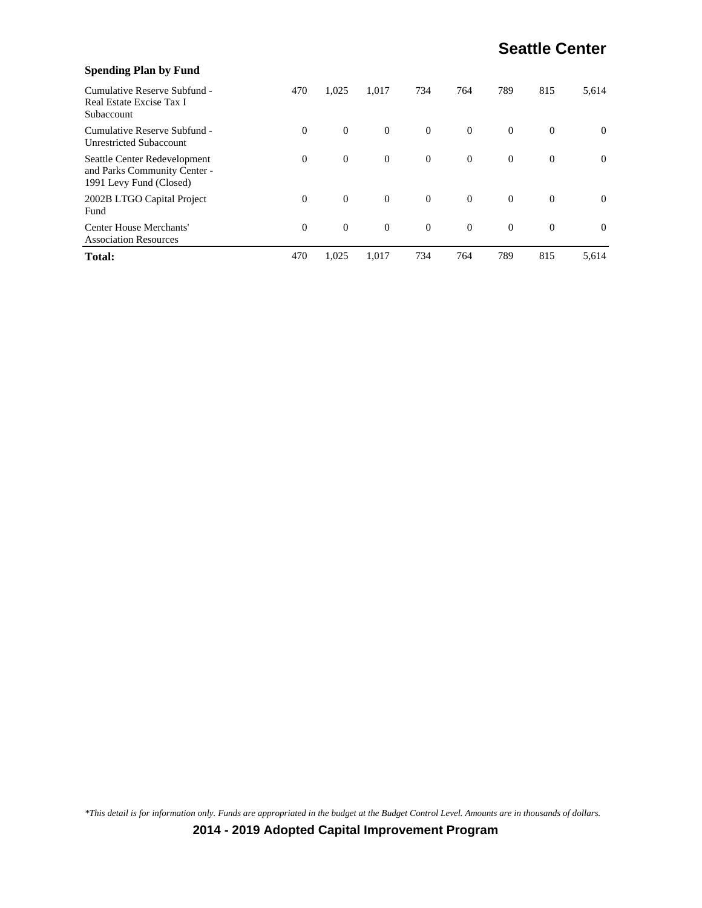| <b>Spending Plan by Fund</b>                                                            |          |          |                |                |          |                |          |          |
|-----------------------------------------------------------------------------------------|----------|----------|----------------|----------------|----------|----------------|----------|----------|
| Cumulative Reserve Subfund -<br>Real Estate Excise Tax I<br>Subaccount                  | 470      | 1,025    | 1,017          | 734            | 764      | 789            | 815      | 5,614    |
| Cumulative Reserve Subfund -<br><b>Unrestricted Subaccount</b>                          | $\theta$ | $\theta$ | $\overline{0}$ | $\overline{0}$ | $\Omega$ | $\overline{0}$ | $\theta$ | $\theta$ |
| Seattle Center Redevelopment<br>and Parks Community Center -<br>1991 Levy Fund (Closed) | $\theta$ | $\theta$ | $\overline{0}$ | $\overline{0}$ | $\theta$ | $\overline{0}$ | $\theta$ | $\Omega$ |
| 2002B LTGO Capital Project<br>Fund                                                      | $\Omega$ | $\theta$ | $\mathbf{0}$   | $\Omega$       | $\Omega$ | $\overline{0}$ | $\theta$ | $\theta$ |
| <b>Center House Merchants'</b><br><b>Association Resources</b>                          | $\theta$ | $\theta$ | $\overline{0}$ | $\Omega$       | $\Omega$ | $\overline{0}$ | $\theta$ | $\Omega$ |
| <b>Total:</b>                                                                           | 470      | 1,025    | 1.017          | 734            | 764      | 789            | 815      | 5,614    |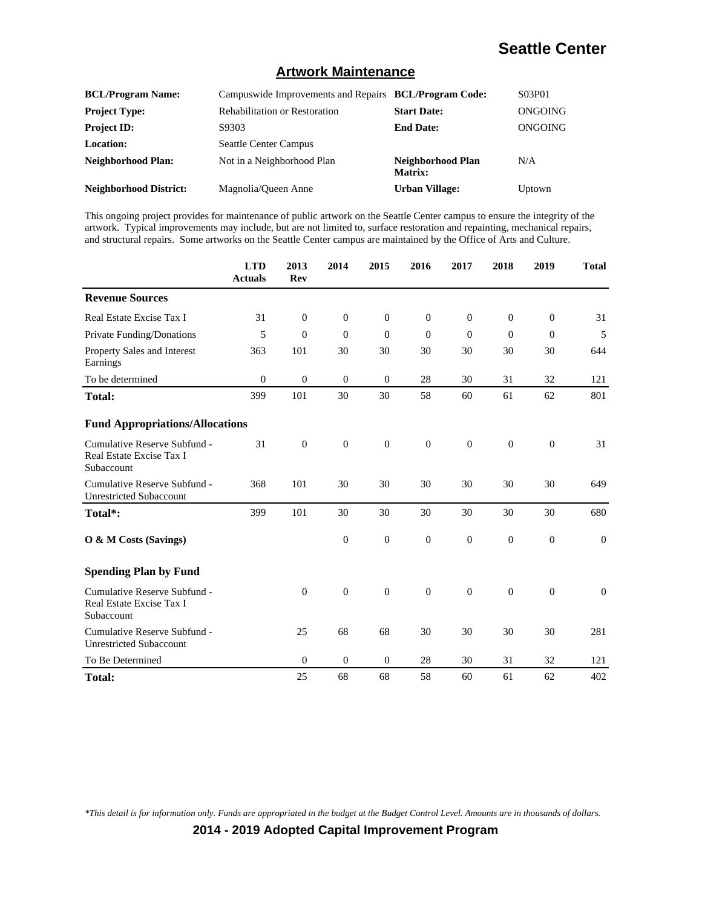#### **Artwork Maintenance**

| <b>BCL/Program Name:</b>      | Campuswide Improvements and Repairs BCL/Program Code: |                              | S03P01         |
|-------------------------------|-------------------------------------------------------|------------------------------|----------------|
| <b>Project Type:</b>          | <b>Rehabilitation or Restoration</b>                  | <b>Start Date:</b>           | <b>ONGOING</b> |
| <b>Project ID:</b>            | S9303                                                 | <b>End Date:</b>             | ONGOING        |
| Location:                     | <b>Seattle Center Campus</b>                          |                              |                |
| Neighborhood Plan:            | Not in a Neighborhood Plan                            | Neighborhood Plan<br>Matrix: | N/A            |
| <b>Neighborhood District:</b> | Magnolia/Oueen Anne                                   | <b>Urban Village:</b>        | Uptown         |

This ongoing project provides for maintenance of public artwork on the Seattle Center campus to ensure the integrity of the artwork. Typical improvements may include, but are not limited to, surface restoration and repainting, mechanical repairs, and structural repairs. Some artworks on the Seattle Center campus are maintained by the Office of Arts and Culture.

|                                                                        | <b>LTD</b><br><b>Actuals</b> | 2013<br><b>Rev</b> | 2014             | 2015             | 2016           | 2017         | 2018         | 2019           | <b>Total</b> |
|------------------------------------------------------------------------|------------------------------|--------------------|------------------|------------------|----------------|--------------|--------------|----------------|--------------|
| <b>Revenue Sources</b>                                                 |                              |                    |                  |                  |                |              |              |                |              |
| Real Estate Excise Tax I                                               | 31                           | $\theta$           | $\mathbf{0}$     | $\theta$         | $\overline{0}$ | $\theta$     | $\theta$     | $\theta$       | 31           |
| Private Funding/Donations                                              | 5                            | $\overline{0}$     | $\Omega$         | $\theta$         | $\Omega$       | $\Omega$     | $\Omega$     | $\overline{0}$ | 5            |
| <b>Property Sales and Interest</b><br>Earnings                         | 363                          | 101                | 30               | 30               | 30             | 30           | 30           | 30             | 644          |
| To be determined                                                       | $\mathbf{0}$                 | $\mathbf{0}$       | $\mathbf{0}$     | $\boldsymbol{0}$ | 28             | 30           | 31           | 32             | 121          |
| <b>Total:</b>                                                          | 399                          | 101                | 30               | 30               | 58             | 60           | 61           | 62             | 801          |
| <b>Fund Appropriations/Allocations</b>                                 |                              |                    |                  |                  |                |              |              |                |              |
| Cumulative Reserve Subfund -<br>Real Estate Excise Tax I<br>Subaccount | 31                           | $\mathbf{0}$       | $\mathbf{0}$     | $\boldsymbol{0}$ | $\mathbf{0}$   | $\mathbf{0}$ | $\mathbf{0}$ | $\mathbf{0}$   | 31           |
| Cumulative Reserve Subfund -<br><b>Unrestricted Subaccount</b>         | 368                          | 101                | 30               | 30               | 30             | 30           | 30           | 30             | 649          |
| Total*:                                                                | 399                          | 101                | 30               | 30               | 30             | 30           | 30           | 30             | 680          |
| O & M Costs (Savings)                                                  |                              |                    | $\mathbf{0}$     | $\boldsymbol{0}$ | $\overline{0}$ | $\theta$     | $\mathbf{0}$ | $\theta$       | $\theta$     |
| <b>Spending Plan by Fund</b>                                           |                              |                    |                  |                  |                |              |              |                |              |
| Cumulative Reserve Subfund -<br>Real Estate Excise Tax I<br>Subaccount |                              | $\theta$           | $\boldsymbol{0}$ | $\boldsymbol{0}$ | $\mathbf{0}$   | $\theta$     | $\mathbf{0}$ | $\mathbf{0}$   | $\mathbf{0}$ |
| Cumulative Reserve Subfund -<br><b>Unrestricted Subaccount</b>         |                              | 25                 | 68               | 68               | 30             | 30           | 30           | 30             | 281          |
| To Be Determined                                                       |                              | $\boldsymbol{0}$   | $\mathbf{0}$     | $\theta$         | 28             | 30           | 31           | 32             | 121          |
| <b>Total:</b>                                                          |                              | 25                 | 68               | 68               | 58             | 60           | 61           | 62             | 402          |

*\*This detail is for information only. Funds are appropriated in the budget at the Budget Control Level. Amounts are in thousands of dollars.*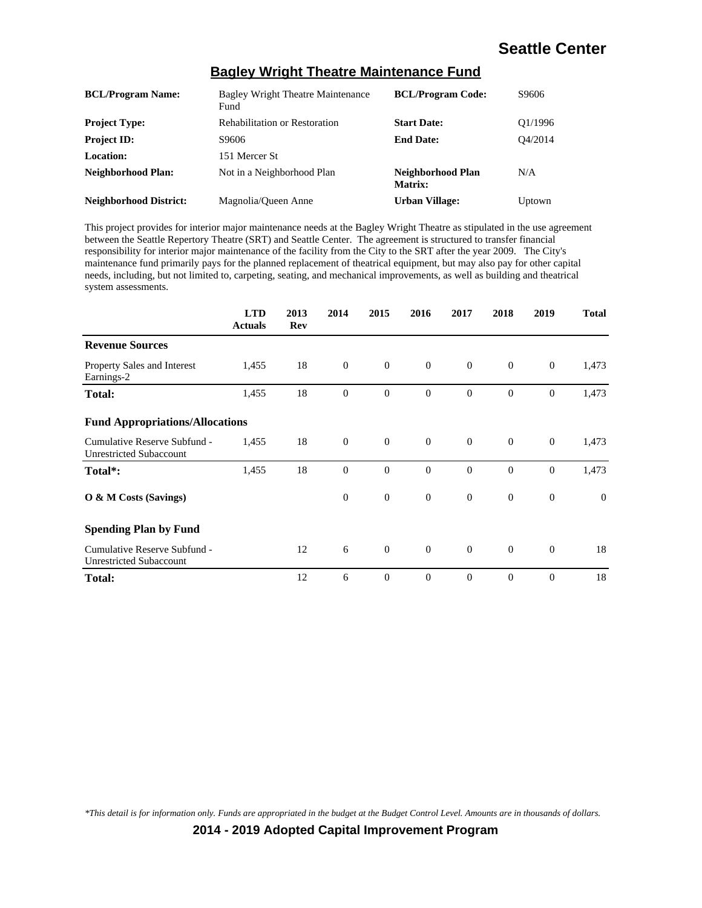| <b>BCL/Program Name:</b>      | <b>Bagley Wright Theatre Maintenance</b><br>Fund | <b>BCL/Program Code:</b>     | S9606   |
|-------------------------------|--------------------------------------------------|------------------------------|---------|
| <b>Project Type:</b>          | <b>Rehabilitation or Restoration</b>             | <b>Start Date:</b>           | O1/1996 |
| <b>Project ID:</b>            | S9606                                            | <b>End Date:</b>             | O4/2014 |
| Location:                     | 151 Mercer St                                    |                              |         |
| <b>Neighborhood Plan:</b>     | Not in a Neighborhood Plan                       | Neighborhood Plan<br>Matrix: | N/A     |
| <b>Neighborhood District:</b> | Magnolia/Queen Anne                              | <b>Urban Village:</b>        | Uptown  |

#### **Bagley Wright Theatre Maintenance Fund**

This project provides for interior major maintenance needs at the Bagley Wright Theatre as stipulated in the use agreement between the Seattle Repertory Theatre (SRT) and Seattle Center. The agreement is structured to transfer financial responsibility for interior major maintenance of the facility from the City to the SRT after the year 2009. The City's maintenance fund primarily pays for the planned replacement of theatrical equipment, but may also pay for other capital needs, including, but not limited to, carpeting, seating, and mechanical improvements, as well as building and theatrical system assessments.

|                                                                | <b>LTD</b><br><b>Actuals</b> | 2013<br>Rev | 2014           | 2015           | 2016         | 2017           | 2018           | 2019             | <b>Total</b> |
|----------------------------------------------------------------|------------------------------|-------------|----------------|----------------|--------------|----------------|----------------|------------------|--------------|
| <b>Revenue Sources</b>                                         |                              |             |                |                |              |                |                |                  |              |
| Property Sales and Interest<br>Earnings-2                      | 1,455                        | 18          | $\overline{0}$ | $\mathbf{0}$   | $\mathbf{0}$ | $\overline{0}$ | $\overline{0}$ | $\mathbf{0}$     | 1,473        |
| <b>Total:</b>                                                  | 1,455                        | 18          | $\mathbf{0}$   | $\mathbf{0}$   | $\mathbf{0}$ | $\mathbf{0}$   | $\mathbf{0}$   | $\boldsymbol{0}$ | 1,473        |
| <b>Fund Appropriations/Allocations</b>                         |                              |             |                |                |              |                |                |                  |              |
| Cumulative Reserve Subfund -<br><b>Unrestricted Subaccount</b> | 1,455                        | 18          | $\overline{0}$ | $\mathbf{0}$   | $\mathbf{0}$ | $\overline{0}$ | $\mathbf{0}$   | $\mathbf{0}$     | 1,473        |
| Total*:                                                        | 1,455                        | 18          | $\theta$       | $\mathbf{0}$   | $\theta$     | $\overline{0}$ | $\theta$       | $\mathbf{0}$     | 1,473        |
| O & M Costs (Savings)                                          |                              |             | $\theta$       | $\theta$       | $\theta$     | $\overline{0}$ | $\theta$       | $\mathbf{0}$     | $\mathbf{0}$ |
| <b>Spending Plan by Fund</b>                                   |                              |             |                |                |              |                |                |                  |              |
| Cumulative Reserve Subfund -<br>Unrestricted Subaccount        |                              | 12          | 6              | $\mathbf{0}$   | $\mathbf{0}$ | $\overline{0}$ | $\mathbf{0}$   | $\theta$         | 18           |
| <b>Total:</b>                                                  |                              | 12          | 6              | $\overline{0}$ | $\theta$     | $\theta$       | $\theta$       | $\overline{0}$   | 18           |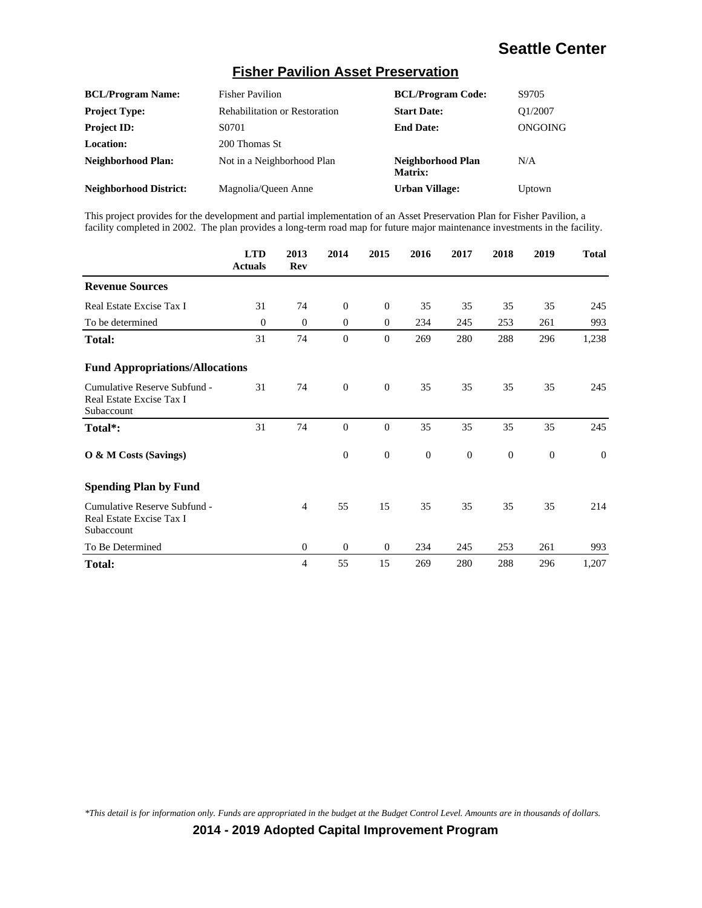#### **Fisher Pavilion Asset Preservation**

| <b>BCL/Program Name:</b>      | <b>Fisher Pavilion</b>               | <b>BCL/Program Code:</b>            | S9705   |
|-------------------------------|--------------------------------------|-------------------------------------|---------|
| <b>Project Type:</b>          | <b>Rehabilitation or Restoration</b> | <b>Start Date:</b>                  | O1/2007 |
| <b>Project ID:</b>            | S0701                                | <b>End Date:</b>                    | ONGOING |
| Location:                     | 200 Thomas St                        |                                     |         |
| <b>Neighborhood Plan:</b>     | Not in a Neighborhood Plan           | Neighborhood Plan<br><b>Matrix:</b> | N/A     |
| <b>Neighborhood District:</b> | Magnolia/Queen Anne                  | <b>Urban Village:</b>               | Uptown  |

This project provides for the development and partial implementation of an Asset Preservation Plan for Fisher Pavilion, a facility completed in 2002. The plan provides a long-term road map for future major maintenance investments in the facility.

|                                                                        | <b>LTD</b><br><b>Actuals</b> | 2013<br>Rev | 2014             | 2015             | 2016           | 2017     | 2018         | 2019             | <b>Total</b>   |
|------------------------------------------------------------------------|------------------------------|-------------|------------------|------------------|----------------|----------|--------------|------------------|----------------|
| <b>Revenue Sources</b>                                                 |                              |             |                  |                  |                |          |              |                  |                |
| Real Estate Excise Tax I                                               | 31                           | 74          | $\boldsymbol{0}$ | $\mathbf{0}$     | 35             | 35       | 35           | 35               | 245            |
| To be determined                                                       | $\theta$                     | $\theta$    | $\mathbf{0}$     | $\theta$         | 234            | 245      | 253          | 261              | 993            |
| Total:                                                                 | 31                           | 74          | $\mathbf{0}$     | $\theta$         | 269            | 280      | 288          | 296              | 1,238          |
| <b>Fund Appropriations/Allocations</b>                                 |                              |             |                  |                  |                |          |              |                  |                |
| Cumulative Reserve Subfund -<br>Real Estate Excise Tax I<br>Subaccount | 31                           | 74          | $\mathbf{0}$     | $\mathbf{0}$     | 35             | 35       | 35           | 35               | 245            |
| Total*:                                                                | 31                           | 74          | $\mathbf{0}$     | $\boldsymbol{0}$ | 35             | 35       | 35           | 35               | 245            |
| O & M Costs (Savings)                                                  |                              |             | $\boldsymbol{0}$ | $\boldsymbol{0}$ | $\overline{0}$ | $\theta$ | $\mathbf{0}$ | $\boldsymbol{0}$ | $\overline{0}$ |
| <b>Spending Plan by Fund</b>                                           |                              |             |                  |                  |                |          |              |                  |                |
| Cumulative Reserve Subfund -<br>Real Estate Excise Tax I<br>Subaccount |                              | 4           | 55               | 15               | 35             | 35       | 35           | 35               | 214            |
| To Be Determined                                                       |                              | $\theta$    | $\mathbf{0}$     | $\mathbf{0}$     | 234            | 245      | 253          | 261              | 993            |
| Total:                                                                 |                              | 4           | 55               | 15               | 269            | 280      | 288          | 296              | 1,207          |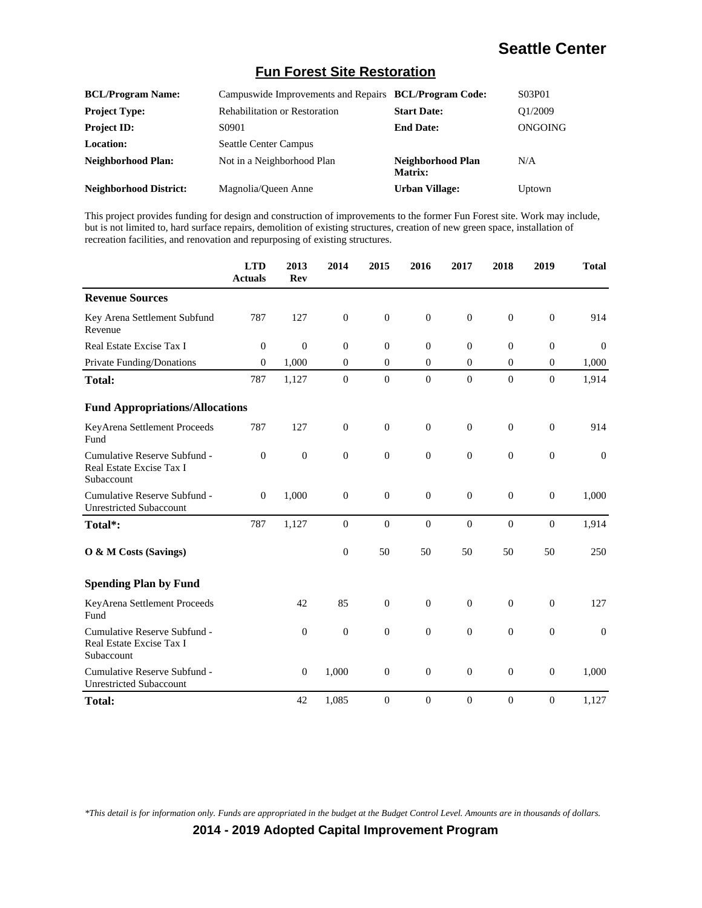#### **Fun Forest Site Restoration**

| <b>BCL/Program Name:</b>      | Campuswide Improvements and Repairs BCL/Program Code: |                                     | S03P01  |
|-------------------------------|-------------------------------------------------------|-------------------------------------|---------|
| <b>Project Type:</b>          | <b>Rehabilitation or Restoration</b>                  | <b>Start Date:</b>                  | O1/2009 |
| <b>Project ID:</b>            | S0901                                                 | <b>End Date:</b>                    | ONGOING |
| Location:                     | <b>Seattle Center Campus</b>                          |                                     |         |
| <b>Neighborhood Plan:</b>     | Not in a Neighborhood Plan                            | Neighborhood Plan<br><b>Matrix:</b> | N/A     |
| <b>Neighborhood District:</b> | Magnolia/Queen Anne                                   | <b>Urban Village:</b>               | Uptown  |

This project provides funding for design and construction of improvements to the former Fun Forest site. Work may include, but is not limited to, hard surface repairs, demolition of existing structures, creation of new green space, installation of recreation facilities, and renovation and repurposing of existing structures.

|                                                                        | <b>LTD</b><br><b>Actuals</b> | 2013<br><b>Rev</b> | 2014             | 2015             | 2016             | 2017             | 2018             | 2019             | <b>Total</b>     |
|------------------------------------------------------------------------|------------------------------|--------------------|------------------|------------------|------------------|------------------|------------------|------------------|------------------|
| <b>Revenue Sources</b>                                                 |                              |                    |                  |                  |                  |                  |                  |                  |                  |
| Key Arena Settlement Subfund<br>Revenue                                | 787                          | 127                | $\boldsymbol{0}$ | $\boldsymbol{0}$ | $\mathbf{0}$     | $\boldsymbol{0}$ | $\boldsymbol{0}$ | $\boldsymbol{0}$ | 914              |
| Real Estate Excise Tax I                                               | $\mathbf{0}$                 | $\theta$           | $\mathbf{0}$     | $\theta$         | $\mathbf{0}$     | $\theta$         | $\theta$         | $\boldsymbol{0}$ | $\theta$         |
| Private Funding/Donations                                              | $\mathbf{0}$                 | 1,000              | $\theta$         | $\theta$         | $\overline{0}$   | $\overline{0}$   | $\overline{0}$   | $\boldsymbol{0}$ | 1,000            |
| <b>Total:</b>                                                          | 787                          | 1,127              | $\boldsymbol{0}$ | $\mathbf{0}$     | $\mathbf{0}$     | $\mathbf{0}$     | $\overline{0}$   | $\mathbf{0}$     | 1,914            |
| <b>Fund Appropriations/Allocations</b>                                 |                              |                    |                  |                  |                  |                  |                  |                  |                  |
| KeyArena Settlement Proceeds<br>Fund                                   | 787                          | 127                | $\boldsymbol{0}$ | $\boldsymbol{0}$ | $\mathbf{0}$     | $\boldsymbol{0}$ | $\boldsymbol{0}$ | $\boldsymbol{0}$ | 914              |
| Cumulative Reserve Subfund -<br>Real Estate Excise Tax I<br>Subaccount | $\theta$                     | $\boldsymbol{0}$   | $\mathbf{0}$     | $\overline{0}$   | $\mathbf{0}$     | $\overline{0}$   | $\boldsymbol{0}$ | $\overline{0}$   | $\theta$         |
| Cumulative Reserve Subfund -<br><b>Unrestricted Subaccount</b>         | $\overline{0}$               | 1,000              | $\mathbf{0}$     | $\boldsymbol{0}$ | $\mathbf{0}$     | $\overline{0}$   | $\mathbf{0}$     | $\boldsymbol{0}$ | 1,000            |
| Total*:                                                                | 787                          | 1,127              | $\boldsymbol{0}$ | $\boldsymbol{0}$ | $\mathbf{0}$     | $\boldsymbol{0}$ | $\overline{0}$   | $\overline{0}$   | 1,914            |
| O & M Costs (Savings)                                                  |                              |                    | $\boldsymbol{0}$ | 50               | 50               | 50               | 50               | 50               | 250              |
| <b>Spending Plan by Fund</b>                                           |                              |                    |                  |                  |                  |                  |                  |                  |                  |
| KeyArena Settlement Proceeds<br>Fund                                   |                              | 42                 | 85               | $\overline{0}$   | $\mathbf{0}$     | $\overline{0}$   | $\mathbf{0}$     | $\overline{0}$   | 127              |
| Cumulative Reserve Subfund -<br>Real Estate Excise Tax I<br>Subaccount |                              | $\boldsymbol{0}$   | $\boldsymbol{0}$ | $\boldsymbol{0}$ | $\boldsymbol{0}$ | $\boldsymbol{0}$ | $\boldsymbol{0}$ | $\boldsymbol{0}$ | $\boldsymbol{0}$ |
| Cumulative Reserve Subfund -<br><b>Unrestricted Subaccount</b>         |                              | $\boldsymbol{0}$   | 1,000            | $\boldsymbol{0}$ | $\boldsymbol{0}$ | $\boldsymbol{0}$ | $\boldsymbol{0}$ | $\boldsymbol{0}$ | 1,000            |
| <b>Total:</b>                                                          |                              | 42                 | 1,085            | $\boldsymbol{0}$ | $\mathbf{0}$     | $\boldsymbol{0}$ | $\boldsymbol{0}$ | $\boldsymbol{0}$ | 1,127            |

*\*This detail is for information only. Funds are appropriated in the budget at the Budget Control Level. Amounts are in thousands of dollars.*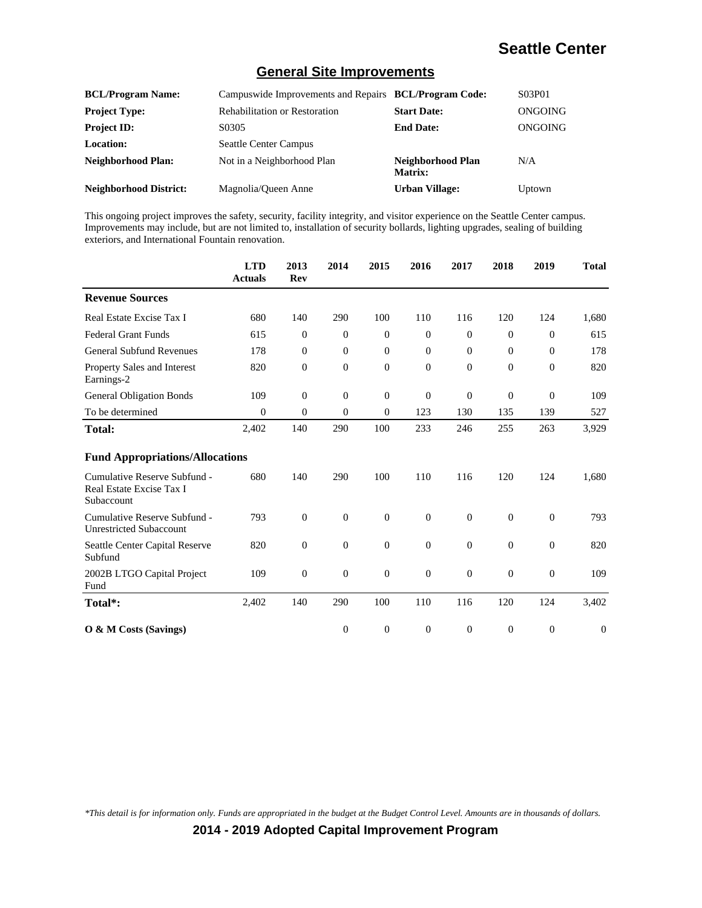#### **General Site Improvements**

| <b>BCL/Program Name:</b>      | Campuswide Improvements and Repairs BCL/Program Code: |                                     | S03P01  |
|-------------------------------|-------------------------------------------------------|-------------------------------------|---------|
| <b>Project Type:</b>          | <b>Rehabilitation or Restoration</b>                  | <b>Start Date:</b>                  | ONGOING |
| <b>Project ID:</b>            | S0305                                                 | <b>End Date:</b>                    | ONGOING |
| <b>Location:</b>              | <b>Seattle Center Campus</b>                          |                                     |         |
| <b>Neighborhood Plan:</b>     | Not in a Neighborhood Plan                            | Neighborhood Plan<br><b>Matrix:</b> | N/A     |
| <b>Neighborhood District:</b> | Magnolia/Queen Anne                                   | <b>Urban Village:</b>               | Uptown  |

This ongoing project improves the safety, security, facility integrity, and visitor experience on the Seattle Center campus. Improvements may include, but are not limited to, installation of security bollards, lighting upgrades, sealing of building exteriors, and International Fountain renovation.

|                                                                        | <b>LTD</b><br><b>Actuals</b> | 2013<br><b>Rev</b> | 2014           | 2015             | 2016           | 2017     | 2018             | 2019           | <b>Total</b> |
|------------------------------------------------------------------------|------------------------------|--------------------|----------------|------------------|----------------|----------|------------------|----------------|--------------|
| <b>Revenue Sources</b>                                                 |                              |                    |                |                  |                |          |                  |                |              |
| Real Estate Excise Tax I                                               | 680                          | 140                | 290            | 100              | 110            | 116      | 120              | 124            | 1,680        |
| <b>Federal Grant Funds</b>                                             | 615                          | $\theta$           | $\overline{0}$ | $\boldsymbol{0}$ | $\overline{0}$ | $\theta$ | 0                | $\theta$       | 615          |
| <b>General Subfund Revenues</b>                                        | 178                          | $\mathbf{0}$       | $\overline{0}$ | $\theta$         | $\theta$       | $\theta$ | $\overline{0}$   | $\theta$       | 178          |
| Property Sales and Interest<br>Earnings-2                              | 820                          | $\theta$           | $\overline{0}$ | $\mathbf{0}$     | $\theta$       | $\Omega$ | $\overline{0}$   | $\overline{0}$ | 820          |
| <b>General Obligation Bonds</b>                                        | 109                          | $\Omega$           | $\Omega$       | $\mathbf{0}$     | $\overline{0}$ | $\theta$ | $\overline{0}$   | $\overline{0}$ | 109          |
| To be determined                                                       | $\theta$                     | $\theta$           | $\overline{0}$ | $\mathbf{0}$     | 123            | 130      | 135              | 139            | 527          |
| <b>Total:</b>                                                          | 2,402                        | 140                | 290            | 100              | 233            | 246      | 255              | 263            | 3,929        |
| <b>Fund Appropriations/Allocations</b>                                 |                              |                    |                |                  |                |          |                  |                |              |
| Cumulative Reserve Subfund -<br>Real Estate Excise Tax I<br>Subaccount | 680                          | 140                | 290            | 100              | 110            | 116      | 120              | 124            | 1,680        |
| Cumulative Reserve Subfund -<br><b>Unrestricted Subaccount</b>         | 793                          | $\overline{0}$     | $\overline{0}$ | $\mathbf{0}$     | $\overline{0}$ | $\theta$ | $\overline{0}$   | $\overline{0}$ | 793          |
| Seattle Center Capital Reserve<br>Subfund                              | 820                          | $\theta$           | $\overline{0}$ | $\theta$         | $\theta$       | $\theta$ | $\mathbf{0}$     | $\theta$       | 820          |
| 2002B LTGO Capital Project<br>Fund                                     | 109                          | $\theta$           | $\overline{0}$ | $\boldsymbol{0}$ | $\overline{0}$ | $\theta$ | $\boldsymbol{0}$ | $\overline{0}$ | 109          |
| Total*:                                                                | 2,402                        | 140                | 290            | 100              | 110            | 116      | 120              | 124            | 3,402        |
| O & M Costs (Savings)                                                  |                              |                    | $\overline{0}$ | $\theta$         | $\Omega$       | $\Omega$ | $\overline{0}$   | $\overline{0}$ | $\Omega$     |

*\*This detail is for information only. Funds are appropriated in the budget at the Budget Control Level. Amounts are in thousands of dollars.*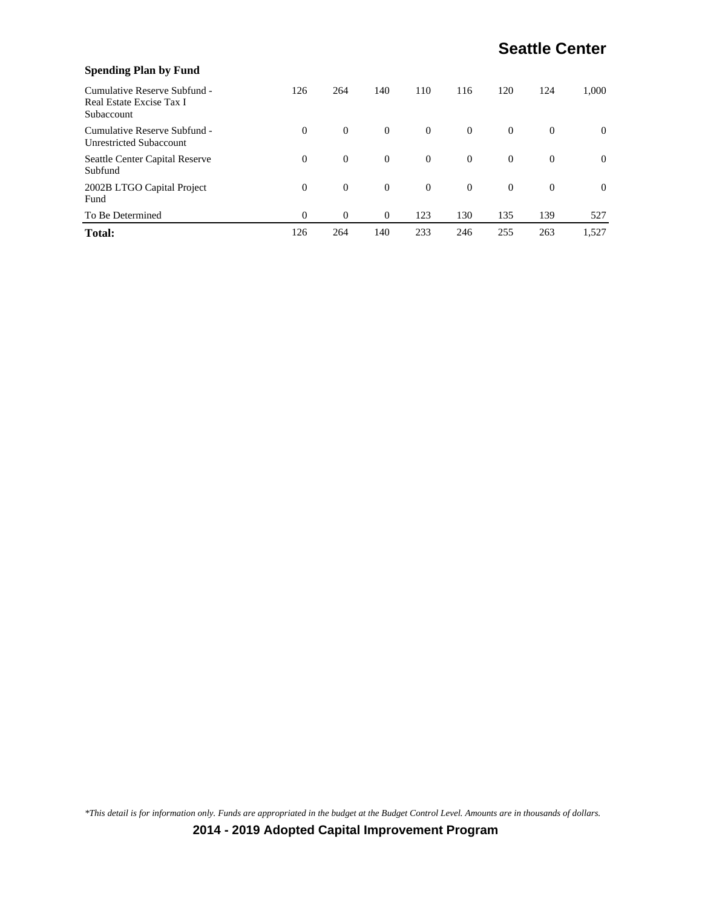| <b>Spending Plan by Fund</b>                                           |          |          |                |          |          |                |              |          |
|------------------------------------------------------------------------|----------|----------|----------------|----------|----------|----------------|--------------|----------|
| Cumulative Reserve Subfund -<br>Real Estate Excise Tax I<br>Subaccount | 126      | 264      | 140            | 110      | 116      | 120            | 124          | 1.000    |
| Cumulative Reserve Subfund -<br><b>Unrestricted Subaccount</b>         | $\Omega$ | $\theta$ | $\overline{0}$ | $\theta$ | $\Omega$ | $\theta$       | $\Omega$     | $\theta$ |
| Seattle Center Capital Reserve<br>Subfund                              | $\Omega$ | $\theta$ | $\overline{0}$ | $\theta$ | $\theta$ | $\theta$       | $\Omega$     | $\theta$ |
| 2002B LTGO Capital Project<br>Fund                                     | $\Omega$ | $\theta$ | $\overline{0}$ | $\theta$ | $\theta$ | $\overline{0}$ | $\mathbf{0}$ | $\Omega$ |
| To Be Determined                                                       | $\theta$ | $\Omega$ | $\theta$       | 123      | 130      | 135            | 139          | 527      |
| <b>Total:</b>                                                          | 126      | 264      | 140            | 233      | 246      | 255            | 263          | 1,527    |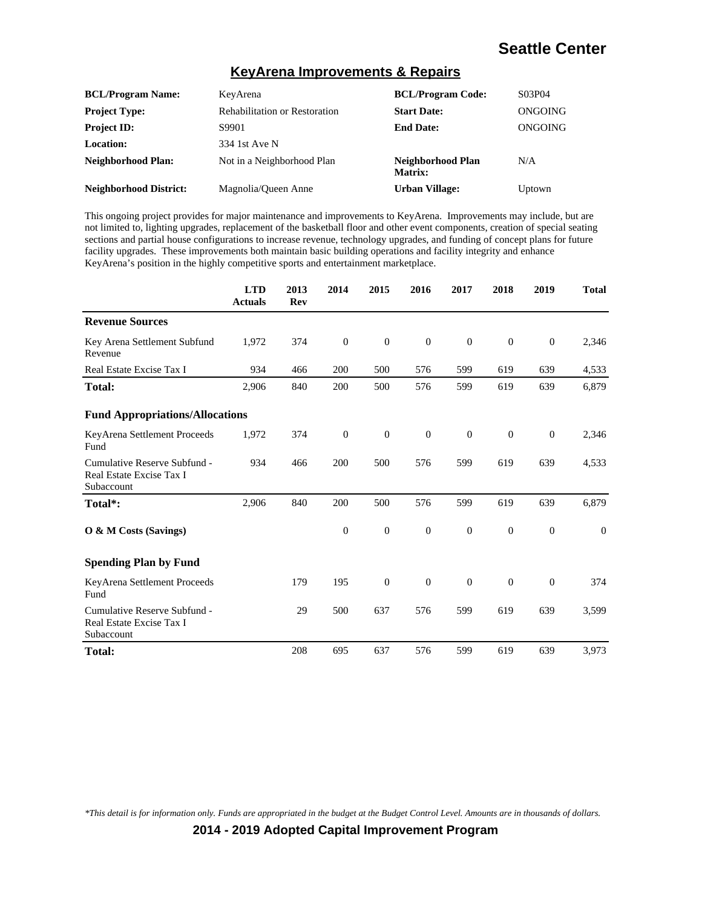#### **KeyArena Improvements & Repairs**

| <b>BCL/Program Name:</b>      | KeyArena                             | <b>BCL/Program Code:</b>     | S03P04  |
|-------------------------------|--------------------------------------|------------------------------|---------|
| <b>Project Type:</b>          | <b>Rehabilitation or Restoration</b> | <b>Start Date:</b>           | ONGOING |
| <b>Project ID:</b>            | S9901                                | <b>End Date:</b>             | ONGOING |
| <b>Location:</b>              | 334 1st Ave N                        |                              |         |
| Neighborhood Plan:            | Not in a Neighborhood Plan           | Neighborhood Plan<br>Matrix: | N/A     |
| <b>Neighborhood District:</b> | Magnolia/Queen Anne                  | <b>Urban Village:</b>        | Uptown  |

This ongoing project provides for major maintenance and improvements to KeyArena. Improvements may include, but are not limited to, lighting upgrades, replacement of the basketball floor and other event components, creation of special seating sections and partial house configurations to increase revenue, technology upgrades, and funding of concept plans for future facility upgrades. These improvements both maintain basic building operations and facility integrity and enhance KeyArena's position in the highly competitive sports and entertainment marketplace.

|                                                                        | <b>LTD</b><br><b>Actuals</b> | 2013<br>Rev | 2014             | 2015             | 2016           | 2017     | 2018           | 2019         | <b>Total</b> |
|------------------------------------------------------------------------|------------------------------|-------------|------------------|------------------|----------------|----------|----------------|--------------|--------------|
| <b>Revenue Sources</b>                                                 |                              |             |                  |                  |                |          |                |              |              |
| Key Arena Settlement Subfund<br>Revenue                                | 1,972                        | 374         | $\overline{0}$   | $\boldsymbol{0}$ | $\overline{0}$ | $\theta$ | $\theta$       | $\mathbf{0}$ | 2,346        |
| Real Estate Excise Tax I                                               | 934                          | 466         | 200              | 500              | 576            | 599      | 619            | 639          | 4,533        |
| <b>Total:</b>                                                          | 2,906                        | 840         | 200              | 500              | 576            | 599      | 619            | 639          | 6,879        |
| <b>Fund Appropriations/Allocations</b>                                 |                              |             |                  |                  |                |          |                |              |              |
| KeyArena Settlement Proceeds<br>Fund                                   | 1,972                        | 374         | $\boldsymbol{0}$ | $\mathbf{0}$     | $\overline{0}$ | $\theta$ | $\overline{0}$ | $\mathbf{0}$ | 2,346        |
| Cumulative Reserve Subfund -<br>Real Estate Excise Tax I<br>Subaccount | 934                          | 466         | 200              | 500              | 576            | 599      | 619            | 639          | 4,533        |
| Total*:                                                                | 2,906                        | 840         | 200              | 500              | 576            | 599      | 619            | 639          | 6,879        |
| O & M Costs (Savings)                                                  |                              |             | $\overline{0}$   | $\mathbf{0}$     | $\overline{0}$ | $\theta$ | $\overline{0}$ | $\mathbf{0}$ | $\mathbf{0}$ |
| <b>Spending Plan by Fund</b>                                           |                              |             |                  |                  |                |          |                |              |              |
| KeyArena Settlement Proceeds<br>Fund                                   |                              | 179         | 195              | $\mathbf{0}$     | $\overline{0}$ | $\theta$ | $\overline{0}$ | $\mathbf{0}$ | 374          |
| Cumulative Reserve Subfund -<br>Real Estate Excise Tax I<br>Subaccount |                              | 29          | 500              | 637              | 576            | 599      | 619            | 639          | 3,599        |
| Total:                                                                 |                              | 208         | 695              | 637              | 576            | 599      | 619            | 639          | 3,973        |

*\*This detail is for information only. Funds are appropriated in the budget at the Budget Control Level. Amounts are in thousands of dollars.*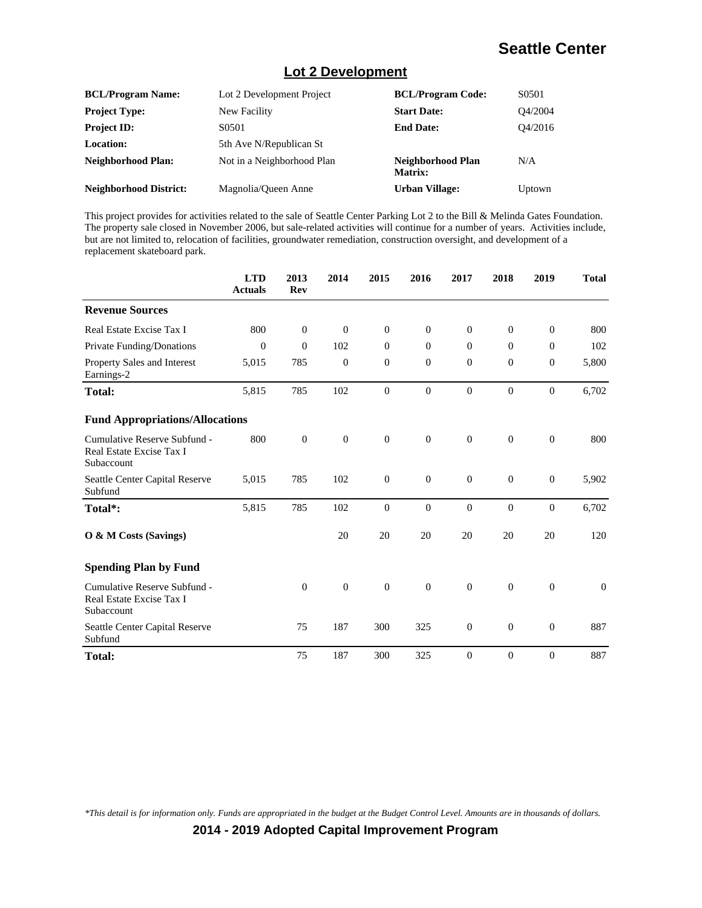#### **Lot 2 Development**

| <b>BCL/Program Name:</b>      | Lot 2 Development Project  | <b>BCL/Program Code:</b>     | S0501   |
|-------------------------------|----------------------------|------------------------------|---------|
| <b>Project Type:</b>          | New Facility               | <b>Start Date:</b>           | O4/2004 |
| <b>Project ID:</b>            | S0501                      | <b>End Date:</b>             | O4/2016 |
| <b>Location:</b>              | 5th Ave N/Republican St    |                              |         |
| <b>Neighborhood Plan:</b>     | Not in a Neighborhood Plan | Neighborhood Plan<br>Matrix: | N/A     |
| <b>Neighborhood District:</b> | Magnolia/Oueen Anne        | <b>Urban Village:</b>        | Uptown  |

This project provides for activities related to the sale of Seattle Center Parking Lot 2 to the Bill & Melinda Gates Foundation. The property sale closed in November 2006, but sale-related activities will continue for a number of years. Activities include, but are not limited to, relocation of facilities, groundwater remediation, construction oversight, and development of a replacement skateboard park.

|                                                                        | <b>LTD</b><br><b>Actuals</b> | 2013<br><b>Rev</b> | 2014             | 2015             | 2016             | 2017             | 2018             | 2019             | <b>Total</b> |
|------------------------------------------------------------------------|------------------------------|--------------------|------------------|------------------|------------------|------------------|------------------|------------------|--------------|
| <b>Revenue Sources</b>                                                 |                              |                    |                  |                  |                  |                  |                  |                  |              |
| Real Estate Excise Tax I                                               | 800                          | $\overline{0}$     | $\overline{0}$   | $\mathbf{0}$     | $\theta$         | $\Omega$         | $\mathbf{0}$     | $\mathbf{0}$     | 800          |
| Private Funding/Donations                                              | $\theta$                     | $\theta$           | 102              | $\theta$         | $\theta$         | $\theta$         | $\mathbf{0}$     | $\theta$         | 102          |
| Property Sales and Interest<br>Earnings-2                              | 5,015                        | 785                | $\overline{0}$   | $\mathbf{0}$     | $\theta$         | $\theta$         | $\mathbf{0}$     | $\theta$         | 5,800        |
| <b>Total:</b>                                                          | 5,815                        | 785                | 102              | $\overline{0}$   | $\boldsymbol{0}$ | $\boldsymbol{0}$ | $\mathbf{0}$     | $\overline{0}$   | 6,702        |
| <b>Fund Appropriations/Allocations</b>                                 |                              |                    |                  |                  |                  |                  |                  |                  |              |
| Cumulative Reserve Subfund -<br>Real Estate Excise Tax I<br>Subaccount | 800                          | $\mathbf{0}$       | $\boldsymbol{0}$ | $\boldsymbol{0}$ | $\mathbf{0}$     | $\boldsymbol{0}$ | $\boldsymbol{0}$ | $\boldsymbol{0}$ | 800          |
| Seattle Center Capital Reserve<br>Subfund                              | 5,015                        | 785                | 102              | $\boldsymbol{0}$ | $\boldsymbol{0}$ | $\mathbf{0}$     | $\mathbf{0}$     | $\boldsymbol{0}$ | 5,902        |
| Total*:                                                                | 5,815                        | 785                | 102              | $\overline{0}$   | $\mathbf{0}$     | $\Omega$         | $\Omega$         | $\overline{0}$   | 6,702        |
| O & M Costs (Savings)                                                  |                              |                    | 20               | 20               | 20               | 20               | 20               | 20               | 120          |
| <b>Spending Plan by Fund</b>                                           |                              |                    |                  |                  |                  |                  |                  |                  |              |
| Cumulative Reserve Subfund -<br>Real Estate Excise Tax I<br>Subaccount |                              | $\overline{0}$     | $\boldsymbol{0}$ | $\boldsymbol{0}$ | $\mathbf{0}$     | $\mathbf{0}$     | $\overline{0}$   | $\boldsymbol{0}$ | $\mathbf{0}$ |
| Seattle Center Capital Reserve<br>Subfund                              |                              | 75                 | 187              | 300              | 325              | $\mathbf{0}$     | $\boldsymbol{0}$ | $\mathbf{0}$     | 887          |
| <b>Total:</b>                                                          |                              | 75                 | 187              | 300              | 325              | $\Omega$         | $\mathbf{0}$     | $\theta$         | 887          |

*\*This detail is for information only. Funds are appropriated in the budget at the Budget Control Level. Amounts are in thousands of dollars.*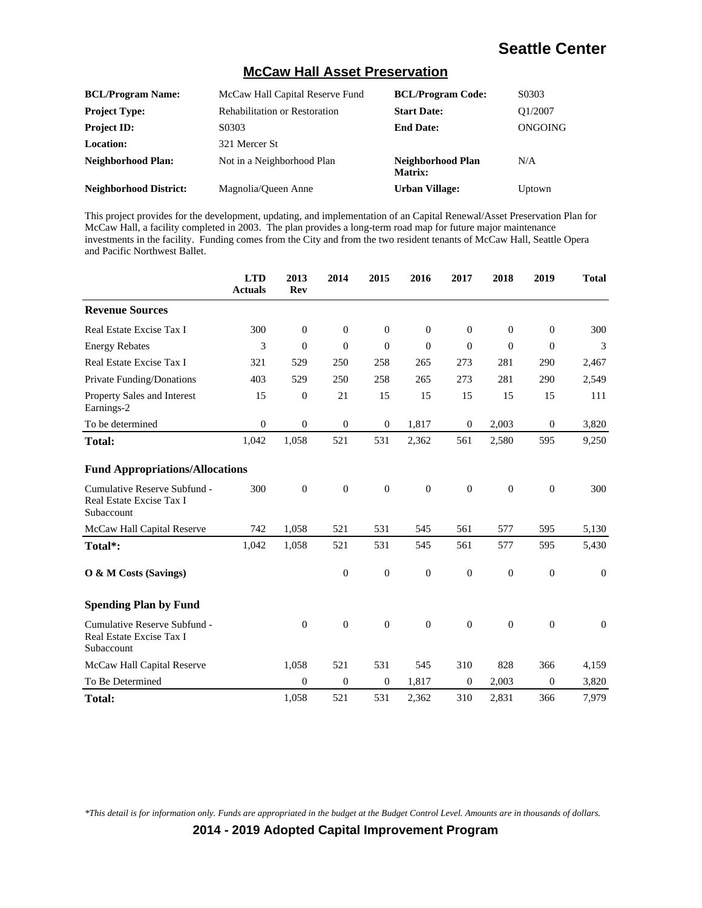#### **McCaw Hall Asset Preservation**

| <b>BCL/Program Name:</b>      | McCaw Hall Capital Reserve Fund      | <b>BCL/Program Code:</b>     | S0303   |
|-------------------------------|--------------------------------------|------------------------------|---------|
| <b>Project Type:</b>          | <b>Rehabilitation or Restoration</b> | <b>Start Date:</b>           | O1/2007 |
| <b>Project ID:</b>            | S0303                                | <b>End Date:</b>             | ONGOING |
| <b>Location:</b>              | 321 Mercer St                        |                              |         |
| <b>Neighborhood Plan:</b>     | Not in a Neighborhood Plan           | Neighborhood Plan<br>Matrix: | N/A     |
| <b>Neighborhood District:</b> | Magnolia/Queen Anne                  | <b>Urban Village:</b>        | Uptown  |

This project provides for the development, updating, and implementation of an Capital Renewal/Asset Preservation Plan for McCaw Hall, a facility completed in 2003. The plan provides a long-term road map for future major maintenance investments in the facility. Funding comes from the City and from the two resident tenants of McCaw Hall, Seattle Opera and Pacific Northwest Ballet.

|                                                                        | <b>LTD</b><br><b>Actuals</b> | 2013<br>Rev      | 2014             | 2015             | 2016             | 2017           | 2018             | 2019             | <b>Total</b> |
|------------------------------------------------------------------------|------------------------------|------------------|------------------|------------------|------------------|----------------|------------------|------------------|--------------|
| <b>Revenue Sources</b>                                                 |                              |                  |                  |                  |                  |                |                  |                  |              |
| Real Estate Excise Tax I                                               | 300                          | $\overline{0}$   | $\overline{0}$   | $\mathbf{0}$     | $\theta$         | $\theta$       | $\mathbf{0}$     | $\theta$         | 300          |
| <b>Energy Rebates</b>                                                  | 3                            | $\theta$         | $\overline{0}$   | $\overline{0}$   | $\mathbf{0}$     | $\overline{0}$ | $\mathbf{0}$     | $\theta$         | 3            |
| Real Estate Excise Tax I                                               | 321                          | 529              | 250              | 258              | 265              | 273            | 281              | 290              | 2,467        |
| Private Funding/Donations                                              | 403                          | 529              | 250              | 258              | 265              | 273            | 281              | 290              | 2,549        |
| Property Sales and Interest<br>Earnings-2                              | 15                           | $\boldsymbol{0}$ | 21               | 15               | 15               | 15             | 15               | 15               | 111          |
| To be determined                                                       | $\theta$                     | $\theta$         | $\boldsymbol{0}$ | $\theta$         | 1,817            | $\theta$       | 2,003            | $\theta$         | 3,820        |
| <b>Total:</b>                                                          | 1,042                        | 1,058            | 521              | 531              | 2,362            | 561            | 2,580            | 595              | 9,250        |
| <b>Fund Appropriations/Allocations</b>                                 |                              |                  |                  |                  |                  |                |                  |                  |              |
| Cumulative Reserve Subfund -<br>Real Estate Excise Tax I<br>Subaccount | 300                          | $\boldsymbol{0}$ | $\boldsymbol{0}$ | $\boldsymbol{0}$ | $\boldsymbol{0}$ | $\overline{0}$ | $\boldsymbol{0}$ | $\boldsymbol{0}$ | 300          |
| McCaw Hall Capital Reserve                                             | 742                          | 1,058            | 521              | 531              | 545              | 561            | 577              | 595              | 5,130        |
| Total*:                                                                | 1,042                        | 1,058            | 521              | 531              | 545              | 561            | 577              | 595              | 5,430        |
| O & M Costs (Savings)                                                  |                              |                  | $\boldsymbol{0}$ | $\boldsymbol{0}$ | $\boldsymbol{0}$ | $\mathbf{0}$   | $\boldsymbol{0}$ | $\boldsymbol{0}$ | $\mathbf{0}$ |
| <b>Spending Plan by Fund</b>                                           |                              |                  |                  |                  |                  |                |                  |                  |              |
| Cumulative Reserve Subfund -<br>Real Estate Excise Tax I<br>Subaccount |                              | $\overline{0}$   | $\boldsymbol{0}$ | $\overline{0}$   | $\theta$         | $\theta$       | $\mathbf{0}$     | $\overline{0}$   | $\mathbf{0}$ |
| McCaw Hall Capital Reserve                                             |                              | 1,058            | 521              | 531              | 545              | 310            | 828              | 366              | 4,159        |
| To Be Determined                                                       |                              | $\Omega$         | $\overline{0}$   | $\theta$         | 1,817            | $\Omega$       | 2,003            | $\Omega$         | 3,820        |
| <b>Total:</b>                                                          |                              | 1,058            | 521              | 531              | 2,362            | 310            | 2,831            | 366              | 7,979        |

*\*This detail is for information only. Funds are appropriated in the budget at the Budget Control Level. Amounts are in thousands of dollars.*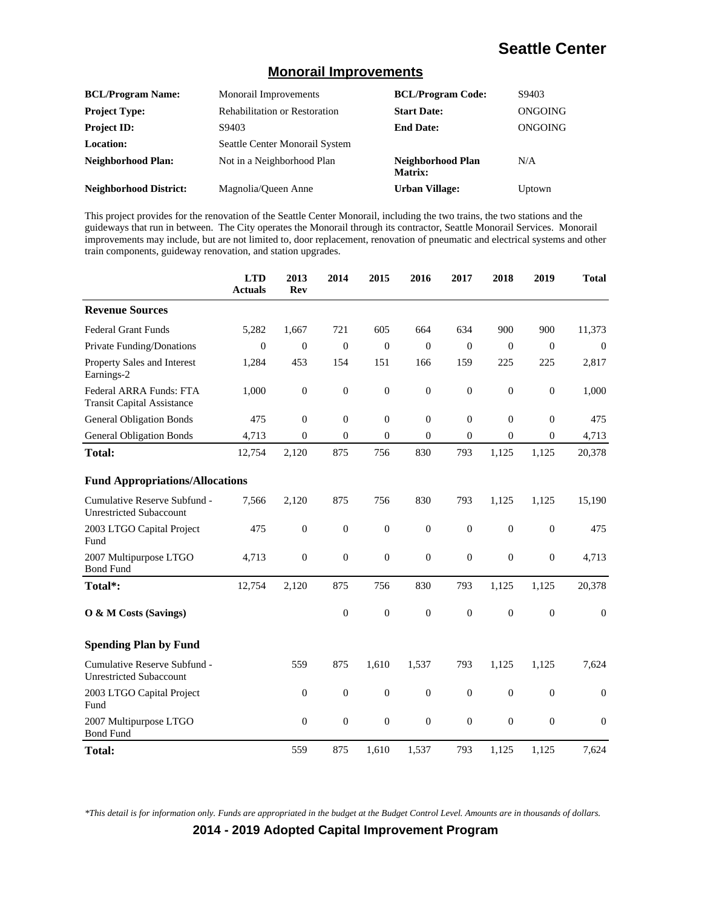#### **Monorail Improvements**

| <b>BCL/Program Name:</b>      | <b>Monorail Improvements</b>         | <b>BCL/Program Code:</b>            | S9403   |
|-------------------------------|--------------------------------------|-------------------------------------|---------|
| <b>Project Type:</b>          | <b>Rehabilitation or Restoration</b> | <b>Start Date:</b>                  | ONGOING |
| <b>Project ID:</b>            | S9403                                | <b>End Date:</b>                    | ONGOING |
| Location:                     | Seattle Center Monorail System       |                                     |         |
| Neighborhood Plan:            | Not in a Neighborhood Plan           | Neighborhood Plan<br><b>Matrix:</b> | N/A     |
| <b>Neighborhood District:</b> | Magnolia/Oueen Anne                  | <b>Urban Village:</b>               | Uptown  |

This project provides for the renovation of the Seattle Center Monorail, including the two trains, the two stations and the guideways that run in between. The City operates the Monorail through its contractor, Seattle Monorail Services. Monorail improvements may include, but are not limited to, door replacement, renovation of pneumatic and electrical systems and other train components, guideway renovation, and station upgrades.

|                                                                | <b>LTD</b><br><b>Actuals</b> | 2013<br>Rev      | 2014             | 2015             | 2016             | 2017             | 2018             | 2019             | <b>Total</b>     |
|----------------------------------------------------------------|------------------------------|------------------|------------------|------------------|------------------|------------------|------------------|------------------|------------------|
| <b>Revenue Sources</b>                                         |                              |                  |                  |                  |                  |                  |                  |                  |                  |
| <b>Federal Grant Funds</b>                                     | 5,282                        | 1,667            | 721              | 605              | 664              | 634              | 900              | 900              | 11,373           |
| <b>Private Funding/Donations</b>                               | $\Omega$                     | $\overline{0}$   | $\boldsymbol{0}$ | $\overline{0}$   | $\Omega$         | $\Omega$         | $\mathbf{0}$     | $\overline{0}$   | $\Omega$         |
| Property Sales and Interest<br>Earnings-2                      | 1,284                        | 453              | 154              | 151              | 166              | 159              | 225              | 225              | 2,817            |
| Federal ARRA Funds: FTA<br><b>Transit Capital Assistance</b>   | 1,000                        | $\boldsymbol{0}$ | $\boldsymbol{0}$ | $\boldsymbol{0}$ | $\mathbf{0}$     | $\mathbf{0}$     | $\boldsymbol{0}$ | $\boldsymbol{0}$ | 1,000            |
| <b>General Obligation Bonds</b>                                | 475                          | $\boldsymbol{0}$ | $\overline{0}$   | $\boldsymbol{0}$ | $\boldsymbol{0}$ | $\boldsymbol{0}$ | $\mathbf{0}$     | $\overline{0}$   | 475              |
| <b>General Obligation Bonds</b>                                | 4,713                        | $\theta$         | $\overline{0}$   | $\theta$         | $\mathbf{0}$     | $\Omega$         | $\Omega$         | $\theta$         | 4,713            |
| <b>Total:</b>                                                  | 12,754                       | 2,120            | 875              | 756              | 830              | 793              | 1,125            | 1,125            | 20,378           |
| <b>Fund Appropriations/Allocations</b>                         |                              |                  |                  |                  |                  |                  |                  |                  |                  |
| Cumulative Reserve Subfund -<br><b>Unrestricted Subaccount</b> | 7,566                        | 2,120            | 875              | 756              | 830              | 793              | 1,125            | 1,125            | 15,190           |
| 2003 LTGO Capital Project<br>Fund                              | 475                          | $\boldsymbol{0}$ | $\boldsymbol{0}$ | $\boldsymbol{0}$ | $\boldsymbol{0}$ | $\boldsymbol{0}$ | $\boldsymbol{0}$ | $\boldsymbol{0}$ | 475              |
| 2007 Multipurpose LTGO<br><b>Bond Fund</b>                     | 4,713                        | $\boldsymbol{0}$ | $\boldsymbol{0}$ | $\boldsymbol{0}$ | $\boldsymbol{0}$ | $\boldsymbol{0}$ | $\boldsymbol{0}$ | $\boldsymbol{0}$ | 4,713            |
| Total*:                                                        | 12,754                       | 2,120            | 875              | 756              | 830              | 793              | 1,125            | 1,125            | 20,378           |
| O & M Costs (Savings)                                          |                              |                  | $\boldsymbol{0}$ | $\boldsymbol{0}$ | $\boldsymbol{0}$ | $\boldsymbol{0}$ | $\boldsymbol{0}$ | $\overline{0}$   | $\mathbf{0}$     |
| <b>Spending Plan by Fund</b>                                   |                              |                  |                  |                  |                  |                  |                  |                  |                  |
| Cumulative Reserve Subfund -<br><b>Unrestricted Subaccount</b> |                              | 559              | 875              | 1,610            | 1,537            | 793              | 1,125            | 1,125            | 7,624            |
| 2003 LTGO Capital Project<br>Fund                              |                              | $\boldsymbol{0}$ | $\boldsymbol{0}$ | $\boldsymbol{0}$ | $\mathbf{0}$     | $\boldsymbol{0}$ | $\boldsymbol{0}$ | $\boldsymbol{0}$ | $\boldsymbol{0}$ |
| 2007 Multipurpose LTGO<br><b>Bond Fund</b>                     |                              | $\boldsymbol{0}$ | $\boldsymbol{0}$ | $\boldsymbol{0}$ | $\boldsymbol{0}$ | $\boldsymbol{0}$ | $\boldsymbol{0}$ | $\overline{0}$   | $\boldsymbol{0}$ |
| <b>Total:</b>                                                  |                              | 559              | 875              | 1,610            | 1,537            | 793              | 1,125            | 1,125            | 7,624            |

*\*This detail is for information only. Funds are appropriated in the budget at the Budget Control Level. Amounts are in thousands of dollars.*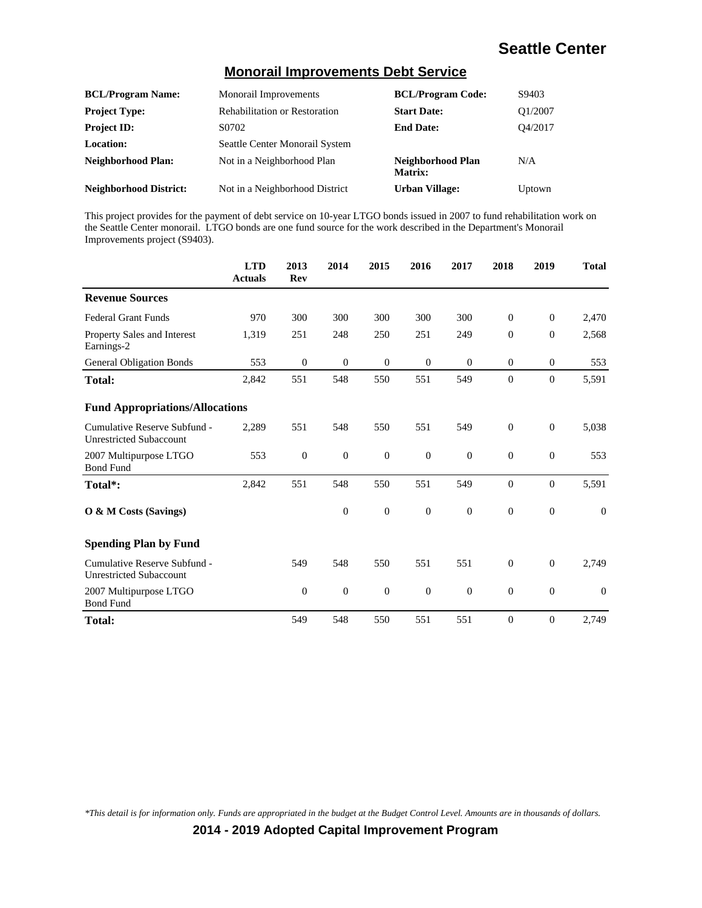#### **Monorail Improvements Debt Service**

| <b>BCL/Program Name:</b>      | Monorail Improvements                | <b>BCL/Program Code:</b>     | S9403   |
|-------------------------------|--------------------------------------|------------------------------|---------|
| <b>Project Type:</b>          | <b>Rehabilitation or Restoration</b> | <b>Start Date:</b>           | O1/2007 |
| <b>Project ID:</b>            | S0702                                | <b>End Date:</b>             | O4/2017 |
| <b>Location:</b>              | Seattle Center Monorail System       |                              |         |
| Neighborhood Plan:            | Not in a Neighborhood Plan           | Neighborhood Plan<br>Matrix: | N/A     |
| <b>Neighborhood District:</b> | Not in a Neighborhood District       | <b>Urban Village:</b>        | Uptown  |

This project provides for the payment of debt service on 10-year LTGO bonds issued in 2007 to fund rehabilitation work on the Seattle Center monorail. LTGO bonds are one fund source for the work described in the Department's Monorail Improvements project (S9403).

|                                                                | <b>LTD</b><br><b>Actuals</b> | 2013<br><b>Rev</b> | 2014             | 2015             | 2016             | 2017             | 2018             | 2019             | <b>Total</b> |
|----------------------------------------------------------------|------------------------------|--------------------|------------------|------------------|------------------|------------------|------------------|------------------|--------------|
| <b>Revenue Sources</b>                                         |                              |                    |                  |                  |                  |                  |                  |                  |              |
| <b>Federal Grant Funds</b>                                     | 970                          | 300                | 300              | 300              | 300              | 300              | $\mathbf{0}$     | $\boldsymbol{0}$ | 2,470        |
| Property Sales and Interest<br>Earnings-2                      | 1,319                        | 251                | 248              | 250              | 251              | 249              | $\mathbf{0}$     | $\overline{0}$   | 2,568        |
| <b>General Obligation Bonds</b>                                | 553                          | $\mathbf{0}$       | $\boldsymbol{0}$ | $\mathbf{0}$     | $\mathbf{0}$     | $\theta$         | $\mathbf{0}$     | $\mathbf{0}$     | 553          |
| <b>Total:</b>                                                  | 2,842                        | 551                | 548              | 550              | 551              | 549              | $\mathbf{0}$     | $\mathbf{0}$     | 5,591        |
| <b>Fund Appropriations/Allocations</b>                         |                              |                    |                  |                  |                  |                  |                  |                  |              |
| Cumulative Reserve Subfund -<br><b>Unrestricted Subaccount</b> | 2,289                        | 551                | 548              | 550              | 551              | 549              | $\mathbf{0}$     | $\boldsymbol{0}$ | 5,038        |
| 2007 Multipurpose LTGO<br><b>Bond Fund</b>                     | 553                          | $\boldsymbol{0}$   | $\boldsymbol{0}$ | $\boldsymbol{0}$ | $\boldsymbol{0}$ | $\boldsymbol{0}$ | $\boldsymbol{0}$ | $\boldsymbol{0}$ | 553          |
| Total*:                                                        | 2,842                        | 551                | 548              | 550              | 551              | 549              | $\boldsymbol{0}$ | $\boldsymbol{0}$ | 5,591        |
| O & M Costs (Savings)                                          |                              |                    | $\overline{0}$   | $\boldsymbol{0}$ | $\overline{0}$   | $\overline{0}$   | $\mathbf{0}$     | $\overline{0}$   | $\Omega$     |
| <b>Spending Plan by Fund</b>                                   |                              |                    |                  |                  |                  |                  |                  |                  |              |
| Cumulative Reserve Subfund -<br><b>Unrestricted Subaccount</b> |                              | 549                | 548              | 550              | 551              | 551              | $\mathbf{0}$     | $\boldsymbol{0}$ | 2,749        |
| 2007 Multipurpose LTGO<br><b>Bond Fund</b>                     |                              | $\mathbf{0}$       | $\boldsymbol{0}$ | $\mathbf{0}$     | $\mathbf{0}$     | $\theta$         | $\boldsymbol{0}$ | $\boldsymbol{0}$ | $\theta$     |
| <b>Total:</b>                                                  |                              | 549                | 548              | 550              | 551              | 551              | $\mathbf{0}$     | $\boldsymbol{0}$ | 2,749        |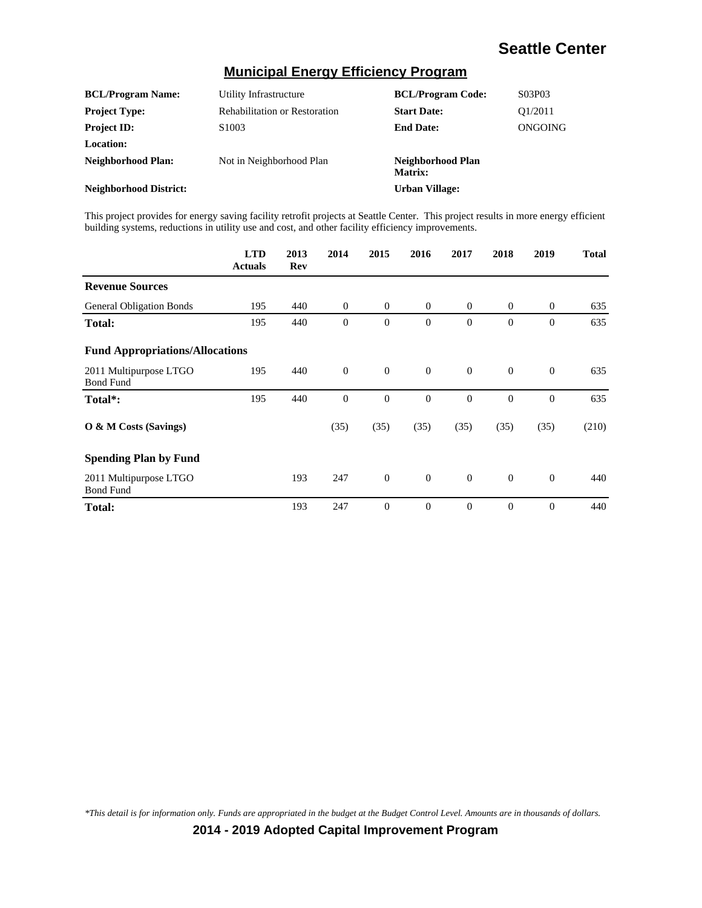#### **Municipal Energy Efficiency Program**

| <b>BCL/Program Name:</b>      | Utility Infrastructure               | <b>BCL/Program Code:</b>     | S03P03                           |
|-------------------------------|--------------------------------------|------------------------------|----------------------------------|
| <b>Project Type:</b>          | <b>Rehabilitation or Restoration</b> | <b>Start Date:</b>           | O <sub>1</sub> /20 <sub>11</sub> |
| <b>Project ID:</b>            | S <sub>1003</sub>                    | <b>End Date:</b>             | ONGOING                          |
| <b>Location:</b>              |                                      |                              |                                  |
| Neighborhood Plan:            | Not in Neighborhood Plan             | Neighborhood Plan<br>Matrix: |                                  |
| <b>Neighborhood District:</b> |                                      | Urban Village:               |                                  |

This project provides for energy saving facility retrofit projects at Seattle Center. This project results in more energy efficient building systems, reductions in utility use and cost, and other facility efficiency improvements.

|                                            | <b>LTD</b><br><b>Actuals</b> | 2013<br>Rev | 2014     | 2015           | 2016           | 2017           | 2018           | 2019           | <b>Total</b> |
|--------------------------------------------|------------------------------|-------------|----------|----------------|----------------|----------------|----------------|----------------|--------------|
| <b>Revenue Sources</b>                     |                              |             |          |                |                |                |                |                |              |
| <b>General Obligation Bonds</b>            | 195                          | 440         | $\theta$ | $\theta$       | $\theta$       | $\overline{0}$ | $\mathbf{0}$   | $\mathbf{0}$   | 635          |
| <b>Total:</b>                              | 195                          | 440         | $\theta$ | $\overline{0}$ | $\theta$       | $\theta$       | $\overline{0}$ | $\overline{0}$ | 635          |
| <b>Fund Appropriations/Allocations</b>     |                              |             |          |                |                |                |                |                |              |
| 2011 Multipurpose LTGO<br><b>Bond Fund</b> | 195                          | 440         | $\theta$ | $\theta$       | $\theta$       | $\Omega$       | $\Omega$       | $\theta$       | 635          |
| Total*:                                    | 195                          | 440         | $\theta$ | $\overline{0}$ | $\overline{0}$ | $\Omega$       | $\Omega$       | $\overline{0}$ | 635          |
| $\overline{O}$ & M Costs (Savings)         |                              |             | (35)     | (35)           | (35)           | (35)           | (35)           | (35)           | (210)        |
| <b>Spending Plan by Fund</b>               |                              |             |          |                |                |                |                |                |              |
| 2011 Multipurpose LTGO<br><b>Bond Fund</b> |                              | 193         | 247      | $\theta$       | $\theta$       | $\Omega$       | $\Omega$       | $\theta$       | 440          |
| <b>Total:</b>                              |                              | 193         | 247      | $\overline{0}$ | $\theta$       | $\theta$       | $\theta$       | $\overline{0}$ | 440          |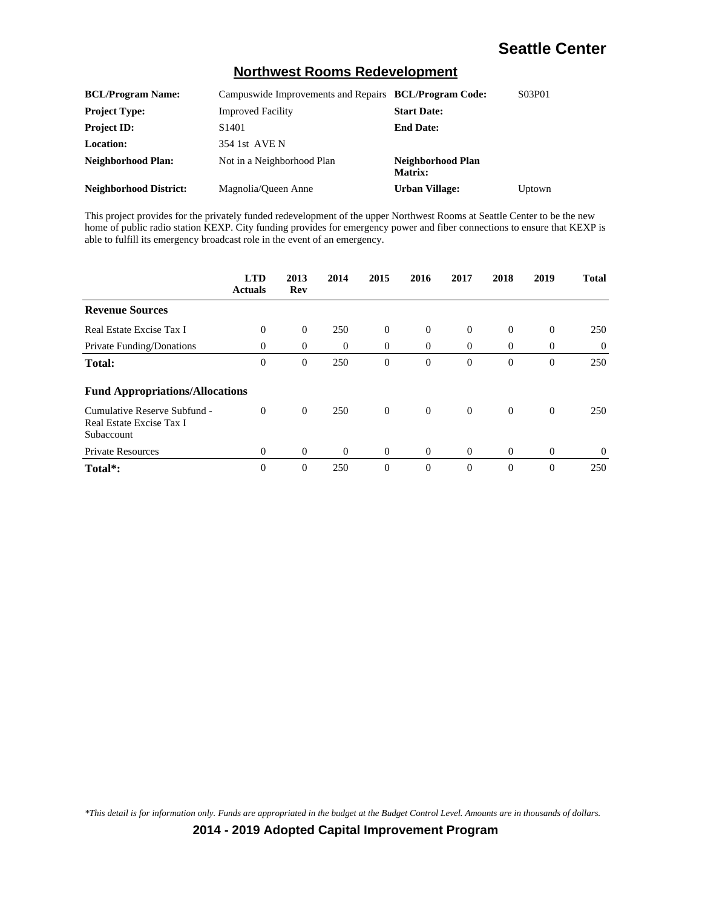#### **Northwest Rooms Redevelopment**

| <b>BCL/Program Name:</b>      | Campuswide Improvements and Repairs BCL/Program Code: |                              | S03P01 |
|-------------------------------|-------------------------------------------------------|------------------------------|--------|
| <b>Project Type:</b>          | <b>Improved Facility</b>                              | <b>Start Date:</b>           |        |
| <b>Project ID:</b>            | S <sub>1401</sub>                                     | <b>End Date:</b>             |        |
| <b>Location:</b>              | 354 1st AVE N                                         |                              |        |
| <b>Neighborhood Plan:</b>     | Not in a Neighborhood Plan                            | Neighborhood Plan<br>Matrix: |        |
| <b>Neighborhood District:</b> | Magnolia/Oueen Anne                                   | Urban Village:               | Uptown |

This project provides for the privately funded redevelopment of the upper Northwest Rooms at Seattle Center to be the new home of public radio station KEXP. City funding provides for emergency power and fiber connections to ensure that KEXP is able to fulfill its emergency broadcast role in the event of an emergency.

|                                                                        | <b>LTD</b><br><b>Actuals</b> | 2013<br>Rev | 2014     | 2015           | 2016           | 2017           | 2018           | 2019           | <b>Total</b> |
|------------------------------------------------------------------------|------------------------------|-------------|----------|----------------|----------------|----------------|----------------|----------------|--------------|
| <b>Revenue Sources</b>                                                 |                              |             |          |                |                |                |                |                |              |
| Real Estate Excise Tax I                                               | $\Omega$                     | $\theta$    | 250      | $\overline{0}$ | $\theta$       | $\overline{0}$ | $\theta$       | $\overline{0}$ | 250          |
| Private Funding/Donations                                              | $\Omega$                     | $\theta$    | $\theta$ | $\overline{0}$ | $\theta$       | $\theta$       | $\theta$       | $\overline{0}$ | $\theta$     |
| <b>Total:</b>                                                          | $\overline{0}$               | $\theta$    | 250      | $\mathbf{0}$   | $\theta$       | $\overline{0}$ | $\theta$       | $\overline{0}$ | 250          |
| <b>Fund Appropriations/Allocations</b>                                 |                              |             |          |                |                |                |                |                |              |
| Cumulative Reserve Subfund -<br>Real Estate Excise Tax I<br>Subaccount | $\overline{0}$               | $\theta$    | 250      | $\overline{0}$ | $\overline{0}$ | $\overline{0}$ | $\overline{0}$ | $\theta$       | 250          |
| <b>Private Resources</b>                                               | $\Omega$                     | $\theta$    | $\Omega$ | $\theta$       | $\theta$       | $\Omega$       | $\overline{0}$ | $\theta$       | $\theta$     |
| Total <sup>*</sup> :                                                   | $\theta$                     | $\theta$    | 250      | $\mathbf{0}$   | $\Omega$       | $\Omega$       | $\Omega$       | $\Omega$       | 250          |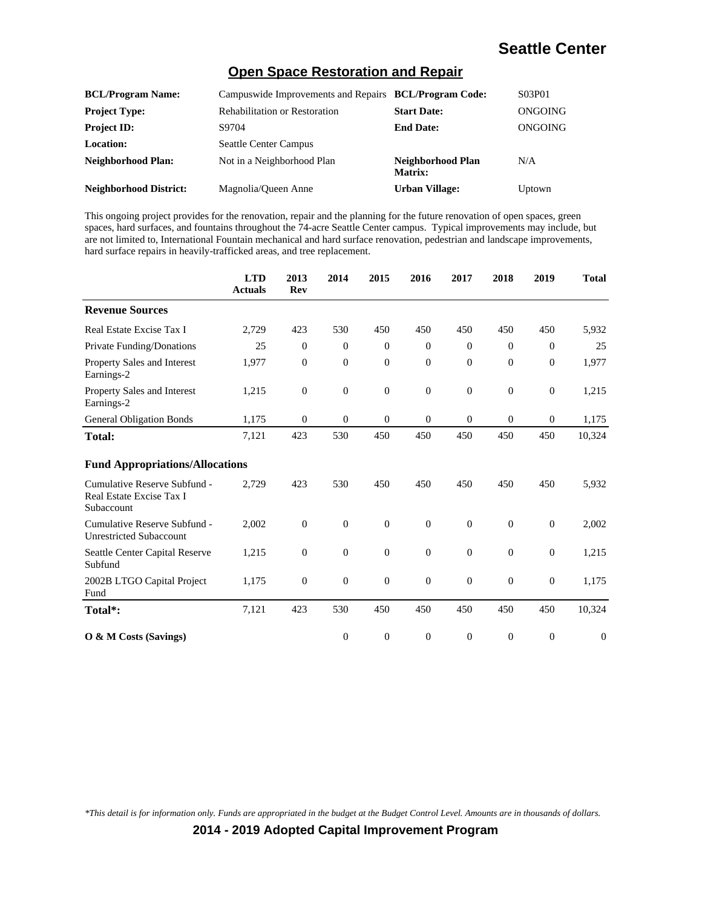#### **Open Space Restoration and Repair**

| <b>BCL/Program Name:</b>      | Campuswide Improvements and Repairs BCL/Program Code: |                                     | S03P01  |
|-------------------------------|-------------------------------------------------------|-------------------------------------|---------|
| <b>Project Type:</b>          | <b>Rehabilitation or Restoration</b>                  | <b>Start Date:</b>                  | ONGOING |
| <b>Project ID:</b>            | S9704                                                 | <b>End Date:</b>                    | ONGOING |
| <b>Location:</b>              | <b>Seattle Center Campus</b>                          |                                     |         |
| <b>Neighborhood Plan:</b>     | Not in a Neighborhood Plan                            | Neighborhood Plan<br><b>Matrix:</b> | N/A     |
| <b>Neighborhood District:</b> | Magnolia/Oueen Anne                                   | <b>Urban Village:</b>               | Uptown  |

This ongoing project provides for the renovation, repair and the planning for the future renovation of open spaces, green spaces, hard surfaces, and fountains throughout the 74-acre Seattle Center campus. Typical improvements may include, but are not limited to, International Fountain mechanical and hard surface renovation, pedestrian and landscape improvements, hard surface repairs in heavily-trafficked areas, and tree replacement.

|                                                                        | <b>LTD</b><br><b>Actuals</b> | 2013<br>Rev      | 2014         | 2015             | 2016             | 2017           | 2018             | 2019             | <b>Total</b>     |
|------------------------------------------------------------------------|------------------------------|------------------|--------------|------------------|------------------|----------------|------------------|------------------|------------------|
| <b>Revenue Sources</b>                                                 |                              |                  |              |                  |                  |                |                  |                  |                  |
| Real Estate Excise Tax I                                               | 2,729                        | 423              | 530          | 450              | 450              | 450            | 450              | 450              | 5,932            |
| Private Funding/Donations                                              | 25                           | $\theta$         | $\mathbf{0}$ | $\overline{0}$   | $\mathbf{0}$     | $\overline{0}$ | $\mathbf{0}$     | $\overline{0}$   | 25               |
| Property Sales and Interest<br>Earnings-2                              | 1,977                        | $\boldsymbol{0}$ | $\theta$     | $\overline{0}$   | $\overline{0}$   | $\mathbf{0}$   | $\theta$         | $\boldsymbol{0}$ | 1,977            |
| Property Sales and Interest<br>Earnings-2                              | 1,215                        | $\overline{0}$   | $\theta$     | $\overline{0}$   | $\overline{0}$   | $\mathbf{0}$   | $\theta$         | $\boldsymbol{0}$ | 1,215            |
| <b>General Obligation Bonds</b>                                        | 1,175                        | $\boldsymbol{0}$ | $\mathbf{0}$ | $\boldsymbol{0}$ | $\overline{0}$   | $\overline{0}$ | $\mathbf{0}$     | $\boldsymbol{0}$ | 1,175            |
| Total:                                                                 | 7,121                        | 423              | 530          | 450              | 450              | 450            | 450              | 450              | 10,324           |
| <b>Fund Appropriations/Allocations</b>                                 |                              |                  |              |                  |                  |                |                  |                  |                  |
| Cumulative Reserve Subfund -<br>Real Estate Excise Tax I<br>Subaccount | 2,729                        | 423              | 530          | 450              | 450              | 450            | 450              | 450              | 5,932            |
| Cumulative Reserve Subfund -<br><b>Unrestricted Subaccount</b>         | 2,002                        | $\theta$         | $\theta$     | $\overline{0}$   | $\overline{0}$   | $\mathbf{0}$   | $\theta$         | $\theta$         | 2,002            |
| Seattle Center Capital Reserve<br>Subfund                              | 1,215                        | $\overline{0}$   | $\theta$     | $\overline{0}$   | $\overline{0}$   | $\overline{0}$ | $\theta$         | $\theta$         | 1,215            |
| 2002B LTGO Capital Project<br>Fund                                     | 1,175                        | $\boldsymbol{0}$ | $\mathbf{0}$ | $\boldsymbol{0}$ | $\boldsymbol{0}$ | $\mathbf{0}$   | $\boldsymbol{0}$ | $\mathbf{0}$     | 1,175            |
| Total*:                                                                | 7,121                        | 423              | 530          | 450              | 450              | 450            | 450              | 450              | 10,324           |
| O & M Costs (Savings)                                                  |                              |                  | $\theta$     | $\overline{0}$   | $\overline{0}$   | $\mathbf{0}$   | $\theta$         | $\overline{0}$   | $\boldsymbol{0}$ |

*\*This detail is for information only. Funds are appropriated in the budget at the Budget Control Level. Amounts are in thousands of dollars.*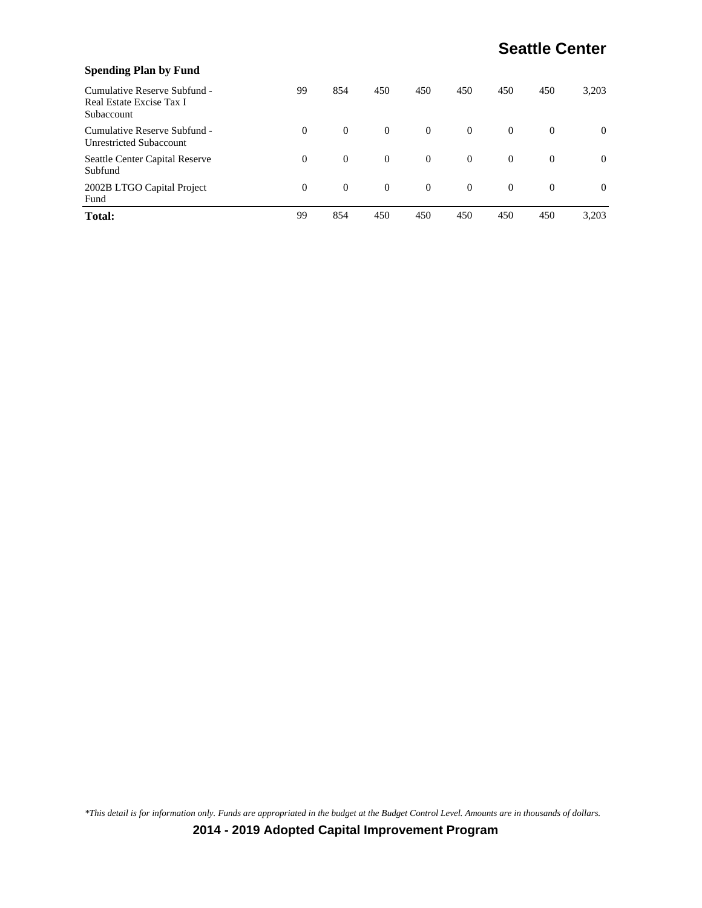| <b>Spending Plan by Fund</b>                                           |          |          |                |                |          |          |              |          |
|------------------------------------------------------------------------|----------|----------|----------------|----------------|----------|----------|--------------|----------|
| Cumulative Reserve Subfund -<br>Real Estate Excise Tax I<br>Subaccount | 99       | 854      | 450            | 450            | 450      | 450      | 450          | 3.203    |
| Cumulative Reserve Subfund -<br><b>Unrestricted Subaccount</b>         | $\Omega$ | $\theta$ | $\overline{0}$ | $\overline{0}$ | $\theta$ | $\theta$ | $\theta$     | $\Omega$ |
| Seattle Center Capital Reserve<br>Subfund                              | $\Omega$ | $\theta$ | $\overline{0}$ | $\overline{0}$ | $\Omega$ | $\theta$ | $\mathbf{0}$ | $\theta$ |
| 2002B LTGO Capital Project<br>Fund                                     | $\Omega$ | $\theta$ | $\overline{0}$ | $\overline{0}$ | $\theta$ | $\theta$ | $\mathbf{0}$ | $\Omega$ |
| <b>Total:</b>                                                          | 99       | 854      | 450            | 450            | 450      | 450      | 450          | 3,203    |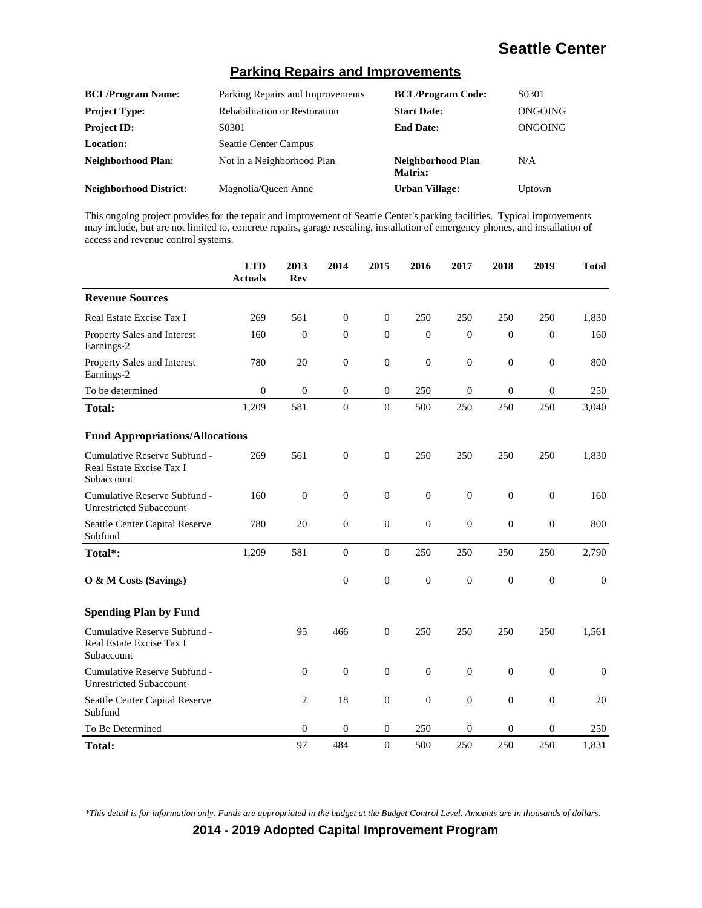#### **Parking Repairs and Improvements**

| <b>BCL/Program Name:</b>      | Parking Repairs and Improvements     | <b>BCL/Program Code:</b>     | S0301   |
|-------------------------------|--------------------------------------|------------------------------|---------|
| <b>Project Type:</b>          | <b>Rehabilitation or Restoration</b> | <b>Start Date:</b>           | ONGOING |
| <b>Project ID:</b>            | S0301                                | <b>End Date:</b>             | ONGOING |
| Location:                     | <b>Seattle Center Campus</b>         |                              |         |
| <b>Neighborhood Plan:</b>     | Not in a Neighborhood Plan           | Neighborhood Plan<br>Matrix: | N/A     |
| <b>Neighborhood District:</b> | Magnolia/Queen Anne                  | <b>Urban Village:</b>        | Uptown  |

This ongoing project provides for the repair and improvement of Seattle Center's parking facilities. Typical improvements may include, but are not limited to, concrete repairs, garage resealing, installation of emergency phones, and installation of access and revenue control systems.

|                                                                        | <b>LTD</b><br><b>Actuals</b> | 2013<br>Rev      | 2014             | 2015             | 2016             | 2017             | 2018             | 2019             | <b>Total</b> |
|------------------------------------------------------------------------|------------------------------|------------------|------------------|------------------|------------------|------------------|------------------|------------------|--------------|
| <b>Revenue Sources</b>                                                 |                              |                  |                  |                  |                  |                  |                  |                  |              |
| Real Estate Excise Tax I                                               | 269                          | 561              | $\mathbf{0}$     | $\boldsymbol{0}$ | 250              | 250              | 250              | 250              | 1,830        |
| Property Sales and Interest<br>Earnings-2                              | 160                          | $\overline{0}$   | $\mathbf{0}$     | $\overline{0}$   | $\overline{0}$   | $\Omega$         | $\overline{0}$   | $\overline{0}$   | 160          |
| Property Sales and Interest<br>Earnings-2                              | 780                          | 20               | $\mathbf{0}$     | $\overline{0}$   | $\overline{0}$   | $\overline{0}$   | $\overline{0}$   | $\overline{0}$   | 800          |
| To be determined                                                       | $\boldsymbol{0}$             | $\overline{0}$   | $\mathbf{0}$     | $\mathbf{0}$     | 250              | $\mathbf{0}$     | $\overline{0}$   | $\overline{0}$   | 250          |
| <b>Total:</b>                                                          | 1,209                        | 581              | $\boldsymbol{0}$ | $\boldsymbol{0}$ | 500              | 250              | 250              | 250              | 3,040        |
| <b>Fund Appropriations/Allocations</b>                                 |                              |                  |                  |                  |                  |                  |                  |                  |              |
| Cumulative Reserve Subfund -<br>Real Estate Excise Tax I<br>Subaccount | 269                          | 561              | $\boldsymbol{0}$ | $\boldsymbol{0}$ | 250              | 250              | 250              | 250              | 1,830        |
| Cumulative Reserve Subfund -<br><b>Unrestricted Subaccount</b>         | 160                          | $\boldsymbol{0}$ | $\boldsymbol{0}$ | $\boldsymbol{0}$ | $\boldsymbol{0}$ | $\boldsymbol{0}$ | $\boldsymbol{0}$ | $\boldsymbol{0}$ | 160          |
| Seattle Center Capital Reserve<br>Subfund                              | 780                          | 20               | $\mathbf{0}$     | $\boldsymbol{0}$ | $\boldsymbol{0}$ | $\mathbf{0}$     | $\mathbf{0}$     | $\mathbf{0}$     | 800          |
| Total*:                                                                | 1,209                        | 581              | $\boldsymbol{0}$ | $\boldsymbol{0}$ | 250              | 250              | 250              | 250              | 2,790        |
| O & M Costs (Savings)                                                  |                              |                  | $\mathbf{0}$     | $\overline{0}$   | $\overline{0}$   | $\theta$         | $\overline{0}$   | $\overline{0}$   | $\mathbf{0}$ |
| <b>Spending Plan by Fund</b>                                           |                              |                  |                  |                  |                  |                  |                  |                  |              |
| Cumulative Reserve Subfund -<br>Real Estate Excise Tax I<br>Subaccount |                              | 95               | 466              | $\boldsymbol{0}$ | 250              | 250              | 250              | 250              | 1,561        |
| Cumulative Reserve Subfund -<br><b>Unrestricted Subaccount</b>         |                              | $\overline{0}$   | $\boldsymbol{0}$ | $\overline{0}$   | $\overline{0}$   | $\overline{0}$   | $\overline{0}$   | $\overline{0}$   | $\theta$     |
| Seattle Center Capital Reserve<br>Subfund                              |                              | $\overline{c}$   | 18               | $\overline{0}$   | $\mathbf{0}$     | $\mathbf{0}$     | $\overline{0}$   | $\boldsymbol{0}$ | 20           |
| To Be Determined                                                       |                              | $\mathbf{0}$     | $\mathbf{0}$     | 0                | 250              | $\mathbf{0}$     | $\overline{0}$   | $\mathbf{0}$     | 250          |
| Total:                                                                 |                              | 97               | 484              | $\overline{0}$   | 500              | 250              | 250              | 250              | 1,831        |

*\*This detail is for information only. Funds are appropriated in the budget at the Budget Control Level. Amounts are in thousands of dollars.*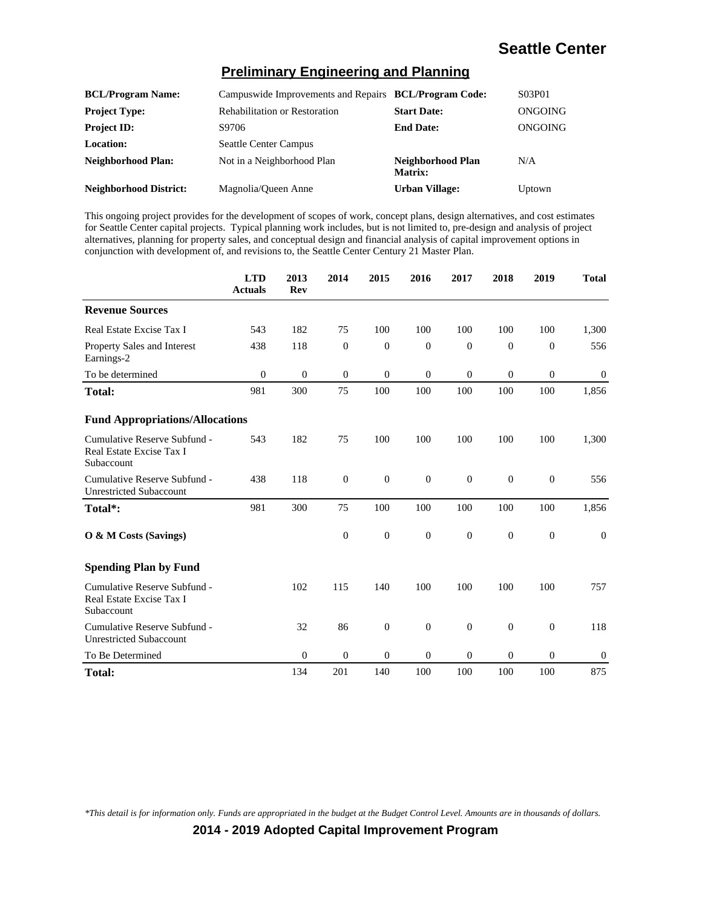#### **Preliminary Engineering and Planning**

| <b>BCL/Program Name:</b>      | Campuswide Improvements and Repairs BCL/Program Code: |                              | S03P01  |
|-------------------------------|-------------------------------------------------------|------------------------------|---------|
| <b>Project Type:</b>          | <b>Rehabilitation or Restoration</b>                  | <b>Start Date:</b>           | ONGOING |
| <b>Project ID:</b>            | S9706                                                 | <b>End Date:</b>             | ONGOING |
| Location:                     | <b>Seattle Center Campus</b>                          |                              |         |
| <b>Neighborhood Plan:</b>     | Not in a Neighborhood Plan                            | Neighborhood Plan<br>Matrix: | N/A     |
| <b>Neighborhood District:</b> | Magnolia/Queen Anne                                   | <b>Urban Village:</b>        | Uptown  |

This ongoing project provides for the development of scopes of work, concept plans, design alternatives, and cost estimates for Seattle Center capital projects. Typical planning work includes, but is not limited to, pre-design and analysis of project alternatives, planning for property sales, and conceptual design and financial analysis of capital improvement options in conjunction with development of, and revisions to, the Seattle Center Century 21 Master Plan.

|                                                                        | <b>LTD</b><br><b>Actuals</b> | 2013<br><b>Rev</b> | 2014           | 2015             | 2016         | 2017         | 2018           | 2019             | <b>Total</b> |
|------------------------------------------------------------------------|------------------------------|--------------------|----------------|------------------|--------------|--------------|----------------|------------------|--------------|
| <b>Revenue Sources</b>                                                 |                              |                    |                |                  |              |              |                |                  |              |
| Real Estate Excise Tax I                                               | 543                          | 182                | 75             | 100              | 100          | 100          | 100            | 100              | 1,300        |
| Property Sales and Interest<br>Earnings-2                              | 438                          | 118                | $\overline{0}$ | $\boldsymbol{0}$ | $\mathbf{0}$ | $\mathbf{0}$ | $\mathbf{0}$   | $\overline{0}$   | 556          |
| To be determined                                                       | $\mathbf{0}$                 | $\mathbf{0}$       | $\mathbf{0}$   | $\theta$         | $\mathbf{0}$ | $\theta$     | $\overline{0}$ | $\overline{0}$   | $\mathbf{0}$ |
| <b>Total:</b>                                                          | 981                          | 300                | 75             | 100              | 100          | 100          | 100            | 100              | 1,856        |
| <b>Fund Appropriations/Allocations</b>                                 |                              |                    |                |                  |              |              |                |                  |              |
| Cumulative Reserve Subfund -<br>Real Estate Excise Tax I<br>Subaccount | 543                          | 182                | 75             | 100              | 100          | 100          | 100            | 100              | 1,300        |
| Cumulative Reserve Subfund -<br><b>Unrestricted Subaccount</b>         | 438                          | 118                | $\mathbf{0}$   | $\mathbf{0}$     | $\mathbf{0}$ | $\mathbf{0}$ | $\mathbf{0}$   | $\boldsymbol{0}$ | 556          |
| Total*:                                                                | 981                          | 300                | 75             | 100              | 100          | 100          | 100            | 100              | 1,856        |
| O & M Costs (Savings)                                                  |                              |                    | $\mathbf{0}$   | $\boldsymbol{0}$ | $\mathbf{0}$ | $\mathbf{0}$ | $\mathbf{0}$   | $\boldsymbol{0}$ | $\mathbf{0}$ |
| <b>Spending Plan by Fund</b>                                           |                              |                    |                |                  |              |              |                |                  |              |
| Cumulative Reserve Subfund -<br>Real Estate Excise Tax I<br>Subaccount |                              | 102                | 115            | 140              | 100          | 100          | 100            | 100              | 757          |
| Cumulative Reserve Subfund -<br><b>Unrestricted Subaccount</b>         |                              | 32                 | 86             | $\boldsymbol{0}$ | $\mathbf{0}$ | $\mathbf{0}$ | $\mathbf{0}$   | $\theta$         | 118          |
| To Be Determined                                                       |                              | $\boldsymbol{0}$   | $\mathbf{0}$   | $\mathbf{0}$     | $\mathbf{0}$ | $\mathbf{0}$ | $\mathbf{0}$   | $\theta$         | $\mathbf{0}$ |
| <b>Total:</b>                                                          |                              | 134                | 201            | 140              | 100          | 100          | 100            | 100              | 875          |

*\*This detail is for information only. Funds are appropriated in the budget at the Budget Control Level. Amounts are in thousands of dollars.*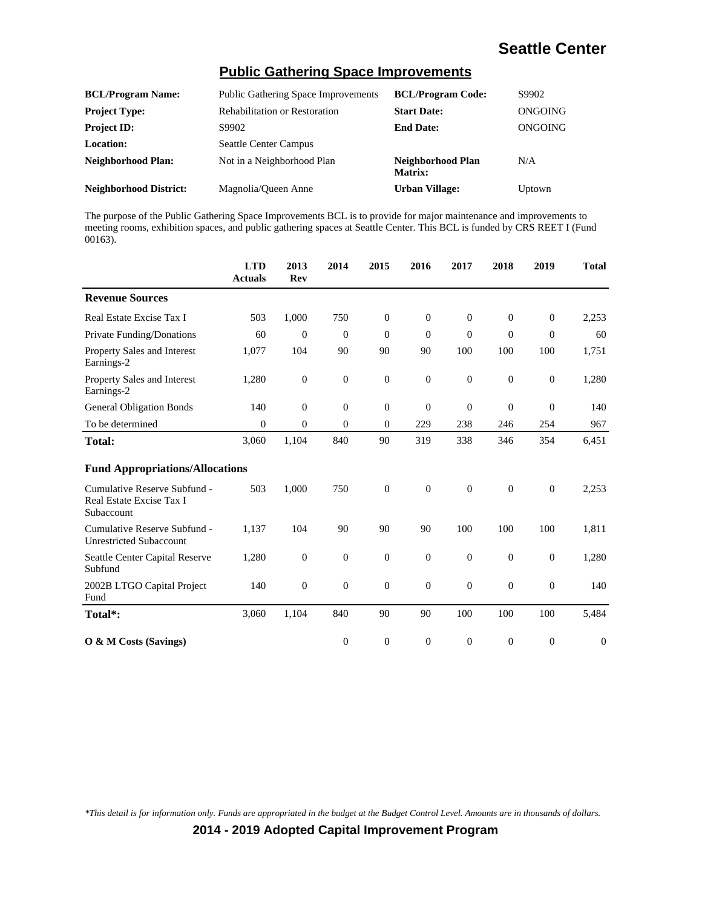#### **Public Gathering Space Improvements**

| <b>BCL/Program Name:</b>      | <b>Public Gathering Space Improvements</b> | <b>BCL/Program Code:</b>     | S9902   |
|-------------------------------|--------------------------------------------|------------------------------|---------|
| <b>Project Type:</b>          | <b>Rehabilitation or Restoration</b>       | <b>Start Date:</b>           | ONGOING |
| <b>Project ID:</b>            | S9902                                      | <b>End Date:</b>             | ONGOING |
| <b>Location:</b>              | <b>Seattle Center Campus</b>               |                              |         |
| <b>Neighborhood Plan:</b>     | Not in a Neighborhood Plan                 | Neighborhood Plan<br>Matrix: | N/A     |
| <b>Neighborhood District:</b> | Magnolia/Oueen Anne                        | <b>Urban Village:</b>        | Uptown  |

The purpose of the Public Gathering Space Improvements BCL is to provide for major maintenance and improvements to meeting rooms, exhibition spaces, and public gathering spaces at Seattle Center. This BCL is funded by CRS REET I (Fund 00163).

|                                                                        | <b>LTD</b><br><b>Actuals</b> | 2013<br><b>Rev</b> | 2014             | 2015             | 2016             | 2017         | 2018         | 2019             | <b>Total</b>     |
|------------------------------------------------------------------------|------------------------------|--------------------|------------------|------------------|------------------|--------------|--------------|------------------|------------------|
| <b>Revenue Sources</b>                                                 |                              |                    |                  |                  |                  |              |              |                  |                  |
| Real Estate Excise Tax I                                               | 503                          | 1,000              | 750              | $\theta$         | $\mathbf{0}$     | $\Omega$     | $\Omega$     | $\theta$         | 2,253            |
| Private Funding/Donations                                              | 60                           | $\theta$           | $\theta$         | $\theta$         | $\mathbf{0}$     | $\theta$     | $\mathbf{0}$ | $\overline{0}$   | 60               |
| <b>Property Sales and Interest</b><br>Earnings-2                       | 1,077                        | 104                | 90               | 90               | 90               | 100          | 100          | 100              | 1,751            |
| Property Sales and Interest<br>Earnings-2                              | 1,280                        | $\mathbf{0}$       | $\boldsymbol{0}$ | $\boldsymbol{0}$ | $\boldsymbol{0}$ | $\mathbf{0}$ | $\mathbf{0}$ | $\boldsymbol{0}$ | 1,280            |
| <b>General Obligation Bonds</b>                                        | 140                          | $\theta$           | $\boldsymbol{0}$ | $\mathbf{0}$     | $\mathbf{0}$     | $\theta$     | $\mathbf{0}$ | $\mathbf{0}$     | 140              |
| To be determined                                                       | $\theta$                     | $\overline{0}$     | $\overline{0}$   | $\theta$         | 229              | 238          | 246          | 254              | 967              |
| <b>Total:</b>                                                          | 3,060                        | 1,104              | 840              | 90               | 319              | 338          | 346          | 354              | 6,451            |
| <b>Fund Appropriations/Allocations</b>                                 |                              |                    |                  |                  |                  |              |              |                  |                  |
| Cumulative Reserve Subfund -<br>Real Estate Excise Tax I<br>Subaccount | 503                          | 1,000              | 750              | $\boldsymbol{0}$ | $\theta$         | $\theta$     | $\mathbf{0}$ | $\boldsymbol{0}$ | 2,253            |
| Cumulative Reserve Subfund -<br><b>Unrestricted Subaccount</b>         | 1,137                        | 104                | 90               | 90               | 90               | 100          | 100          | 100              | 1,811            |
| Seattle Center Capital Reserve<br>Subfund                              | 1,280                        | $\mathbf{0}$       | $\boldsymbol{0}$ | $\boldsymbol{0}$ | $\theta$         | $\theta$     | $\mathbf{0}$ | $\boldsymbol{0}$ | 1,280            |
| 2002B LTGO Capital Project<br>Fund                                     | 140                          | $\boldsymbol{0}$   | $\boldsymbol{0}$ | $\boldsymbol{0}$ | $\boldsymbol{0}$ | $\theta$     | $\mathbf{0}$ | $\boldsymbol{0}$ | 140              |
| Total*:                                                                | 3,060                        | 1,104              | 840              | 90               | 90               | 100          | 100          | 100              | 5,484            |
| O & M Costs (Savings)                                                  |                              |                    | $\boldsymbol{0}$ | $\boldsymbol{0}$ | $\overline{0}$   | $\theta$     | $\mathbf{0}$ | $\mathbf{0}$     | $\boldsymbol{0}$ |

*\*This detail is for information only. Funds are appropriated in the budget at the Budget Control Level. Amounts are in thousands of dollars.*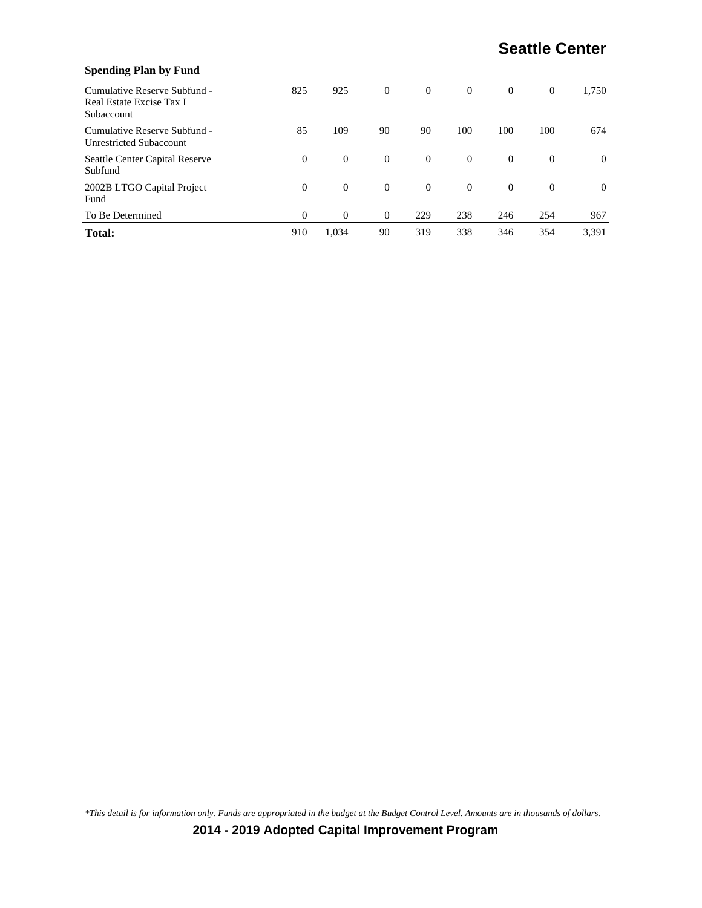| <b>Spending Plan by Fund</b>                                           |          |          |                |                |                |          |          |          |
|------------------------------------------------------------------------|----------|----------|----------------|----------------|----------------|----------|----------|----------|
| Cumulative Reserve Subfund -<br>Real Estate Excise Tax I<br>Subaccount | 825      | 925      | $\theta$       | $\overline{0}$ | $\overline{0}$ | $\Omega$ | $\theta$ | 1,750    |
| Cumulative Reserve Subfund -<br><b>Unrestricted Subaccount</b>         | 85       | 109      | 90             | 90             | 100            | 100      | 100      | 674      |
| Seattle Center Capital Reserve<br>Subfund                              | $\Omega$ | $\theta$ | $\overline{0}$ | $\overline{0}$ | $\Omega$       | $\Omega$ | $\Omega$ | $\theta$ |
| 2002B LTGO Capital Project<br>Fund                                     | $\Omega$ | $\theta$ | $\overline{0}$ | $\overline{0}$ | $\Omega$       | $\Omega$ | $\Omega$ | $\theta$ |
| To Be Determined                                                       | $\Omega$ | $\Omega$ | $\mathbf{0}$   | 229            | 238            | 246      | 254      | 967      |
| <b>Total:</b>                                                          | 910      | 1.034    | 90             | 319            | 338            | 346      | 354      | 3,391    |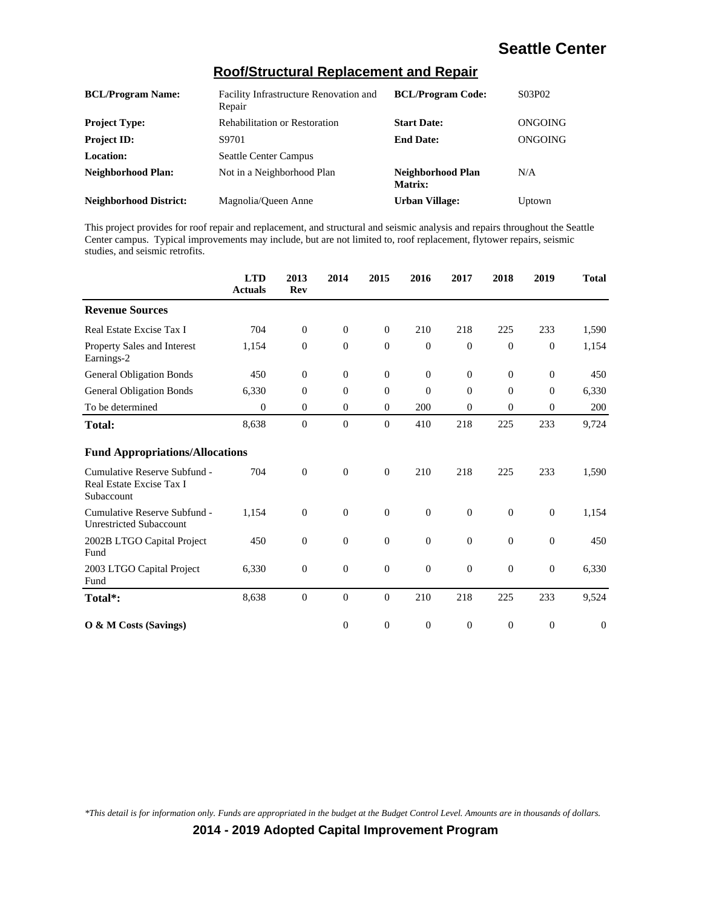| <b>BCL/Program Name:</b>      | Facility Infrastructure Renovation and<br>Repair | <b>BCL/Program Code:</b>     | S03P02  |
|-------------------------------|--------------------------------------------------|------------------------------|---------|
| <b>Project Type:</b>          | <b>Rehabilitation or Restoration</b>             | <b>Start Date:</b>           | ONGOING |
| <b>Project ID:</b>            | S9701                                            | <b>End Date:</b>             | ONGOING |
| <b>Location:</b>              | <b>Seattle Center Campus</b>                     |                              |         |
| Neighborhood Plan:            | Not in a Neighborhood Plan                       | Neighborhood Plan<br>Matrix: | N/A     |
| <b>Neighborhood District:</b> | Magnolia/Queen Anne                              | <b>Urban Village:</b>        | Uptown  |

#### **Roof/Structural Replacement and Repair**

This project provides for roof repair and replacement, and structural and seismic analysis and repairs throughout the Seattle Center campus. Typical improvements may include, but are not limited to, roof replacement, flytower repairs, seismic studies, and seismic retrofits.

|                                                                        | <b>LTD</b><br><b>Actuals</b> | 2013<br><b>Rev</b> | 2014             | 2015         | 2016           | 2017     | 2018             | 2019             | <b>Total</b> |
|------------------------------------------------------------------------|------------------------------|--------------------|------------------|--------------|----------------|----------|------------------|------------------|--------------|
| <b>Revenue Sources</b>                                                 |                              |                    |                  |              |                |          |                  |                  |              |
| Real Estate Excise Tax I                                               | 704                          | $\mathbf{0}$       | $\overline{0}$   | $\theta$     | 210            | 218      | 225              | 233              | 1,590        |
| Property Sales and Interest<br>Earnings-2                              | 1,154                        | $\mathbf{0}$       | $\overline{0}$   | $\theta$     | $\overline{0}$ | $\theta$ | $\mathbf{0}$     | $\overline{0}$   | 1,154        |
| <b>General Obligation Bonds</b>                                        | 450                          | $\Omega$           | $\overline{0}$   | $\theta$     | $\theta$       | $\Omega$ | $\Omega$         | $\theta$         | 450          |
| <b>General Obligation Bonds</b>                                        | 6,330                        | $\theta$           | $\overline{0}$   | $\mathbf{0}$ | $\overline{0}$ | $\theta$ | $\mathbf{0}$     | $\theta$         | 6,330        |
| To be determined                                                       | $\boldsymbol{0}$             | $\mathbf{0}$       | $\overline{0}$   | $\mathbf{0}$ | 200            | $\theta$ | $\boldsymbol{0}$ | $\boldsymbol{0}$ | 200          |
| <b>Total:</b>                                                          | 8,638                        | $\mathbf{0}$       | $\overline{0}$   | $\theta$     | 410            | 218      | 225              | 233              | 9,724        |
| <b>Fund Appropriations/Allocations</b>                                 |                              |                    |                  |              |                |          |                  |                  |              |
| Cumulative Reserve Subfund -<br>Real Estate Excise Tax I<br>Subaccount | 704                          | $\mathbf{0}$       | $\overline{0}$   | $\mathbf{0}$ | 210            | 218      | 225              | 233              | 1,590        |
| Cumulative Reserve Subfund -<br><b>Unrestricted Subaccount</b>         | 1,154                        | $\mathbf{0}$       | $\overline{0}$   | $\theta$     | $\overline{0}$ | $\theta$ | $\mathbf{0}$     | $\theta$         | 1,154        |
| 2002B LTGO Capital Project<br>Fund                                     | 450                          | $\overline{0}$     | $\boldsymbol{0}$ | $\mathbf{0}$ | $\mathbf{0}$   | $\theta$ | $\mathbf{0}$     | $\overline{0}$   | 450          |
| 2003 LTGO Capital Project<br>Fund                                      | 6,330                        | $\mathbf{0}$       | $\overline{0}$   | $\mathbf{0}$ | $\mathbf{0}$   | $\theta$ | $\overline{0}$   | $\boldsymbol{0}$ | 6,330        |
| Total*:                                                                | 8,638                        | $\overline{0}$     | $\overline{0}$   | $\mathbf{0}$ | 210            | 218      | 225              | 233              | 9,524        |
| O & M Costs (Savings)                                                  |                              |                    | $\overline{0}$   | $\theta$     | $\theta$       | $\theta$ | $\mathbf{0}$     | $\mathbf{0}$     | $\theta$     |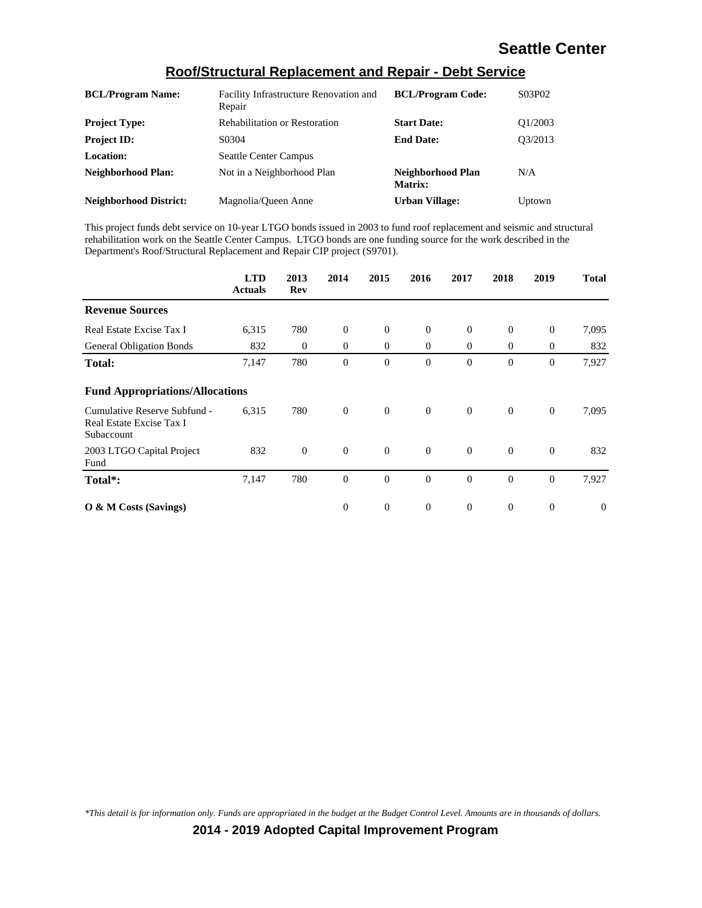| <b>BCL/Program Name:</b>      | Facility Infrastructure Renovation and<br>Repair | <b>BCL/Program Code:</b>     | S03P02  |
|-------------------------------|--------------------------------------------------|------------------------------|---------|
| <b>Project Type:</b>          | <b>Rehabilitation or Restoration</b>             | <b>Start Date:</b>           | O1/2003 |
| <b>Project ID:</b>            | S0304                                            | <b>End Date:</b>             | O3/2013 |
| <b>Location:</b>              | <b>Seattle Center Campus</b>                     |                              |         |
| <b>Neighborhood Plan:</b>     | Not in a Neighborhood Plan                       | Neighborhood Plan<br>Matrix: | N/A     |
| <b>Neighborhood District:</b> | Magnolia/Queen Anne                              | <b>Urban Village:</b>        | Uptown  |

#### **Roof/Structural Replacement and Repair - Debt Service**

This project funds debt service on 10-year LTGO bonds issued in 2003 to fund roof replacement and seismic and structural rehabilitation work on the Seattle Center Campus. LTGO bonds are one funding source for the work described in the Department's Roof/Structural Replacement and Repair CIP project (S9701).

|                                                                        | <b>LTD</b><br><b>Actuals</b> | 2013<br>Rev      | 2014           | 2015           | 2016           | 2017           | 2018           | 2019             | <b>Total</b> |
|------------------------------------------------------------------------|------------------------------|------------------|----------------|----------------|----------------|----------------|----------------|------------------|--------------|
| <b>Revenue Sources</b>                                                 |                              |                  |                |                |                |                |                |                  |              |
| Real Estate Excise Tax I                                               | 6,315                        | 780              | $\theta$       | $\theta$       | $\theta$       | $\overline{0}$ | $\mathbf{0}$   | $\theta$         | 7,095        |
| <b>General Obligation Bonds</b>                                        | 832                          | $\boldsymbol{0}$ | $\overline{0}$ | $\overline{0}$ | $\mathbf{0}$   | $\overline{0}$ | $\theta$       | $\boldsymbol{0}$ | 832          |
| <b>Total:</b>                                                          | 7,147                        | 780              | $\theta$       | $\overline{0}$ | $\overline{0}$ | $\theta$       | $\theta$       | $\theta$         | 7,927        |
| <b>Fund Appropriations/Allocations</b>                                 |                              |                  |                |                |                |                |                |                  |              |
| Cumulative Reserve Subfund -<br>Real Estate Excise Tax I<br>Subaccount | 6,315                        | 780              | $\theta$       | $\mathbf{0}$   | $\theta$       | $\theta$       | $\mathbf{0}$   | $\overline{0}$   | 7,095        |
| 2003 LTGO Capital Project<br>Fund                                      | 832                          | $\mathbf{0}$     | $\theta$       | $\mathbf{0}$   | $\theta$       | $\overline{0}$ | $\overline{0}$ | $\theta$         | 832          |
| Total*:                                                                | 7,147                        | 780              | $\theta$       | $\mathbf{0}$   | $\theta$       | $\theta$       | $\mathbf{0}$   | $\theta$         | 7,927        |
| O & M Costs (Savings)                                                  |                              |                  | $\theta$       | $\theta$       | $\theta$       | $\overline{0}$ | $\theta$       | $\overline{0}$   | $\theta$     |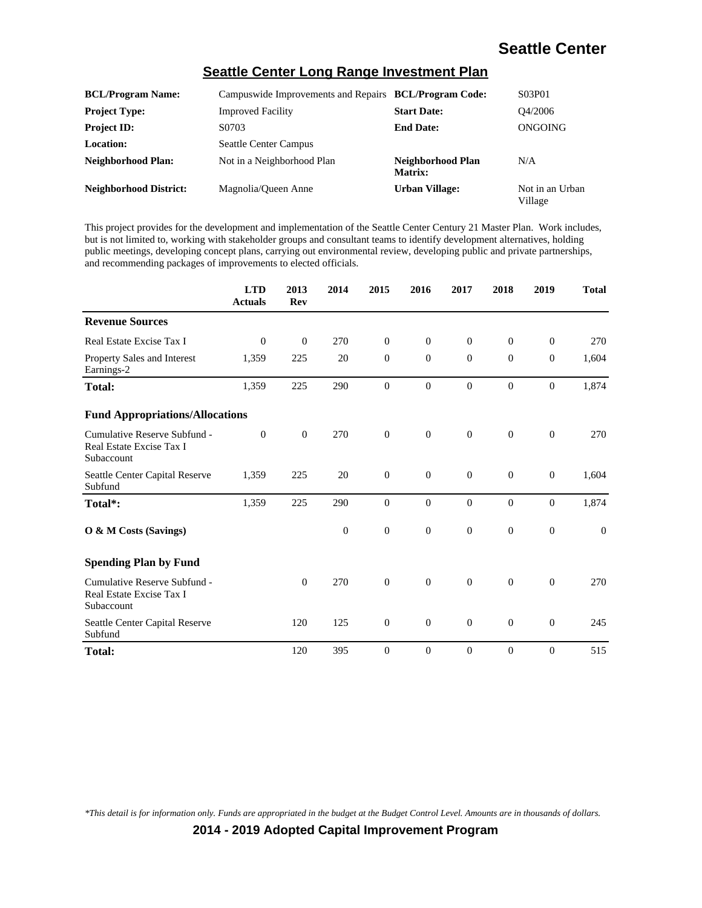#### **Seattle Center Long Range Investment Plan**

| <b>BCL/Program Name:</b>      | Campuswide Improvements and Repairs BCL/Program Code: |                              | S03P01                     |
|-------------------------------|-------------------------------------------------------|------------------------------|----------------------------|
| <b>Project Type:</b>          | <b>Improved Facility</b>                              | <b>Start Date:</b>           | O4/2006                    |
| <b>Project ID:</b>            | S0703                                                 | <b>End Date:</b>             | ONGOING                    |
| <b>Location:</b>              | <b>Seattle Center Campus</b>                          |                              |                            |
| <b>Neighborhood Plan:</b>     | Not in a Neighborhood Plan                            | Neighborhood Plan<br>Matrix: | N/A                        |
| <b>Neighborhood District:</b> | Magnolia/Oueen Anne                                   | <b>Urban Village:</b>        | Not in an Urban<br>Village |

This project provides for the development and implementation of the Seattle Center Century 21 Master Plan. Work includes, but is not limited to, working with stakeholder groups and consultant teams to identify development alternatives, holding public meetings, developing concept plans, carrying out environmental review, developing public and private partnerships, and recommending packages of improvements to elected officials.

|                                                                        | <b>LTD</b><br><b>Actuals</b> | 2013<br>Rev    | 2014           | 2015             | 2016             | 2017             | 2018             | 2019             | <b>Total</b> |
|------------------------------------------------------------------------|------------------------------|----------------|----------------|------------------|------------------|------------------|------------------|------------------|--------------|
| <b>Revenue Sources</b>                                                 |                              |                |                |                  |                  |                  |                  |                  |              |
| Real Estate Excise Tax I                                               | $\theta$                     | $\theta$       | 270            | $\overline{0}$   | $\theta$         | $\theta$         | $\overline{0}$   | $\theta$         | 270          |
| Property Sales and Interest<br>Earnings-2                              | 1,359                        | 225            | 20             | $\mathbf{0}$     | $\theta$         | $\Omega$         | $\overline{0}$   | $\theta$         | 1,604        |
| <b>Total:</b>                                                          | 1,359                        | 225            | 290            | $\mathbf{0}$     | $\mathbf{0}$     | $\Omega$         | $\overline{0}$   | $\theta$         | 1,874        |
| <b>Fund Appropriations/Allocations</b>                                 |                              |                |                |                  |                  |                  |                  |                  |              |
| Cumulative Reserve Subfund -<br>Real Estate Excise Tax I<br>Subaccount | $\theta$                     | $\overline{0}$ | 270            | $\boldsymbol{0}$ | $\boldsymbol{0}$ | $\theta$         | $\mathbf{0}$     | $\boldsymbol{0}$ | 270          |
| Seattle Center Capital Reserve<br>Subfund                              | 1,359                        | 225            | 20             | $\mathbf{0}$     | $\mathbf{0}$     | $\mathbf{0}$     | $\mathbf{0}$     | $\boldsymbol{0}$ | 1,604        |
| Total*:                                                                | 1,359                        | 225            | 290            | $\mathbf{0}$     | $\boldsymbol{0}$ | $\boldsymbol{0}$ | $\boldsymbol{0}$ | $\overline{0}$   | 1,874        |
| O & M Costs (Savings)                                                  |                              |                | $\overline{0}$ | $\overline{0}$   | $\mathbf{0}$     | $\overline{0}$   | $\overline{0}$   | $\overline{0}$   | $\mathbf{0}$ |
| <b>Spending Plan by Fund</b>                                           |                              |                |                |                  |                  |                  |                  |                  |              |
| Cumulative Reserve Subfund -<br>Real Estate Excise Tax I<br>Subaccount |                              | $\overline{0}$ | 270            | $\mathbf{0}$     | $\theta$         | $\theta$         | $\overline{0}$   | $\overline{0}$   | 270          |
| Seattle Center Capital Reserve<br>Subfund                              |                              | 120            | 125            | $\mathbf{0}$     | $\mathbf{0}$     | $\overline{0}$   | $\boldsymbol{0}$ | $\boldsymbol{0}$ | 245          |
| Total:                                                                 |                              | 120            | 395            | $\mathbf{0}$     | $\mathbf{0}$     | $\theta$         | $\mathbf{0}$     | $\overline{0}$   | 515          |

*\*This detail is for information only. Funds are appropriated in the budget at the Budget Control Level. Amounts are in thousands of dollars.*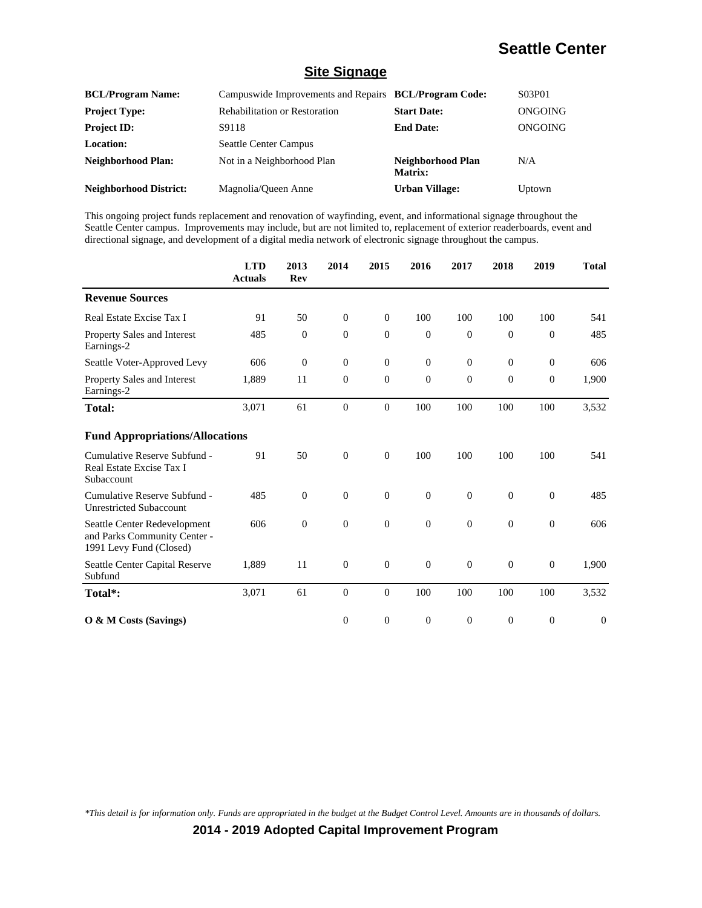#### **Site Signage**

| <b>BCL/Program Name:</b>      | Campuswide Improvements and Repairs BCL/Program Code: |                              | S03P01  |
|-------------------------------|-------------------------------------------------------|------------------------------|---------|
| <b>Project Type:</b>          | <b>Rehabilitation or Restoration</b>                  | <b>Start Date:</b>           | ONGOING |
| <b>Project ID:</b>            | S9118                                                 | <b>End Date:</b>             | ONGOING |
| <b>Location:</b>              | <b>Seattle Center Campus</b>                          |                              |         |
| <b>Neighborhood Plan:</b>     | Not in a Neighborhood Plan                            | Neighborhood Plan<br>Matrix: | N/A     |
| <b>Neighborhood District:</b> | Magnolia/Queen Anne                                   | <b>Urban Village:</b>        | Uptown  |

This ongoing project funds replacement and renovation of wayfinding, event, and informational signage throughout the Seattle Center campus. Improvements may include, but are not limited to, replacement of exterior readerboards, event and directional signage, and development of a digital media network of electronic signage throughout the campus.

|                                                                                         | <b>LTD</b><br><b>Actuals</b> | 2013<br>Rev  | 2014             | 2015             | 2016             | 2017           | 2018             | 2019           | <b>Total</b> |
|-----------------------------------------------------------------------------------------|------------------------------|--------------|------------------|------------------|------------------|----------------|------------------|----------------|--------------|
| <b>Revenue Sources</b>                                                                  |                              |              |                  |                  |                  |                |                  |                |              |
| Real Estate Excise Tax I                                                                | 91                           | 50           | $\mathbf{0}$     | $\overline{0}$   | 100              | 100            | 100              | 100            | 541          |
| <b>Property Sales and Interest</b><br>Earnings-2                                        | 485                          | $\theta$     | $\Omega$         | $\overline{0}$   | $\theta$         | $\Omega$       | $\mathbf{0}$     | $\overline{0}$ | 485          |
| Seattle Voter-Approved Levy                                                             | 606                          | $\theta$     | $\mathbf{0}$     | $\mathbf{0}$     | $\theta$         | $\theta$       | $\theta$         | $\theta$       | 606          |
| Property Sales and Interest<br>Earnings-2                                               | 1,889                        | 11           | $\boldsymbol{0}$ | $\boldsymbol{0}$ | $\mathbf{0}$     | $\overline{0}$ | $\boldsymbol{0}$ | $\mathbf{0}$   | 1,900        |
| <b>Total:</b>                                                                           | 3,071                        | 61           | $\theta$         | $\boldsymbol{0}$ | 100              | 100            | 100              | 100            | 3,532        |
| <b>Fund Appropriations/Allocations</b>                                                  |                              |              |                  |                  |                  |                |                  |                |              |
| Cumulative Reserve Subfund -<br>Real Estate Excise Tax I<br>Subaccount                  | 91                           | 50           | $\mathbf{0}$     | $\mathbf{0}$     | 100              | 100            | 100              | 100            | 541          |
| Cumulative Reserve Subfund -<br><b>Unrestricted Subaccount</b>                          | 485                          | $\mathbf{0}$ | $\boldsymbol{0}$ | $\boldsymbol{0}$ | $\boldsymbol{0}$ | $\mathbf{0}$   | $\theta$         | $\mathbf{0}$   | 485          |
| Seattle Center Redevelopment<br>and Parks Community Center -<br>1991 Levy Fund (Closed) | 606                          | $\theta$     | $\mathbf{0}$     | $\mathbf{0}$     | $\Omega$         | $\Omega$       | $\theta$         | $\theta$       | 606          |
| Seattle Center Capital Reserve<br>Subfund                                               | 1,889                        | 11           | $\mathbf{0}$     | $\boldsymbol{0}$ | $\overline{0}$   | $\theta$       | $\theta$         | $\mathbf{0}$   | 1,900        |
| Total*:                                                                                 | 3,071                        | 61           | $\boldsymbol{0}$ | $\overline{0}$   | 100              | 100            | 100              | 100            | 3,532        |
| O & M Costs (Savings)                                                                   |                              |              | $\mathbf{0}$     | $\overline{0}$   | $\theta$         | $\Omega$       | $\theta$         | $\overline{0}$ | $\theta$     |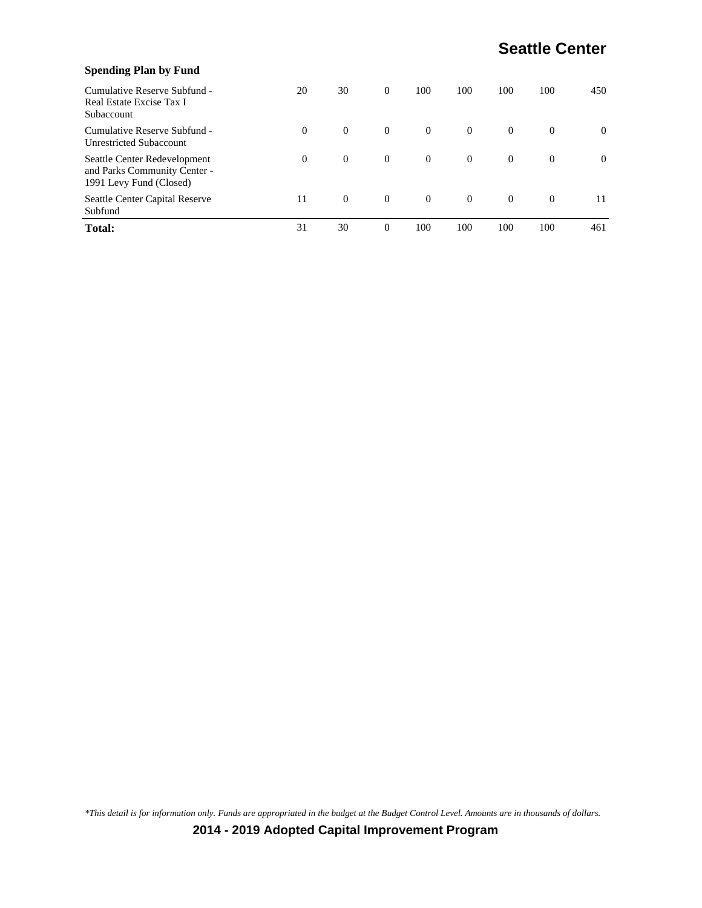| <b>Spending Plan by Fund</b>                                                            |          |          |                |                |          |          |          |          |
|-----------------------------------------------------------------------------------------|----------|----------|----------------|----------------|----------|----------|----------|----------|
| Cumulative Reserve Subfund -<br>Real Estate Excise Tax I<br>Subaccount                  | 20       | 30       | $\overline{0}$ | 100            | 100      | 100      | 100      | 450      |
| Cumulative Reserve Subfund -<br><b>Unrestricted Subaccount</b>                          | $\Omega$ | $\theta$ | $\overline{0}$ | $\overline{0}$ | $\theta$ | $\theta$ | $\Omega$ | $\theta$ |
| Seattle Center Redevelopment<br>and Parks Community Center -<br>1991 Levy Fund (Closed) | $\Omega$ | $\theta$ | $\overline{0}$ | $\theta$       | $\theta$ | $\Omega$ | $\Omega$ | $\Omega$ |
| Seattle Center Capital Reserve<br>Subfund                                               | 11       | $\Omega$ | $\overline{0}$ | $\Omega$       | $\Omega$ | $\theta$ | $\Omega$ | 11       |
| <b>Total:</b>                                                                           | 31       | 30       | $\theta$       | 100            | 100      | 100      | 100      | 461      |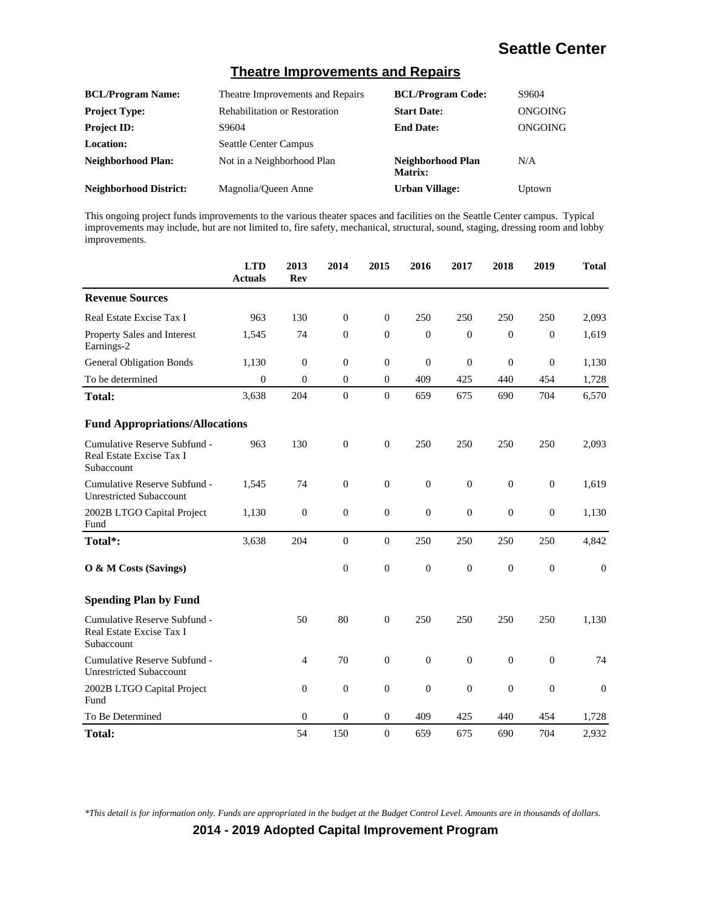#### **Theatre Improvements and Repairs**

| <b>BCL/Program Name:</b>      | Theatre Improvements and Repairs     | <b>BCL/Program Code:</b>     | S9604   |
|-------------------------------|--------------------------------------|------------------------------|---------|
| <b>Project Type:</b>          | <b>Rehabilitation or Restoration</b> | <b>Start Date:</b>           | ONGOING |
| <b>Project ID:</b>            | S9604                                | <b>End Date:</b>             | ONGOING |
| <b>Location:</b>              | <b>Seattle Center Campus</b>         |                              |         |
| <b>Neighborhood Plan:</b>     | Not in a Neighborhood Plan           | Neighborhood Plan<br>Matrix: | N/A     |
| <b>Neighborhood District:</b> | Magnolia/Oueen Anne                  | <b>Urban Village:</b>        | Uptown  |

This ongoing project funds improvements to the various theater spaces and facilities on the Seattle Center campus. Typical improvements may include, but are not limited to, fire safety, mechanical, structural, sound, staging, dressing room and lobby improvements.

|                                                                        | <b>LTD</b><br><b>Actuals</b> | 2013<br>Rev      | 2014             | 2015             | 2016             | 2017             | 2018             | 2019             | <b>Total</b>     |
|------------------------------------------------------------------------|------------------------------|------------------|------------------|------------------|------------------|------------------|------------------|------------------|------------------|
| <b>Revenue Sources</b>                                                 |                              |                  |                  |                  |                  |                  |                  |                  |                  |
| Real Estate Excise Tax I                                               | 963                          | 130              | $\overline{0}$   | $\mathbf{0}$     | 250              | 250              | 250              | 250              | 2,093            |
| Property Sales and Interest<br>Earnings-2                              | 1,545                        | 74               | $\overline{0}$   | $\mathbf{0}$     | $\overline{0}$   | $\theta$         | $\mathbf{0}$     | $\overline{0}$   | 1,619            |
| <b>General Obligation Bonds</b>                                        | 1,130                        | $\boldsymbol{0}$ | $\boldsymbol{0}$ | $\boldsymbol{0}$ | $\mathbf{0}$     | $\mathbf{0}$     | $\boldsymbol{0}$ | $\mathbf{0}$     | 1,130            |
| To be determined                                                       | $\overline{0}$               | $\overline{0}$   | $\overline{0}$   | $\mathbf{0}$     | 409              | 425              | 440              | 454              | 1,728            |
| <b>Total:</b>                                                          | 3,638                        | 204              | $\theta$         | $\Omega$         | 659              | 675              | 690              | 704              | 6,570            |
| <b>Fund Appropriations/Allocations</b>                                 |                              |                  |                  |                  |                  |                  |                  |                  |                  |
| Cumulative Reserve Subfund -<br>Real Estate Excise Tax I<br>Subaccount | 963                          | 130              | $\overline{0}$   | $\overline{0}$   | 250              | 250              | 250              | 250              | 2,093            |
| Cumulative Reserve Subfund -<br><b>Unrestricted Subaccount</b>         | 1,545                        | 74               | $\boldsymbol{0}$ | $\boldsymbol{0}$ | $\boldsymbol{0}$ | $\overline{0}$   | $\boldsymbol{0}$ | $\boldsymbol{0}$ | 1,619            |
| 2002B LTGO Capital Project<br>Fund                                     | 1,130                        | $\mathbf{0}$     | $\overline{0}$   | $\mathbf{0}$     | $\theta$         | $\theta$         | $\mathbf{0}$     | $\theta$         | 1,130            |
| Total*:                                                                | 3,638                        | 204              | $\boldsymbol{0}$ | $\boldsymbol{0}$ | 250              | 250              | 250              | 250              | 4,842            |
| O & M Costs (Savings)                                                  |                              |                  | $\boldsymbol{0}$ | $\boldsymbol{0}$ | $\boldsymbol{0}$ | $\boldsymbol{0}$ | $\boldsymbol{0}$ | $\mathbf{0}$     | $\boldsymbol{0}$ |
| <b>Spending Plan by Fund</b>                                           |                              |                  |                  |                  |                  |                  |                  |                  |                  |
| Cumulative Reserve Subfund -<br>Real Estate Excise Tax I<br>Subaccount |                              | 50               | 80               | $\boldsymbol{0}$ | 250              | 250              | 250              | 250              | 1,130            |
| Cumulative Reserve Subfund -<br><b>Unrestricted Subaccount</b>         |                              | $\overline{4}$   | 70               | $\boldsymbol{0}$ | $\overline{0}$   | $\overline{0}$   | $\mathbf{0}$     | $\overline{0}$   | 74               |
| 2002B LTGO Capital Project<br>Fund                                     |                              | $\overline{0}$   | $\overline{0}$   | $\mathbf{0}$     | $\mathbf{0}$     | $\theta$         | $\mathbf{0}$     | $\theta$         | $\theta$         |
| To Be Determined                                                       |                              | $\theta$         | $\boldsymbol{0}$ | $\mathbf{0}$     | 409              | 425              | 440              | 454              | 1,728            |
| Total:                                                                 |                              | 54               | 150              | $\boldsymbol{0}$ | 659              | 675              | 690              | 704              | 2,932            |

*\*This detail is for information only. Funds are appropriated in the budget at the Budget Control Level. Amounts are in thousands of dollars.*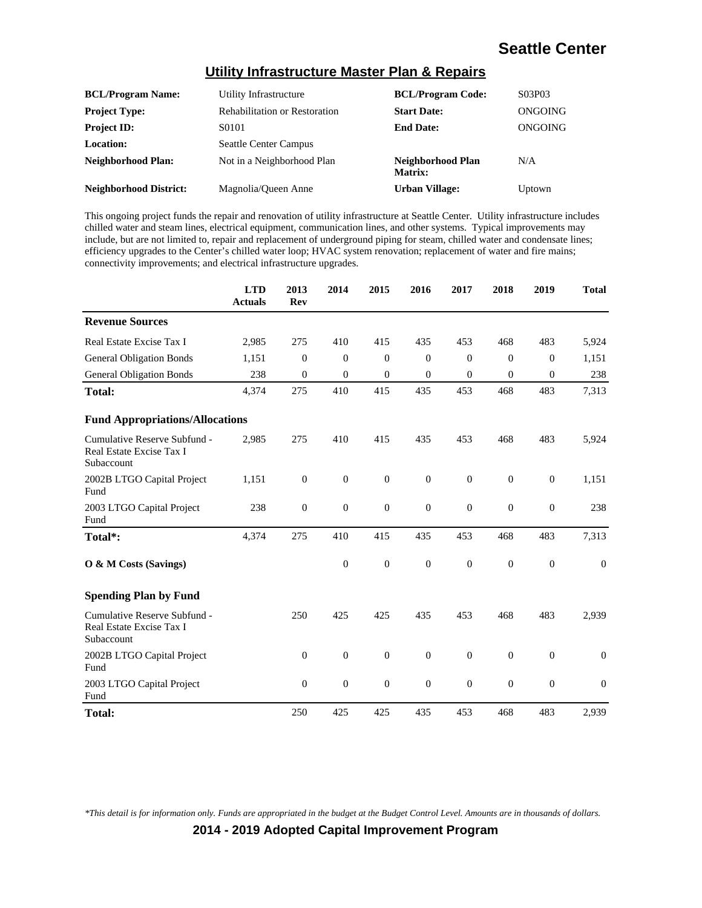#### **Utility Infrastructure Master Plan & Repairs**

| <b>BCL/Program Name:</b>      | Utility Infrastructure               | <b>BCL/Program Code:</b>     | S03P03  |
|-------------------------------|--------------------------------------|------------------------------|---------|
| <b>Project Type:</b>          | <b>Rehabilitation or Restoration</b> | <b>Start Date:</b>           | ONGOING |
| <b>Project ID:</b>            | S0101                                | <b>End Date:</b>             | ONGOING |
| Location:                     | <b>Seattle Center Campus</b>         |                              |         |
| <b>Neighborhood Plan:</b>     | Not in a Neighborhood Plan           | Neighborhood Plan<br>Matrix: | N/A     |
| <b>Neighborhood District:</b> | Magnolia/Queen Anne                  | <b>Urban Village:</b>        | Uptown  |

This ongoing project funds the repair and renovation of utility infrastructure at Seattle Center. Utility infrastructure includes chilled water and steam lines, electrical equipment, communication lines, and other systems. Typical improvements may include, but are not limited to, repair and replacement of underground piping for steam, chilled water and condensate lines; efficiency upgrades to the Center's chilled water loop; HVAC system renovation; replacement of water and fire mains; connectivity improvements; and electrical infrastructure upgrades.

|                                                                        | <b>LTD</b><br><b>Actuals</b> | 2013<br><b>Rev</b> | 2014             | 2015             | 2016             | 2017             | 2018             | 2019             | <b>Total</b>     |
|------------------------------------------------------------------------|------------------------------|--------------------|------------------|------------------|------------------|------------------|------------------|------------------|------------------|
| <b>Revenue Sources</b>                                                 |                              |                    |                  |                  |                  |                  |                  |                  |                  |
| Real Estate Excise Tax I                                               | 2,985                        | 275                | 410              | 415              | 435              | 453              | 468              | 483              | 5,924            |
| <b>General Obligation Bonds</b>                                        | 1,151                        | $\theta$           | $\theta$         | $\overline{0}$   | $\Omega$         | $\overline{0}$   | $\theta$         | $\theta$         | 1,151            |
| <b>General Obligation Bonds</b>                                        | 238                          | $\overline{0}$     | $\theta$         | $\overline{0}$   | $\overline{0}$   | $\mathbf{0}$     | $\mathbf{0}$     | $\overline{0}$   | 238              |
| <b>Total:</b>                                                          | 4,374                        | 275                | 410              | 415              | 435              | 453              | 468              | 483              | 7,313            |
| <b>Fund Appropriations/Allocations</b>                                 |                              |                    |                  |                  |                  |                  |                  |                  |                  |
| Cumulative Reserve Subfund -<br>Real Estate Excise Tax I<br>Subaccount | 2,985                        | 275                | 410              | 415              | 435              | 453              | 468              | 483              | 5,924            |
| 2002B LTGO Capital Project<br>Fund                                     | 1,151                        | $\boldsymbol{0}$   | $\boldsymbol{0}$ | $\boldsymbol{0}$ | $\boldsymbol{0}$ | $\boldsymbol{0}$ | $\boldsymbol{0}$ | $\boldsymbol{0}$ | 1,151            |
| 2003 LTGO Capital Project<br>Fund                                      | 238                          | $\boldsymbol{0}$   | $\boldsymbol{0}$ | $\boldsymbol{0}$ | $\boldsymbol{0}$ | $\mathbf{0}$     | $\overline{0}$   | $\boldsymbol{0}$ | 238              |
| Total*:                                                                | 4,374                        | 275                | 410              | 415              | 435              | 453              | 468              | 483              | 7,313            |
| O & M Costs (Savings)                                                  |                              |                    | $\boldsymbol{0}$ | $\boldsymbol{0}$ | $\boldsymbol{0}$ | $\overline{0}$   | $\mathbf{0}$     | $\overline{0}$   | $\theta$         |
| <b>Spending Plan by Fund</b>                                           |                              |                    |                  |                  |                  |                  |                  |                  |                  |
| Cumulative Reserve Subfund -<br>Real Estate Excise Tax I<br>Subaccount |                              | 250                | 425              | 425              | 435              | 453              | 468              | 483              | 2,939            |
| 2002B LTGO Capital Project<br>Fund                                     |                              | $\boldsymbol{0}$   | $\boldsymbol{0}$ | $\boldsymbol{0}$ | $\boldsymbol{0}$ | $\mathbf{0}$     | $\boldsymbol{0}$ | $\boldsymbol{0}$ | $\mathbf{0}$     |
| 2003 LTGO Capital Project<br>Fund                                      |                              | $\overline{0}$     | $\theta$         | $\boldsymbol{0}$ | $\overline{0}$   | $\mathbf{0}$     | $\overline{0}$   | $\mathbf{0}$     | $\boldsymbol{0}$ |
| <b>Total:</b>                                                          |                              | 250                | 425              | 425              | 435              | 453              | 468              | 483              | 2,939            |

*\*This detail is for information only. Funds are appropriated in the budget at the Budget Control Level. Amounts are in thousands of dollars.*